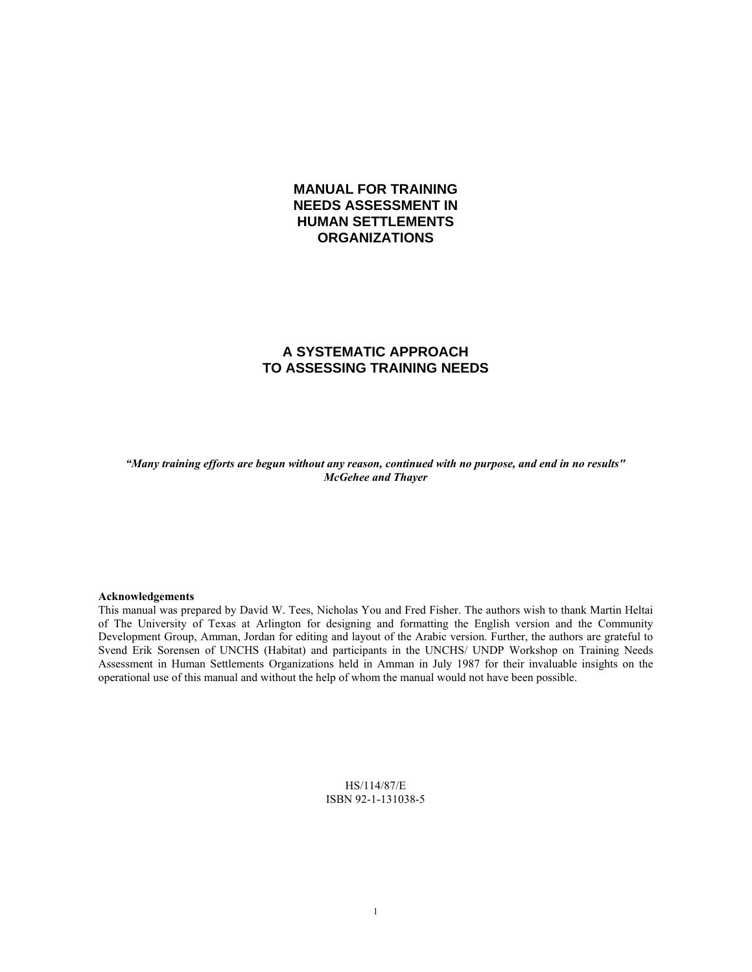# **MANUAL FOR TRAINING NEEDS ASSESSMENT IN HUMAN SETTLEMENTS ORGANIZATIONS**

# **A SYSTEMATIC APPROACH TO ASSESSING TRAINING NEEDS**

*"Many training efforts are begun without any reason, continued with no purpose, and end in no results" McGehee and Thayer*

#### **Acknowledgements**

This manual was prepared by David W. Tees, Nicholas You and Fred Fisher. The authors wish to thank Martin Heltai of The University of Texas at Arlington for designing and formatting the English version and the Community Development Group, Amman, Jordan for editing and layout of the Arabic version. Further, the authors are grateful to Svend Erik Sorensen of UNCHS (Habitat) and participants in the UNCHS/ UNDP Workshop on Training Needs Assessment in Human Settlements Organizations held in Amman in July 1987 for their invaluable insights on the operational use of this manual and without the help of whom the manual would not have been possible.

> HS/114/87/E ISBN 92-1-131038-5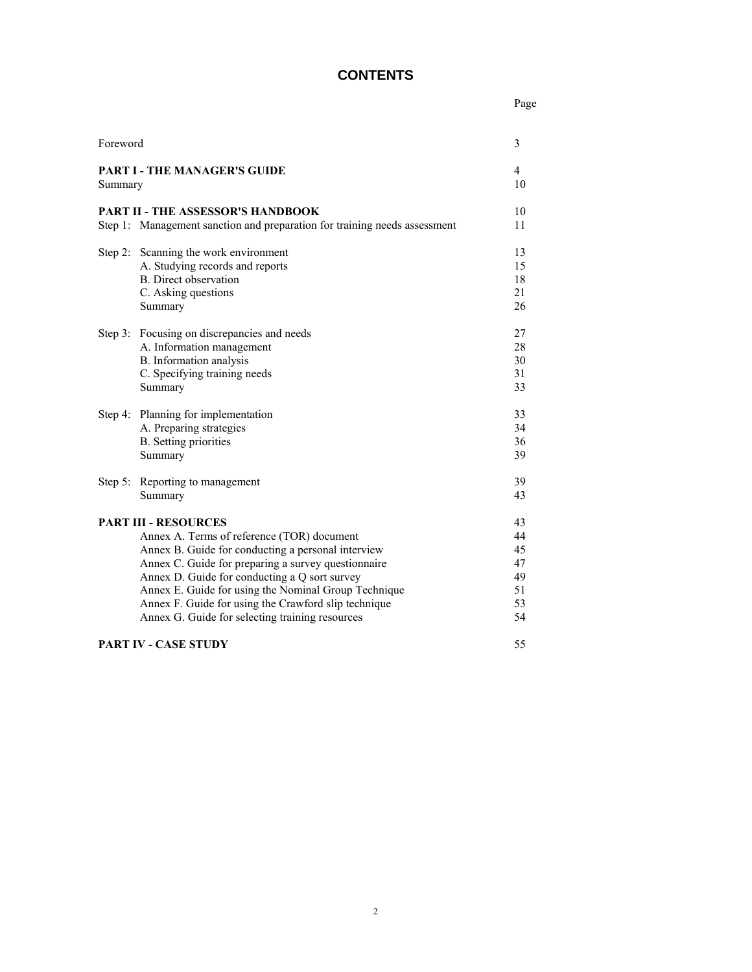# **CONTENTS**

| Foreword |                                                                                                                                                                                                                                                                                                                                                         | 3                                      |  |  |  |  |
|----------|---------------------------------------------------------------------------------------------------------------------------------------------------------------------------------------------------------------------------------------------------------------------------------------------------------------------------------------------------------|----------------------------------------|--|--|--|--|
|          | <b>PART I - THE MANAGER'S GUIDE</b><br>4<br>10<br>Summary                                                                                                                                                                                                                                                                                               |                                        |  |  |  |  |
|          | <b>PART II - THE ASSESSOR'S HANDBOOK</b><br>Step 1: Management sanction and preparation for training needs assessment                                                                                                                                                                                                                                   | 10<br>11                               |  |  |  |  |
|          | Step 2: Scanning the work environment<br>A. Studying records and reports<br><b>B.</b> Direct observation<br>C. Asking questions<br>Summary                                                                                                                                                                                                              | 13<br>15<br>18<br>21<br>26             |  |  |  |  |
|          | Step 3: Focusing on discrepancies and needs<br>A. Information management<br>B. Information analysis<br>C. Specifying training needs<br>Summary                                                                                                                                                                                                          | 27<br>28<br>30<br>31<br>33             |  |  |  |  |
|          | Step 4: Planning for implementation<br>A. Preparing strategies<br>B. Setting priorities<br>Summary                                                                                                                                                                                                                                                      | 33<br>34<br>36<br>39                   |  |  |  |  |
|          | Step 5: Reporting to management<br>Summary                                                                                                                                                                                                                                                                                                              | 39<br>43                               |  |  |  |  |
|          | <b>PART III - RESOURCES</b><br>Annex A. Terms of reference (TOR) document<br>Annex B. Guide for conducting a personal interview<br>Annex C. Guide for preparing a survey questionnaire<br>Annex D. Guide for conducting a Q sort survey<br>Annex E. Guide for using the Nominal Group Technique<br>Annex F. Guide for using the Crawford slip technique | 43<br>44<br>45<br>47<br>49<br>51<br>53 |  |  |  |  |
|          | Annex G. Guide for selecting training resources<br><b>PART IV - CASE STUDY</b>                                                                                                                                                                                                                                                                          | 54<br>55                               |  |  |  |  |

Page **Page**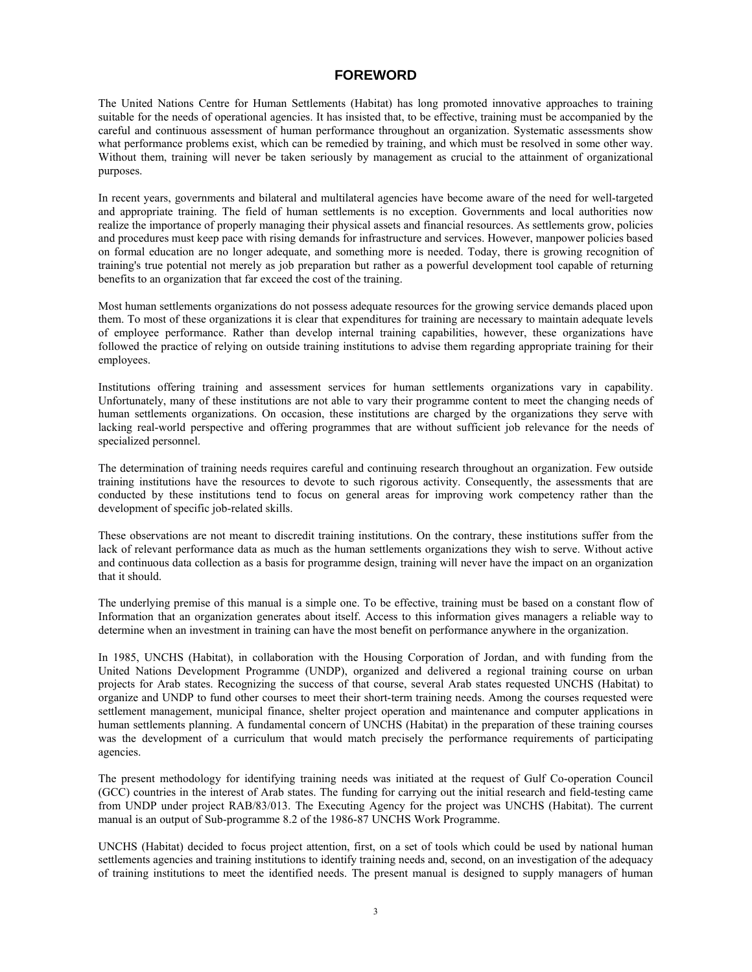# **FOREWORD**

The United Nations Centre for Human Settlements (Habitat) has long promoted innovative approaches to training suitable for the needs of operational agencies. It has insisted that, to be effective, training must be accompanied by the careful and continuous assessment of human performance throughout an organization. Systematic assessments show what performance problems exist, which can be remedied by training, and which must be resolved in some other way. Without them, training will never be taken seriously by management as crucial to the attainment of organizational purposes.

In recent years, governments and bilateral and multilateral agencies have become aware of the need for well-targeted and appropriate training. The field of human settlements is no exception. Governments and local authorities now realize the importance of properly managing their physical assets and financial resources. As settlements grow, policies and procedures must keep pace with rising demands for infrastructure and services. However, manpower policies based on formal education are no longer adequate, and something more is needed. Today, there is growing recognition of training's true potential not merely as job preparation but rather as a powerful development tool capable of returning benefits to an organization that far exceed the cost of the training.

Most human settlements organizations do not possess adequate resources for the growing service demands placed upon them. To most of these organizations it is clear that expenditures for training are necessary to maintain adequate levels of employee performance. Rather than develop internal training capabilities, however, these organizations have followed the practice of relying on outside training institutions to advise them regarding appropriate training for their employees.

Institutions offering training and assessment services for human settlements organizations vary in capability. Unfortunately, many of these institutions are not able to vary their programme content to meet the changing needs of human settlements organizations. On occasion, these institutions are charged by the organizations they serve with lacking real-world perspective and offering programmes that are without sufficient job relevance for the needs of specialized personnel.

The determination of training needs requires careful and continuing research throughout an organization. Few outside training institutions have the resources to devote to such rigorous activity. Consequently, the assessments that are conducted by these institutions tend to focus on general areas for improving work competency rather than the development of specific job-related skills.

These observations are not meant to discredit training institutions. On the contrary, these institutions suffer from the lack of relevant performance data as much as the human settlements organizations they wish to serve. Without active and continuous data collection as a basis for programme design, training will never have the impact on an organization that it should.

The underlying premise of this manual is a simple one. To be effective, training must be based on a constant flow of Information that an organization generates about itself. Access to this information gives managers a reliable way to determine when an investment in training can have the most benefit on performance anywhere in the organization.

In 1985, UNCHS (Habitat), in collaboration with the Housing Corporation of Jordan, and with funding from the United Nations Development Programme (UNDP), organized and delivered a regional training course on urban projects for Arab states. Recognizing the success of that course, several Arab states requested UNCHS (Habitat) to organize and UNDP to fund other courses to meet their short-term training needs. Among the courses requested were settlement management, municipal finance, shelter project operation and maintenance and computer applications in human settlements planning. A fundamental concern of UNCHS (Habitat) in the preparation of these training courses was the development of a curriculum that would match precisely the performance requirements of participating agencies.

The present methodology for identifying training needs was initiated at the request of Gulf Co-operation Council (GCC) countries in the interest of Arab states. The funding for carrying out the initial research and field-testing came from UNDP under project RAB/83/013. The Executing Agency for the project was UNCHS (Habitat). The current manual is an output of Sub-programme 8.2 of the 1986-87 UNCHS Work Programme.

UNCHS (Habitat) decided to focus project attention, first, on a set of tools which could be used by national human settlements agencies and training institutions to identify training needs and, second, on an investigation of the adequacy of training institutions to meet the identified needs. The present manual is designed to supply managers of human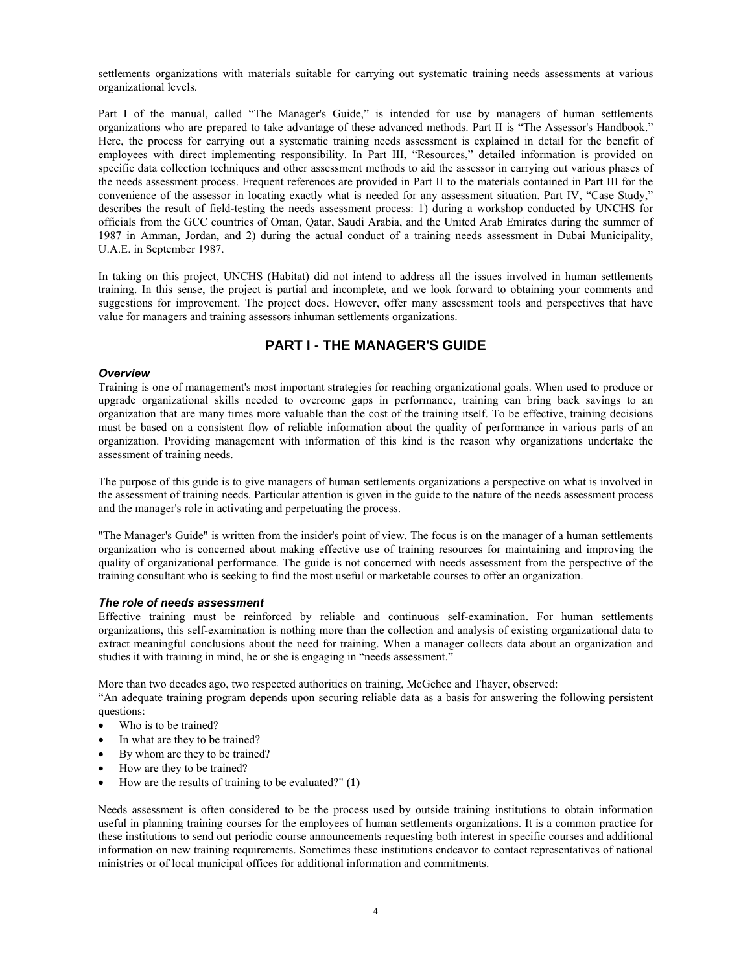settlements organizations with materials suitable for carrying out systematic training needs assessments at various organizational levels.

Part I of the manual, called "The Manager's Guide," is intended for use by managers of human settlements organizations who are prepared to take advantage of these advanced methods. Part II is "The Assessor's Handbook." Here, the process for carrying out a systematic training needs assessment is explained in detail for the benefit of employees with direct implementing responsibility. In Part III, "Resources," detailed information is provided on specific data collection techniques and other assessment methods to aid the assessor in carrying out various phases of the needs assessment process. Frequent references are provided in Part II to the materials contained in Part III for the convenience of the assessor in locating exactly what is needed for any assessment situation. Part IV, "Case Study," describes the result of field-testing the needs assessment process: 1) during a workshop conducted by UNCHS for officials from the GCC countries of Oman, Qatar, Saudi Arabia, and the United Arab Emirates during the summer of 1987 in Amman, Jordan, and 2) during the actual conduct of a training needs assessment in Dubai Municipality, U.A.E. in September 1987.

In taking on this project, UNCHS (Habitat) did not intend to address all the issues involved in human settlements training. In this sense, the project is partial and incomplete, and we look forward to obtaining your comments and suggestions for improvement. The project does. However, offer many assessment tools and perspectives that have value for managers and training assessors inhuman settlements organizations.

# **PART I - THE MANAGER'S GUIDE**

### *Overview*

Training is one of management's most important strategies for reaching organizational goals. When used to produce or upgrade organizational skills needed to overcome gaps in performance, training can bring back savings to an organization that are many times more valuable than the cost of the training itself. To be effective, training decisions must be based on a consistent flow of reliable information about the quality of performance in various parts of an organization. Providing management with information of this kind is the reason why organizations undertake the assessment of training needs.

The purpose of this guide is to give managers of human settlements organizations a perspective on what is involved in the assessment of training needs. Particular attention is given in the guide to the nature of the needs assessment process and the manager's role in activating and perpetuating the process.

"The Manager's Guide" is written from the insider's point of view. The focus is on the manager of a human settlements organization who is concerned about making effective use of training resources for maintaining and improving the quality of organizational performance. The guide is not concerned with needs assessment from the perspective of the training consultant who is seeking to find the most useful or marketable courses to offer an organization.

### *The role of needs assessment*

Effective training must be reinforced by reliable and continuous self-examination. For human settlements organizations, this self-examination is nothing more than the collection and analysis of existing organizational data to extract meaningful conclusions about the need for training. When a manager collects data about an organization and studies it with training in mind, he or she is engaging in "needs assessment."

More than two decades ago, two respected authorities on training, McGehee and Thayer, observed:

"An adequate training program depends upon securing reliable data as a basis for answering the following persistent questions:

- Who is to be trained?
- In what are they to be trained?
- By whom are they to be trained?
- How are they to be trained?
- How are the results of training to be evaluated?" **(1)**

Needs assessment is often considered to be the process used by outside training institutions to obtain information useful in planning training courses for the employees of human settlements organizations. It is a common practice for these institutions to send out periodic course announcements requesting both interest in specific courses and additional information on new training requirements. Sometimes these institutions endeavor to contact representatives of national ministries or of local municipal offices for additional information and commitments.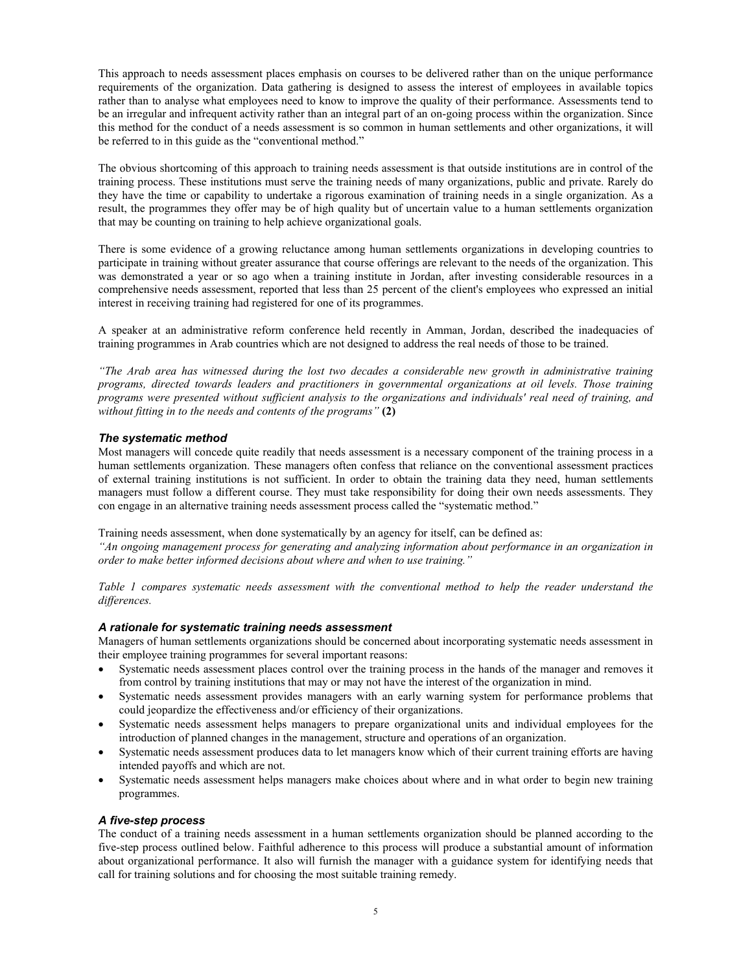This approach to needs assessment places emphasis on courses to be delivered rather than on the unique performance requirements of the organization. Data gathering is designed to assess the interest of employees in available topics rather than to analyse what employees need to know to improve the quality of their performance. Assessments tend to be an irregular and infrequent activity rather than an integral part of an on-going process within the organization. Since this method for the conduct of a needs assessment is so common in human settlements and other organizations, it will be referred to in this guide as the "conventional method."

The obvious shortcoming of this approach to training needs assessment is that outside institutions are in control of the training process. These institutions must serve the training needs of many organizations, public and private. Rarely do they have the time or capability to undertake a rigorous examination of training needs in a single organization. As a result, the programmes they offer may be of high quality but of uncertain value to a human settlements organization that may be counting on training to help achieve organizational goals.

There is some evidence of a growing reluctance among human settlements organizations in developing countries to participate in training without greater assurance that course offerings are relevant to the needs of the organization. This was demonstrated a year or so ago when a training institute in Jordan, after investing considerable resources in a comprehensive needs assessment, reported that less than 25 percent of the client's employees who expressed an initial interest in receiving training had registered for one of its programmes.

A speaker at an administrative reform conference held recently in Amman, Jordan, described the inadequacies of training programmes in Arab countries which are not designed to address the real needs of those to be trained.

*"The Arab area has witnessed during the lost two decades a considerable new growth in administrative training programs, directed towards leaders and practitioners in governmental organizations at oil levels. Those training programs were presented without sufficient analysis to the organizations and individuals' real need of training, and without fitting in to the needs and contents of the programs"* **(2)**

## *The systematic method*

Most managers will concede quite readily that needs assessment is a necessary component of the training process in a human settlements organization. These managers often confess that reliance on the conventional assessment practices of external training institutions is not sufficient. In order to obtain the training data they need, human settlements managers must follow a different course. They must take responsibility for doing their own needs assessments. They con engage in an alternative training needs assessment process called the "systematic method."

Training needs assessment, when done systematically by an agency for itself, can be defined as:

*"An ongoing management process for generating and analyzing information about performance in an organization in order to make better informed decisions about where and when to use training."* 

*Table 1 compares systematic needs assessment with the conventional method to help the reader understand the differences.* 

## *A rationale for systematic training needs assessment*

Managers of human settlements organizations should be concerned about incorporating systematic needs assessment in their employee training programmes for several important reasons:

- Systematic needs assessment places control over the training process in the hands of the manager and removes it from control by training institutions that may or may not have the interest of the organization in mind.
- Systematic needs assessment provides managers with an early warning system for performance problems that could jeopardize the effectiveness and/or efficiency of their organizations.
- Systematic needs assessment helps managers to prepare organizational units and individual employees for the introduction of planned changes in the management, structure and operations of an organization.
- Systematic needs assessment produces data to let managers know which of their current training efforts are having intended payoffs and which are not.
- Systematic needs assessment helps managers make choices about where and in what order to begin new training programmes.

## *A five-step process*

The conduct of a training needs assessment in a human settlements organization should be planned according to the five-step process outlined below. Faithful adherence to this process will produce a substantial amount of information about organizational performance. It also will furnish the manager with a guidance system for identifying needs that call for training solutions and for choosing the most suitable training remedy.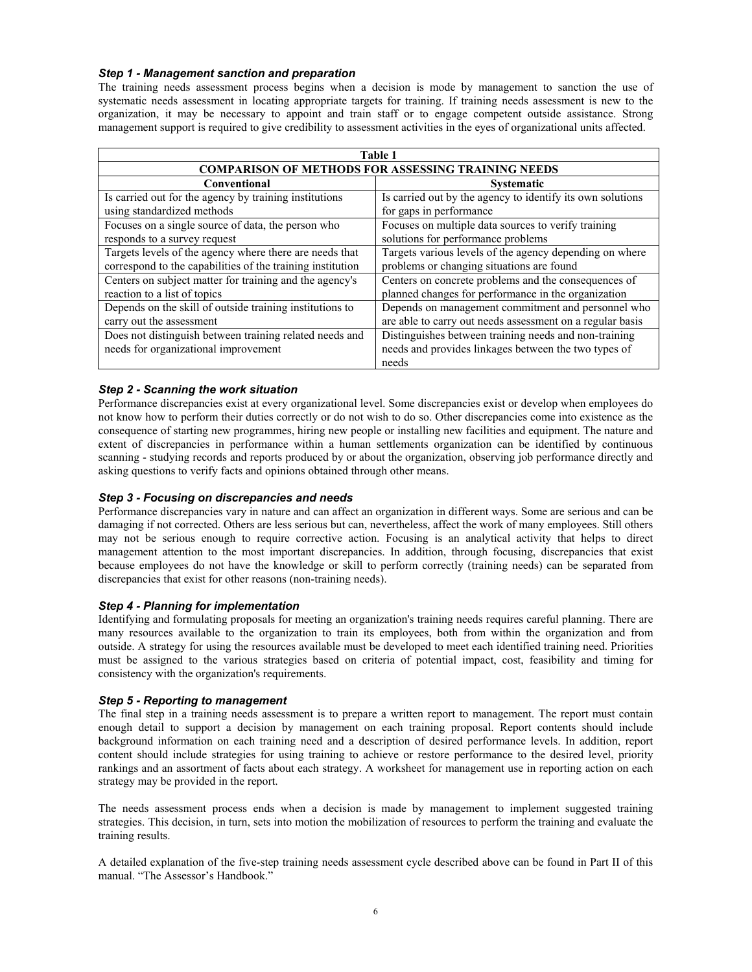## *Step 1 - Management sanction and preparation*

The training needs assessment process begins when a decision is mode by management to sanction the use of systematic needs assessment in locating appropriate targets for training. If training needs assessment is new to the organization, it may be necessary to appoint and train staff or to engage competent outside assistance. Strong management support is required to give credibility to assessment activities in the eyes of organizational units affected.

| Table 1                                                    |                                                            |  |  |  |  |  |
|------------------------------------------------------------|------------------------------------------------------------|--|--|--|--|--|
| <b>COMPARISON OF METHODS FOR ASSESSING TRAINING NEEDS</b>  |                                                            |  |  |  |  |  |
| Conventional                                               | <b>Systematic</b>                                          |  |  |  |  |  |
| Is carried out for the agency by training institutions     | Is carried out by the agency to identify its own solutions |  |  |  |  |  |
| using standardized methods                                 | for gaps in performance                                    |  |  |  |  |  |
| Focuses on a single source of data, the person who         | Focuses on multiple data sources to verify training        |  |  |  |  |  |
| responds to a survey request                               | solutions for performance problems                         |  |  |  |  |  |
| Targets levels of the agency where there are needs that    | Targets various levels of the agency depending on where    |  |  |  |  |  |
| correspond to the capabilities of the training institution | problems or changing situations are found                  |  |  |  |  |  |
| Centers on subject matter for training and the agency's    | Centers on concrete problems and the consequences of       |  |  |  |  |  |
| reaction to a list of topics                               | planned changes for performance in the organization        |  |  |  |  |  |
| Depends on the skill of outside training institutions to   | Depends on management commitment and personnel who         |  |  |  |  |  |
| carry out the assessment                                   | are able to carry out needs assessment on a regular basis  |  |  |  |  |  |
| Does not distinguish between training related needs and    | Distinguishes between training needs and non-training      |  |  |  |  |  |
| needs for organizational improvement                       | needs and provides linkages between the two types of       |  |  |  |  |  |
|                                                            | needs                                                      |  |  |  |  |  |

# *Step 2 - Scanning the work situation*

Performance discrepancies exist at every organizational level. Some discrepancies exist or develop when employees do not know how to perform their duties correctly or do not wish to do so. Other discrepancies come into existence as the consequence of starting new programmes, hiring new people or installing new facilities and equipment. The nature and extent of discrepancies in performance within a human settlements organization can be identified by continuous scanning - studying records and reports produced by or about the organization, observing job performance directly and asking questions to verify facts and opinions obtained through other means.

## *Step 3 - Focusing on discrepancies and needs*

Performance discrepancies vary in nature and can affect an organization in different ways. Some are serious and can be damaging if not corrected. Others are less serious but can, nevertheless, affect the work of many employees. Still others may not be serious enough to require corrective action. Focusing is an analytical activity that helps to direct management attention to the most important discrepancies. In addition, through focusing, discrepancies that exist because employees do not have the knowledge or skill to perform correctly (training needs) can be separated from discrepancies that exist for other reasons (non-training needs).

## *Step 4 - Planning for implementation*

Identifying and formulating proposals for meeting an organization's training needs requires careful planning. There are many resources available to the organization to train its employees, both from within the organization and from outside. A strategy for using the resources available must be developed to meet each identified training need. Priorities must be assigned to the various strategies based on criteria of potential impact, cost, feasibility and timing for consistency with the organization's requirements.

## *Step 5 - Reporting to management*

The final step in a training needs assessment is to prepare a written report to management. The report must contain enough detail to support a decision by management on each training proposal. Report contents should include background information on each training need and a description of desired performance levels. In addition, report content should include strategies for using training to achieve or restore performance to the desired level, priority rankings and an assortment of facts about each strategy. A worksheet for management use in reporting action on each strategy may be provided in the report.

The needs assessment process ends when a decision is made by management to implement suggested training strategies. This decision, in turn, sets into motion the mobilization of resources to perform the training and evaluate the training results.

A detailed explanation of the five-step training needs assessment cycle described above can be found in Part II of this manual. "The Assessor's Handbook."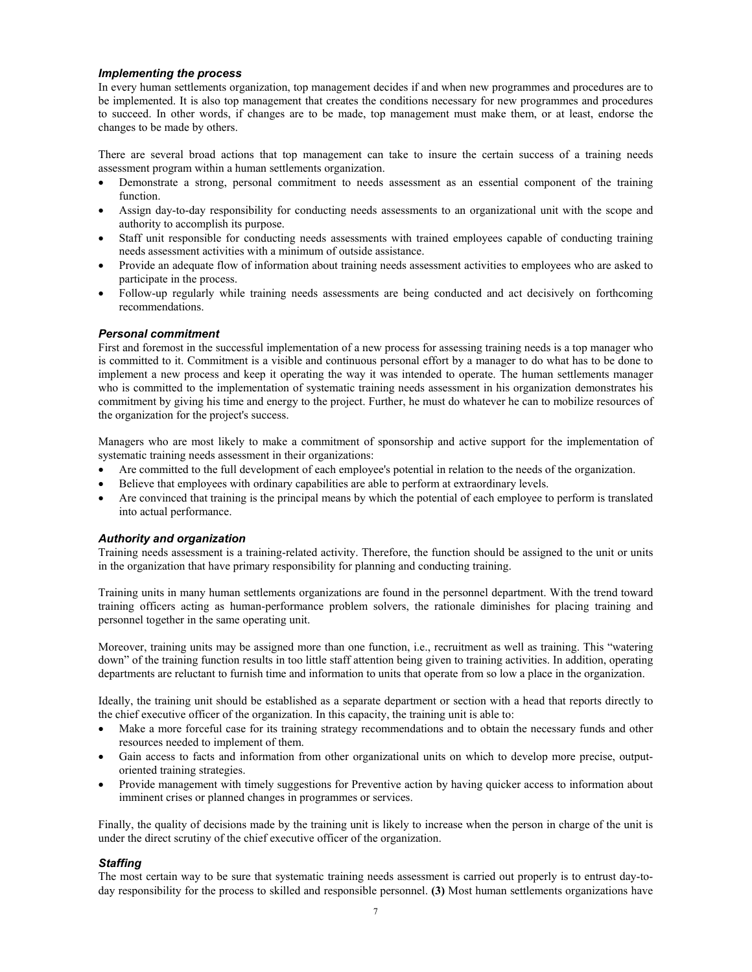## *Implementing the process*

In every human settlements organization, top management decides if and when new programmes and procedures are to be implemented. It is also top management that creates the conditions necessary for new programmes and procedures to succeed. In other words, if changes are to be made, top management must make them, or at least, endorse the changes to be made by others.

There are several broad actions that top management can take to insure the certain success of a training needs assessment program within a human settlements organization.

- Demonstrate a strong, personal commitment to needs assessment as an essential component of the training function.
- Assign day-to-day responsibility for conducting needs assessments to an organizational unit with the scope and authority to accomplish its purpose.
- Staff unit responsible for conducting needs assessments with trained employees capable of conducting training needs assessment activities with a minimum of outside assistance.
- Provide an adequate flow of information about training needs assessment activities to employees who are asked to participate in the process.
- Follow-up regularly while training needs assessments are being conducted and act decisively on forthcoming recommendations.

#### *Personal commitment*

First and foremost in the successful implementation of a new process for assessing training needs is a top manager who is committed to it. Commitment is a visible and continuous personal effort by a manager to do what has to be done to implement a new process and keep it operating the way it was intended to operate. The human settlements manager who is committed to the implementation of systematic training needs assessment in his organization demonstrates his commitment by giving his time and energy to the project. Further, he must do whatever he can to mobilize resources of the organization for the project's success.

Managers who are most likely to make a commitment of sponsorship and active support for the implementation of systematic training needs assessment in their organizations:

- Are committed to the full development of each employee's potential in relation to the needs of the organization.
- Believe that employees with ordinary capabilities are able to perform at extraordinary levels.
- Are convinced that training is the principal means by which the potential of each employee to perform is translated into actual performance.

## *Authority and organization*

Training needs assessment is a training-related activity. Therefore, the function should be assigned to the unit or units in the organization that have primary responsibility for planning and conducting training.

Training units in many human settlements organizations are found in the personnel department. With the trend toward training officers acting as human-performance problem solvers, the rationale diminishes for placing training and personnel together in the same operating unit.

Moreover, training units may be assigned more than one function, i.e., recruitment as well as training. This "watering down" of the training function results in too little staff attention being given to training activities. In addition, operating departments are reluctant to furnish time and information to units that operate from so low a place in the organization.

Ideally, the training unit should be established as a separate department or section with a head that reports directly to the chief executive officer of the organization. In this capacity, the training unit is able to:

- Make a more forceful case for its training strategy recommendations and to obtain the necessary funds and other resources needed to implement of them.
- Gain access to facts and information from other organizational units on which to develop more precise, outputoriented training strategies.
- Provide management with timely suggestions for Preventive action by having quicker access to information about imminent crises or planned changes in programmes or services.

Finally, the quality of decisions made by the training unit is likely to increase when the person in charge of the unit is under the direct scrutiny of the chief executive officer of the organization.

#### *Staffing*

The most certain way to be sure that systematic training needs assessment is carried out properly is to entrust day-today responsibility for the process to skilled and responsible personnel. **(3)** Most human settlements organizations have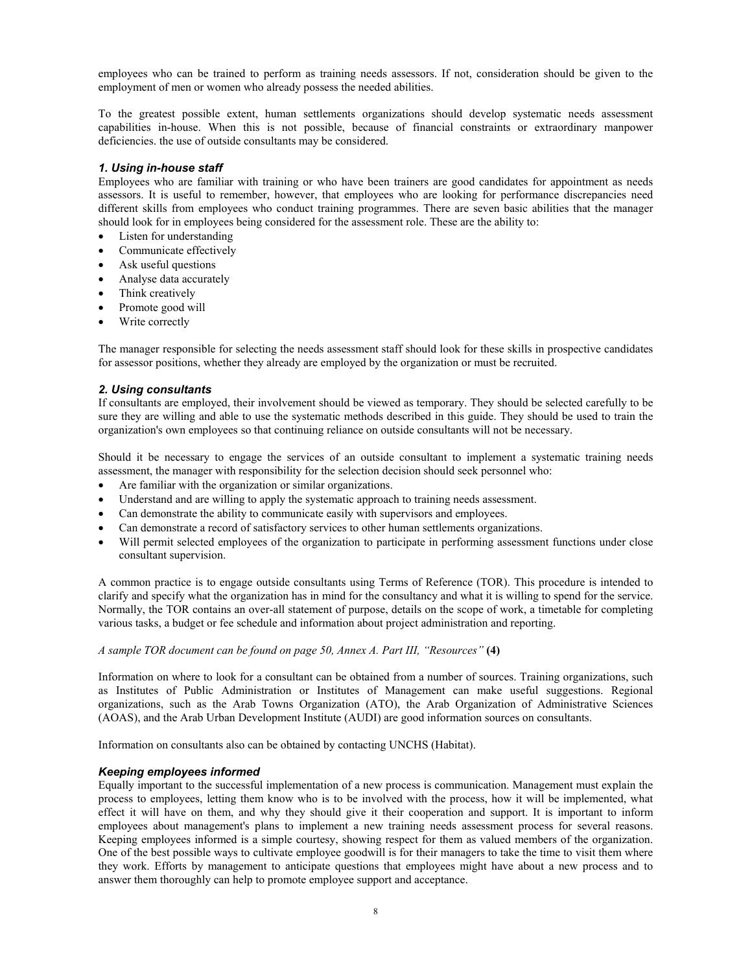employees who can be trained to perform as training needs assessors. If not, consideration should be given to the employment of men or women who already possess the needed abilities.

To the greatest possible extent, human settlements organizations should develop systematic needs assessment capabilities in-house. When this is not possible, because of financial constraints or extraordinary manpower deficiencies. the use of outside consultants may be considered.

### *1. Using in-house staff*

Employees who are familiar with training or who have been trainers are good candidates for appointment as needs assessors. It is useful to remember, however, that employees who are looking for performance discrepancies need different skills from employees who conduct training programmes. There are seven basic abilities that the manager should look for in employees being considered for the assessment role. These are the ability to:

- Listen for understanding
- Communicate effectively
- Ask useful questions
- Analyse data accurately
- Think creatively
- Promote good will
- Write correctly

The manager responsible for selecting the needs assessment staff should look for these skills in prospective candidates for assessor positions, whether they already are employed by the organization or must be recruited.

#### *2. Using consultants*

If consultants are employed, their involvement should be viewed as temporary. They should be selected carefully to be sure they are willing and able to use the systematic methods described in this guide. They should be used to train the organization's own employees so that continuing reliance on outside consultants will not be necessary.

Should it be necessary to engage the services of an outside consultant to implement a systematic training needs assessment, the manager with responsibility for the selection decision should seek personnel who:

- Are familiar with the organization or similar organizations.
- Understand and are willing to apply the systematic approach to training needs assessment.
- Can demonstrate the ability to communicate easily with supervisors and employees.
- Can demonstrate a record of satisfactory services to other human settlements organizations.
- Will permit selected employees of the organization to participate in performing assessment functions under close consultant supervision.

A common practice is to engage outside consultants using Terms of Reference (TOR). This procedure is intended to clarify and specify what the organization has in mind for the consultancy and what it is willing to spend for the service. Normally, the TOR contains an over-all statement of purpose, details on the scope of work, a timetable for completing various tasks, a budget or fee schedule and information about project administration and reporting.

### *A sample TOR document can be found on page 50, Annex A. Part III, "Resources"* **(4)**

Information on where to look for a consultant can be obtained from a number of sources. Training organizations, such as Institutes of Public Administration or Institutes of Management can make useful suggestions. Regional organizations, such as the Arab Towns Organization (ATO), the Arab Organization of Administrative Sciences (AOAS), and the Arab Urban Development Institute (AUDI) are good information sources on consultants.

Information on consultants also can be obtained by contacting UNCHS (Habitat).

#### *Keeping employees informed*

Equally important to the successful implementation of a new process is communication. Management must explain the process to employees, letting them know who is to be involved with the process, how it will be implemented, what effect it will have on them, and why they should give it their cooperation and support. It is important to inform employees about management's plans to implement a new training needs assessment process for several reasons. Keeping employees informed is a simple courtesy, showing respect for them as valued members of the organization. One of the best possible ways to cultivate employee goodwill is for their managers to take the time to visit them where they work. Efforts by management to anticipate questions that employees might have about a new process and to answer them thoroughly can help to promote employee support and acceptance.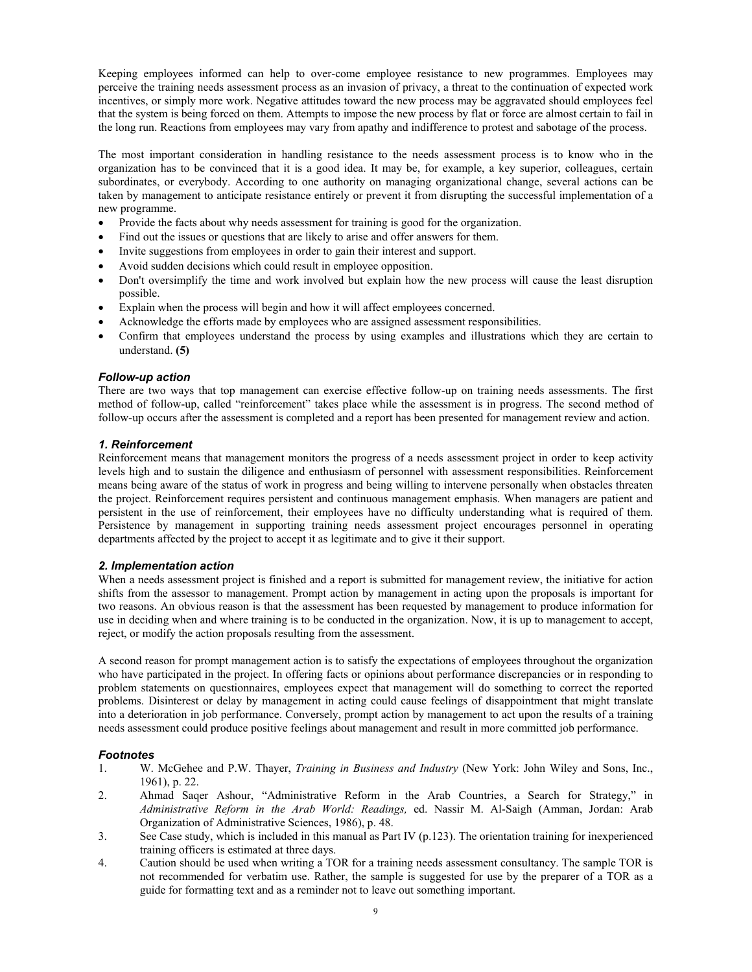Keeping employees informed can help to over-come employee resistance to new programmes. Employees may perceive the training needs assessment process as an invasion of privacy, a threat to the continuation of expected work incentives, or simply more work. Negative attitudes toward the new process may be aggravated should employees feel that the system is being forced on them. Attempts to impose the new process by flat or force are almost certain to fail in the long run. Reactions from employees may vary from apathy and indifference to protest and sabotage of the process.

The most important consideration in handling resistance to the needs assessment process is to know who in the organization has to be convinced that it is a good idea. It may be, for example, a key superior, colleagues, certain subordinates, or everybody. According to one authority on managing organizational change, several actions can be taken by management to anticipate resistance entirely or prevent it from disrupting the successful implementation of a new programme.

- Provide the facts about why needs assessment for training is good for the organization.
- Find out the issues or questions that are likely to arise and offer answers for them.
- Invite suggestions from employees in order to gain their interest and support.
- Avoid sudden decisions which could result in employee opposition.
- Don't oversimplify the time and work involved but explain how the new process will cause the least disruption possible.
- Explain when the process will begin and how it will affect employees concerned.
- Acknowledge the efforts made by employees who are assigned assessment responsibilities.
- Confirm that employees understand the process by using examples and illustrations which they are certain to understand. **(5)**

### *Follow-up action*

There are two ways that top management can exercise effective follow-up on training needs assessments. The first method of follow-up, called "reinforcement" takes place while the assessment is in progress. The second method of follow-up occurs after the assessment is completed and a report has been presented for management review and action.

#### *1. Reinforcement*

Reinforcement means that management monitors the progress of a needs assessment project in order to keep activity levels high and to sustain the diligence and enthusiasm of personnel with assessment responsibilities. Reinforcement means being aware of the status of work in progress and being willing to intervene personally when obstacles threaten the project. Reinforcement requires persistent and continuous management emphasis. When managers are patient and persistent in the use of reinforcement, their employees have no difficulty understanding what is required of them. Persistence by management in supporting training needs assessment project encourages personnel in operating departments affected by the project to accept it as legitimate and to give it their support.

#### *2. Implementation action*

When a needs assessment project is finished and a report is submitted for management review, the initiative for action shifts from the assessor to management. Prompt action by management in acting upon the proposals is important for two reasons. An obvious reason is that the assessment has been requested by management to produce information for use in deciding when and where training is to be conducted in the organization. Now, it is up to management to accept, reject, or modify the action proposals resulting from the assessment.

A second reason for prompt management action is to satisfy the expectations of employees throughout the organization who have participated in the project. In offering facts or opinions about performance discrepancies or in responding to problem statements on questionnaires, employees expect that management will do something to correct the reported problems. Disinterest or delay by management in acting could cause feelings of disappointment that might translate into a deterioration in job performance. Conversely, prompt action by management to act upon the results of a training needs assessment could produce positive feelings about management and result in more committed job performance.

#### *Footnotes*

- 1. W. McGehee and P.W. Thayer, *Training in Business and Industry* (New York: John Wiley and Sons, Inc., 1961), p. 22.
- 2. Ahmad Saqer Ashour, "Administrative Reform in the Arab Countries, a Search for Strategy," in *Administrative Reform in the Arab World: Readings,* ed. Nassir M. Al-Saigh (Amman, Jordan: Arab Organization of Administrative Sciences, 1986), p. 48.
- 3. See Case study, which is included in this manual as Part IV (p.123). The orientation training for inexperienced training officers is estimated at three days.
- 4. Caution should be used when writing a TOR for a training needs assessment consultancy. The sample TOR is not recommended for verbatim use. Rather, the sample is suggested for use by the preparer of a TOR as a guide for formatting text and as a reminder not to leave out something important.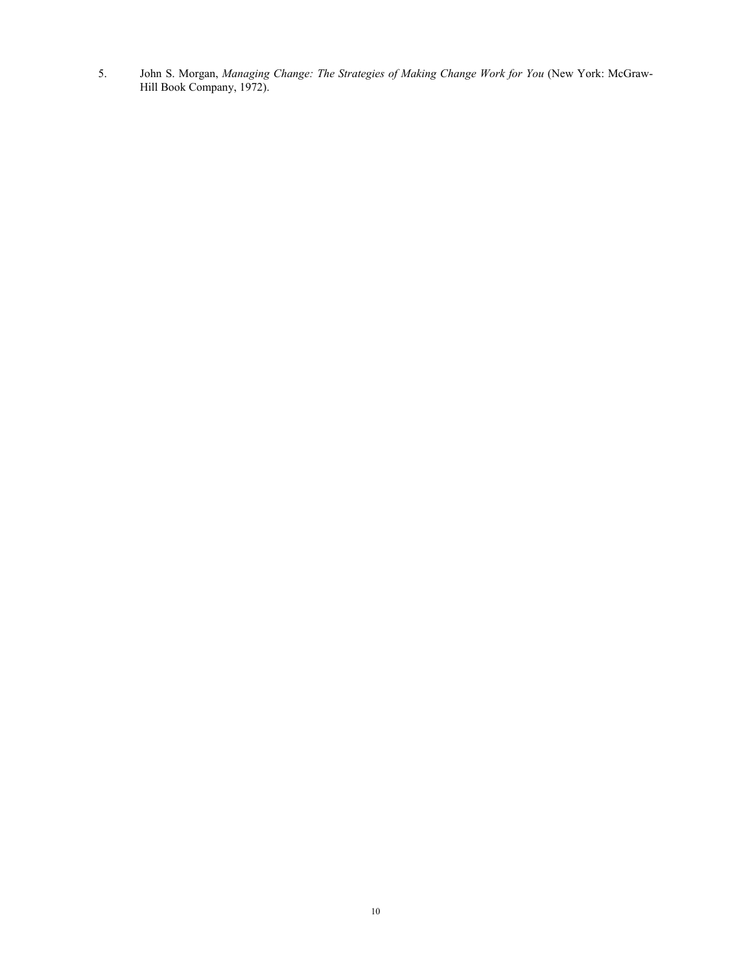5. John S. Morgan, *Managing Change: The Strategies of Making Change Work for You* (New York: McGraw-Hill Book Company, 1972).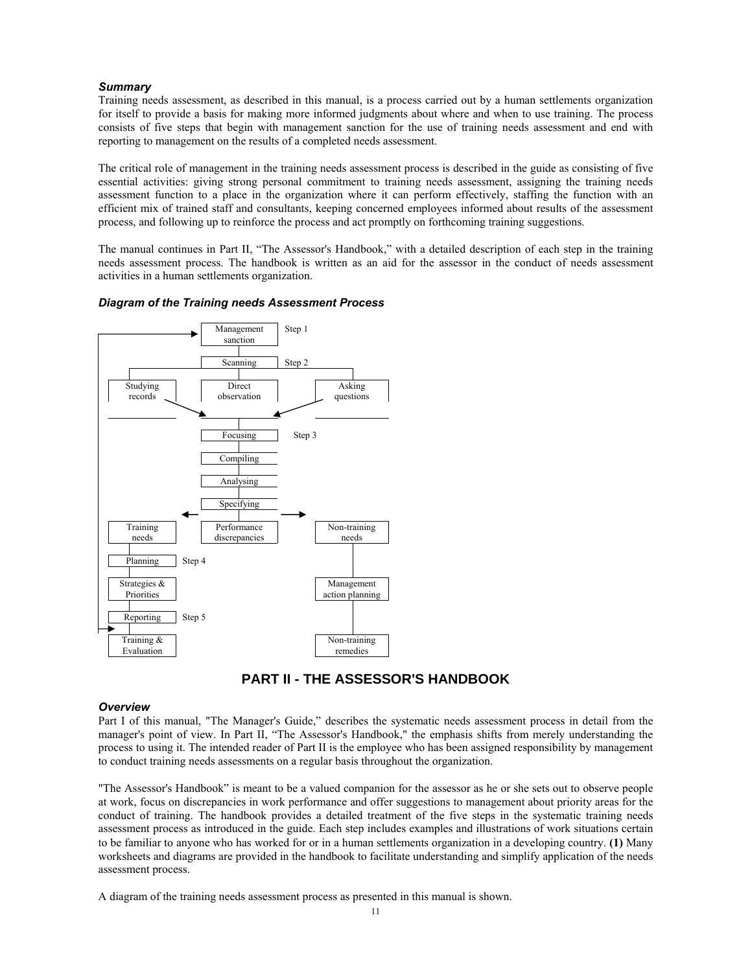#### *Summary*

Training needs assessment, as described in this manual, is a process carried out by a human settlements organization for itself to provide a basis for making more informed judgments about where and when to use training. The process consists of five steps that begin with management sanction for the use of training needs assessment and end with reporting to management on the results of a completed needs assessment.

The critical role of management in the training needs assessment process is described in the guide as consisting of five essential activities: giving strong personal commitment to training needs assessment, assigning the training needs assessment function to a place in the organization where it can perform effectively, staffing the function with an efficient mix of trained staff and consultants, keeping concerned employees informed about results of the assessment process, and following up to reinforce the process and act promptly on forthcoming training suggestions.

The manual continues in Part II, "The Assessor's Handbook," with a detailed description of each step in the training needs assessment process. The handbook is written as an aid for the assessor in the conduct of needs assessment activities in a human settlements organization.



#### *Diagram of the Training needs Assessment Process*



### *Overview*

Part I of this manual, "The Manager's Guide," describes the systematic needs assessment process in detail from the manager's point of view. In Part II, "The Assessor's Handbook," the emphasis shifts from merely understanding the process to using it. The intended reader of Part II is the employee who has been assigned responsibility by management to conduct training needs assessments on a regular basis throughout the organization.

"The Assessor's Handbook" is meant to be a valued companion for the assessor as he or she sets out to observe people at work, focus on discrepancies in work performance and offer suggestions to management about priority areas for the conduct of training. The handbook provides a detailed treatment of the five steps in the systematic training needs assessment process as introduced in the guide. Each step includes examples and illustrations of work situations certain to be familiar to anyone who has worked for or in a human settlements organization in a developing country. **(1)** Many worksheets and diagrams are provided in the handbook to facilitate understanding and simplify application of the needs assessment process.

A diagram of the training needs assessment process as presented in this manual is shown.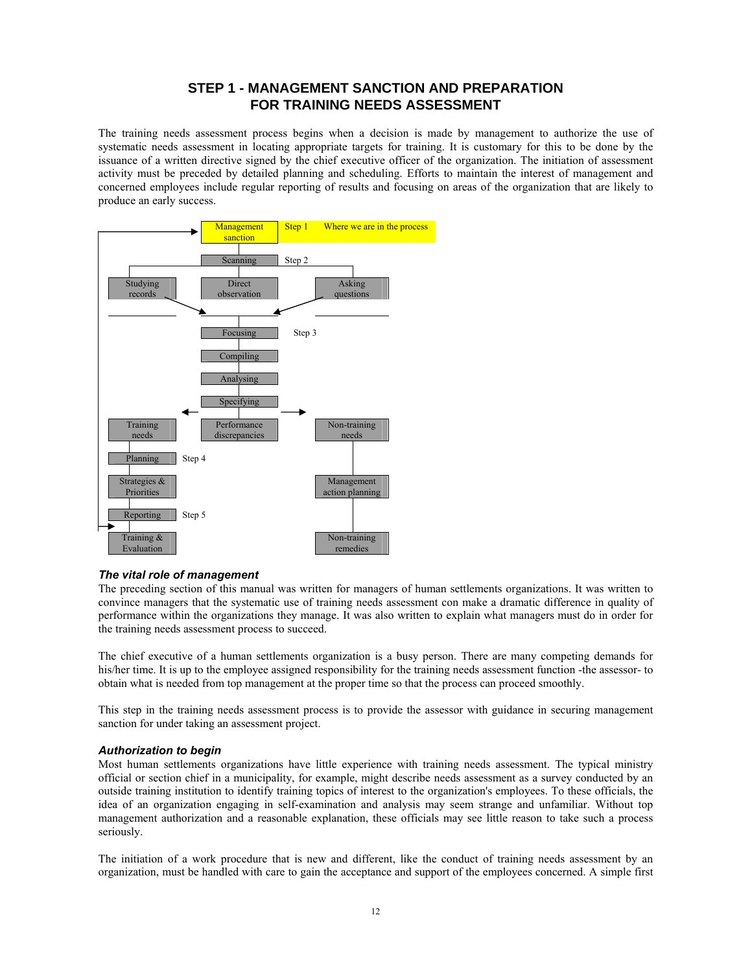# **STEP 1 - MANAGEMENT SANCTION AND PREPARATION FOR TRAINING NEEDS ASSESSMENT**

The training needs assessment process begins when a decision is made by management to authorize the use of systematic needs assessment in locating appropriate targets for training. It is customary for this to be done by the issuance of a written directive signed by the chief executive officer of the organization. The initiation of assessment activity must be preceded by detailed planning and scheduling. Efforts to maintain the interest of management and concerned employees include regular reporting of results and focusing on areas of the organization that are likely to produce an early success.



# *The vital role of management*

The preceding section of this manual was written for managers of human settlements organizations. It was written to convince managers that the systematic use of training needs assessment con make a dramatic difference in quality of performance within the organizations they manage. It was also written to explain what managers must do in order for the training needs assessment process to succeed.

The chief executive of a human settlements organization is a busy person. There are many competing demands for his/her time. It is up to the employee assigned responsibility for the training needs assessment function -the assessor- to obtain what is needed from top management at the proper time so that the process can proceed smoothly.

This step in the training needs assessment process is to provide the assessor with guidance in securing management sanction for under taking an assessment project.

## *Authorization to begin*

Most human settlements organizations have little experience with training needs assessment. The typical ministry official or section chief in a municipality, for example, might describe needs assessment as a survey conducted by an outside training institution to identify training topics of interest to the organization's employees. To these officials, the idea of an organization engaging in self-examination and analysis may seem strange and unfamiliar. Without top management authorization and a reasonable explanation, these officials may see little reason to take such a process seriously.

The initiation of a work procedure that is new and different, like the conduct of training needs assessment by an organization, must be handled with care to gain the acceptance and support of the employees concerned. A simple first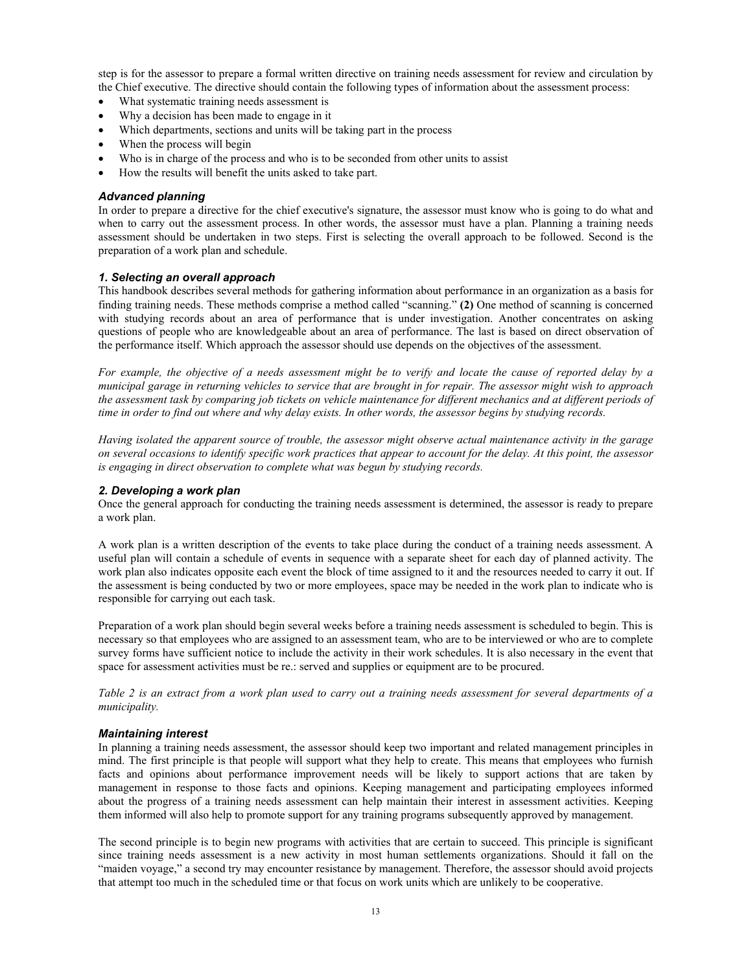step is for the assessor to prepare a formal written directive on training needs assessment for review and circulation by the Chief executive. The directive should contain the following types of information about the assessment process:

- What systematic training needs assessment is
- Why a decision has been made to engage in it
- Which departments, sections and units will be taking part in the process
- When the process will begin
- Who is in charge of the process and who is to be seconded from other units to assist
- How the results will benefit the units asked to take part.

## *Advanced planning*

In order to prepare a directive for the chief executive's signature, the assessor must know who is going to do what and when to carry out the assessment process. In other words, the assessor must have a plan. Planning a training needs assessment should be undertaken in two steps. First is selecting the overall approach to be followed. Second is the preparation of a work plan and schedule.

# *1. Selecting an overall approach*

This handbook describes several methods for gathering information about performance in an organization as a basis for finding training needs. These methods comprise a method called "scanning." **(2)** One method of scanning is concerned with studying records about an area of performance that is under investigation. Another concentrates on asking questions of people who are knowledgeable about an area of performance. The last is based on direct observation of the performance itself. Which approach the assessor should use depends on the objectives of the assessment.

*For example, the objective of a needs assessment might be to verify and locate the cause of reported delay by a municipal garage in returning vehicles to service that are brought in for repair. The assessor might wish to approach the assessment task by comparing job tickets on vehicle maintenance for different mechanics and at different periods of time in order to find out where and why delay exists. In other words, the assessor begins by studying records.* 

*Having isolated the apparent source of trouble, the assessor might observe actual maintenance activity in the garage on several occasions to identify specific work practices that appear to account for the delay. At this point, the assessor is engaging in direct observation to complete what was begun by studying records.* 

## *2. Developing a work plan*

Once the general approach for conducting the training needs assessment is determined, the assessor is ready to prepare a work plan.

A work plan is a written description of the events to take place during the conduct of a training needs assessment. A useful plan will contain a schedule of events in sequence with a separate sheet for each day of planned activity. The work plan also indicates opposite each event the block of time assigned to it and the resources needed to carry it out. If the assessment is being conducted by two or more employees, space may be needed in the work plan to indicate who is responsible for carrying out each task.

Preparation of a work plan should begin several weeks before a training needs assessment is scheduled to begin. This is necessary so that employees who are assigned to an assessment team, who are to be interviewed or who are to complete survey forms have sufficient notice to include the activity in their work schedules. It is also necessary in the event that space for assessment activities must be re.: served and supplies or equipment are to be procured.

*Table 2 is an extract from a work plan used to carry out a training needs assessment for several departments of a municipality.* 

## *Maintaining interest*

In planning a training needs assessment, the assessor should keep two important and related management principles in mind. The first principle is that people will support what they help to create. This means that employees who furnish facts and opinions about performance improvement needs will be likely to support actions that are taken by management in response to those facts and opinions. Keeping management and participating employees informed about the progress of a training needs assessment can help maintain their interest in assessment activities. Keeping them informed will also help to promote support for any training programs subsequently approved by management.

The second principle is to begin new programs with activities that are certain to succeed. This principle is significant since training needs assessment is a new activity in most human settlements organizations. Should it fall on the "maiden voyage," a second try may encounter resistance by management. Therefore, the assessor should avoid projects that attempt too much in the scheduled time or that focus on work units which are unlikely to be cooperative.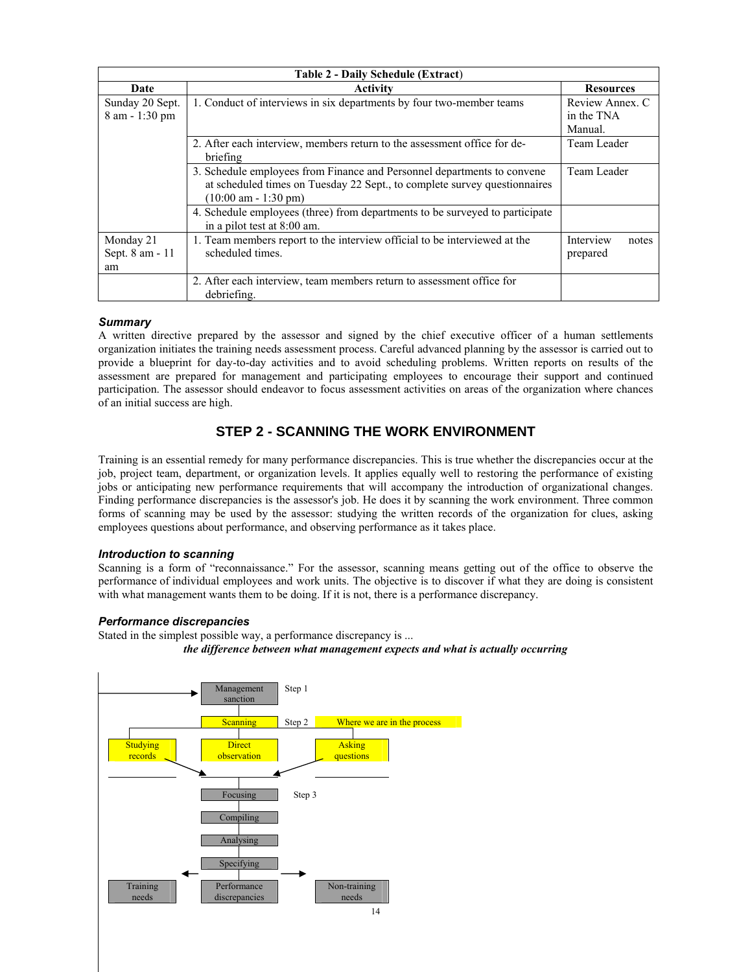| <b>Table 2 - Daily Schedule (Extract)</b> |                                                                                                                                                                                 |                                |  |  |  |  |  |
|-------------------------------------------|---------------------------------------------------------------------------------------------------------------------------------------------------------------------------------|--------------------------------|--|--|--|--|--|
| Date                                      | Activity                                                                                                                                                                        | <b>Resources</b>               |  |  |  |  |  |
| Sunday 20 Sept.<br>8 am - 1:30 pm         | 1. Conduct of interviews in six departments by four two-member teams                                                                                                            |                                |  |  |  |  |  |
|                                           | 2. After each interview, members return to the assessment office for de-<br>briefing                                                                                            | Team Leader                    |  |  |  |  |  |
|                                           | 3. Schedule employees from Finance and Personnel departments to convene<br>at scheduled times on Tuesday 22 Sept., to complete survey questionnaires<br>$(10:00$ am $-1:30$ pm) | Team Leader                    |  |  |  |  |  |
|                                           | 4. Schedule employees (three) from departments to be surveyed to participate<br>in a pilot test at 8:00 am.                                                                     |                                |  |  |  |  |  |
| Monday 21<br>Sept. 8 am - 11<br>am        | 1. Team members report to the interview official to be interviewed at the<br>scheduled times.                                                                                   | Interview<br>notes<br>prepared |  |  |  |  |  |
|                                           | 2. After each interview, team members return to assessment office for<br>debriefing.                                                                                            |                                |  |  |  |  |  |

# *Summary*

A written directive prepared by the assessor and signed by the chief executive officer of a human settlements organization initiates the training needs assessment process. Careful advanced planning by the assessor is carried out to provide a blueprint for day-to-day activities and to avoid scheduling problems. Written reports on results of the assessment are prepared for management and participating employees to encourage their support and continued participation. The assessor should endeavor to focus assessment activities on areas of the organization where chances of an initial success are high.

# **STEP 2 - SCANNING THE WORK ENVIRONMENT**

Training is an essential remedy for many performance discrepancies. This is true whether the discrepancies occur at the job, project team, department, or organization levels. It applies equally well to restoring the performance of existing jobs or anticipating new performance requirements that will accompany the introduction of organizational changes. Finding performance discrepancies is the assessor's job. He does it by scanning the work environment. Three common forms of scanning may be used by the assessor: studying the written records of the organization for clues, asking employees questions about performance, and observing performance as it takes place.

# *Introduction to scanning*

Scanning is a form of "reconnaissance." For the assessor, scanning means getting out of the office to observe the performance of individual employees and work units. The objective is to discover if what they are doing is consistent with what management wants them to be doing. If it is not, there is a performance discrepancy.

# *Performance discrepancies*

Stated in the simplest possible way, a performance discrepancy is ... *the difference between what management expects and what is actually occurring* 

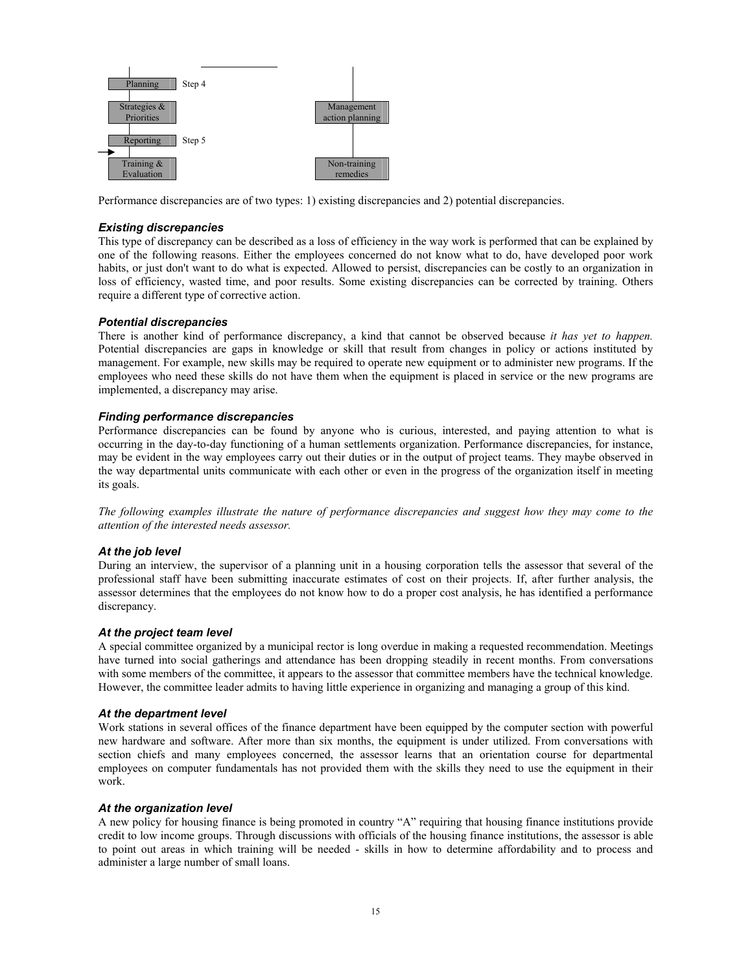

Performance discrepancies are of two types: 1) existing discrepancies and 2) potential discrepancies.

### *Existing discrepancies*

This type of discrepancy can be described as a loss of efficiency in the way work is performed that can be explained by one of the following reasons. Either the employees concerned do not know what to do, have developed poor work habits, or just don't want to do what is expected. Allowed to persist, discrepancies can be costly to an organization in loss of efficiency, wasted time, and poor results. Some existing discrepancies can be corrected by training. Others require a different type of corrective action.

#### *Potential discrepancies*

There is another kind of performance discrepancy, a kind that cannot be observed because *it has yet to happen.* Potential discrepancies are gaps in knowledge or skill that result from changes in policy or actions instituted by management. For example, new skills may be required to operate new equipment or to administer new programs. If the employees who need these skills do not have them when the equipment is placed in service or the new programs are implemented, a discrepancy may arise.

### *Finding performance discrepancies*

Performance discrepancies can be found by anyone who is curious, interested, and paying attention to what is occurring in the day-to-day functioning of a human settlements organization. Performance discrepancies, for instance, may be evident in the way employees carry out their duties or in the output of project teams. They maybe observed in the way departmental units communicate with each other or even in the progress of the organization itself in meeting its goals.

*The following examples illustrate the nature of performance discrepancies and suggest how they may come to the attention of the interested needs assessor.* 

## *At the job level*

During an interview, the supervisor of a planning unit in a housing corporation tells the assessor that several of the professional staff have been submitting inaccurate estimates of cost on their projects. If, after further analysis, the assessor determines that the employees do not know how to do a proper cost analysis, he has identified a performance discrepancy.

### *At the project team level*

A special committee organized by a municipal rector is long overdue in making a requested recommendation. Meetings have turned into social gatherings and attendance has been dropping steadily in recent months. From conversations with some members of the committee, it appears to the assessor that committee members have the technical knowledge. However, the committee leader admits to having little experience in organizing and managing a group of this kind.

#### *At the department level*

Work stations in several offices of the finance department have been equipped by the computer section with powerful new hardware and software. After more than six months, the equipment is under utilized. From conversations with section chiefs and many employees concerned, the assessor learns that an orientation course for departmental employees on computer fundamentals has not provided them with the skills they need to use the equipment in their work.

#### *At the organization level*

A new policy for housing finance is being promoted in country "A" requiring that housing finance institutions provide credit to low income groups. Through discussions with officials of the housing finance institutions, the assessor is able to point out areas in which training will be needed - skills in how to determine affordability and to process and administer a large number of small loans.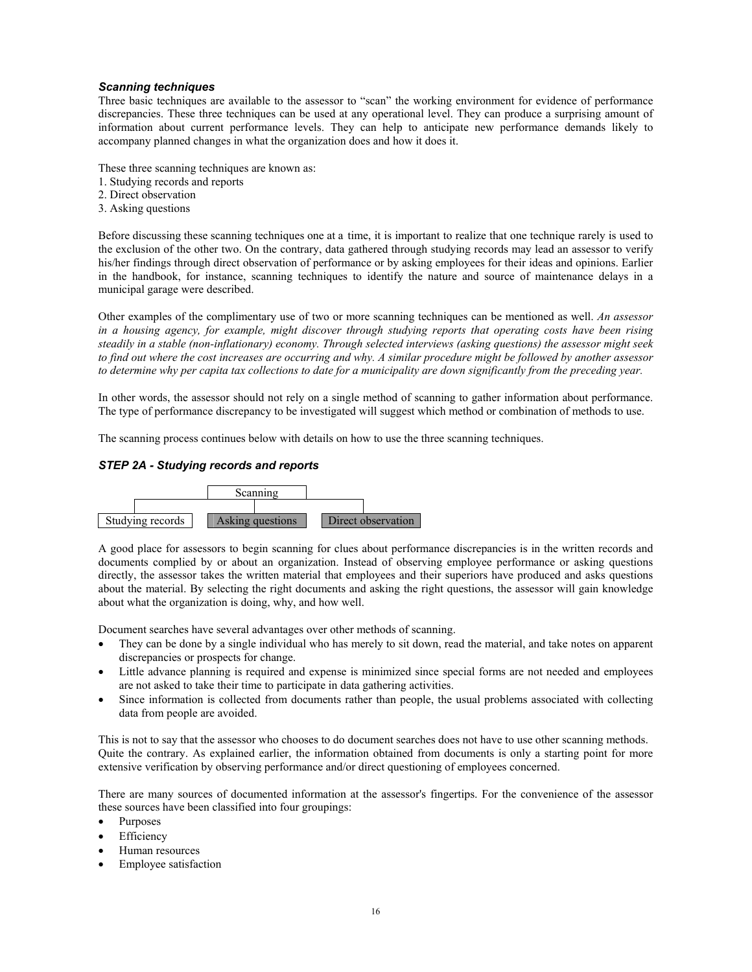## *Scanning techniques*

Three basic techniques are available to the assessor to "scan" the working environment for evidence of performance discrepancies. These three techniques can be used at any operational level. They can produce a surprising amount of information about current performance levels. They can help to anticipate new performance demands likely to accompany planned changes in what the organization does and how it does it.

These three scanning techniques are known as:

- 1. Studying records and reports
- 2. Direct observation
- 3. Asking questions

Before discussing these scanning techniques one at a time, it is important to realize that one technique rarely is used to the exclusion of the other two. On the contrary, data gathered through studying records may lead an assessor to verify his/her findings through direct observation of performance or by asking employees for their ideas and opinions. Earlier in the handbook, for instance, scanning techniques to identify the nature and source of maintenance delays in a municipal garage were described.

Other examples of the complimentary use of two or more scanning techniques can be mentioned as well. *An assessor in a housing agency, for example, might discover through studying reports that operating costs have been rising steadily in a stable (non-inflationary) economy. Through selected interviews (asking questions) the assessor might seek to find out where the cost increases are occurring and why. A similar procedure might be followed by another assessor to determine why per capita tax collections to date for a municipality are down significantly from the preceding year.*

In other words, the assessor should not rely on a single method of scanning to gather information about performance. The type of performance discrepancy to be investigated will suggest which method or combination of methods to use.

The scanning process continues below with details on how to use the three scanning techniques.

## *STEP 2A - Studying records and reports*



A good place for assessors to begin scanning for clues about performance discrepancies is in the written records and documents complied by or about an organization. Instead of observing employee performance or asking questions directly, the assessor takes the written material that employees and their superiors have produced and asks questions about the material. By selecting the right documents and asking the right questions, the assessor will gain knowledge about what the organization is doing, why, and how well.

Document searches have several advantages over other methods of scanning.

- They can be done by a single individual who has merely to sit down, read the material, and take notes on apparent discrepancies or prospects for change.
- Little advance planning is required and expense is minimized since special forms are not needed and employees are not asked to take their time to participate in data gathering activities.
- Since information is collected from documents rather than people, the usual problems associated with collecting data from people are avoided.

This is not to say that the assessor who chooses to do document searches does not have to use other scanning methods. Quite the contrary. As explained earlier, the information obtained from documents is only a starting point for more extensive verification by observing performance and/or direct questioning of employees concerned.

There are many sources of documented information at the assessor's fingertips. For the convenience of the assessor these sources have been classified into four groupings:

- **Purposes**
- **Efficiency**
- Human resources
- **Employee satisfaction**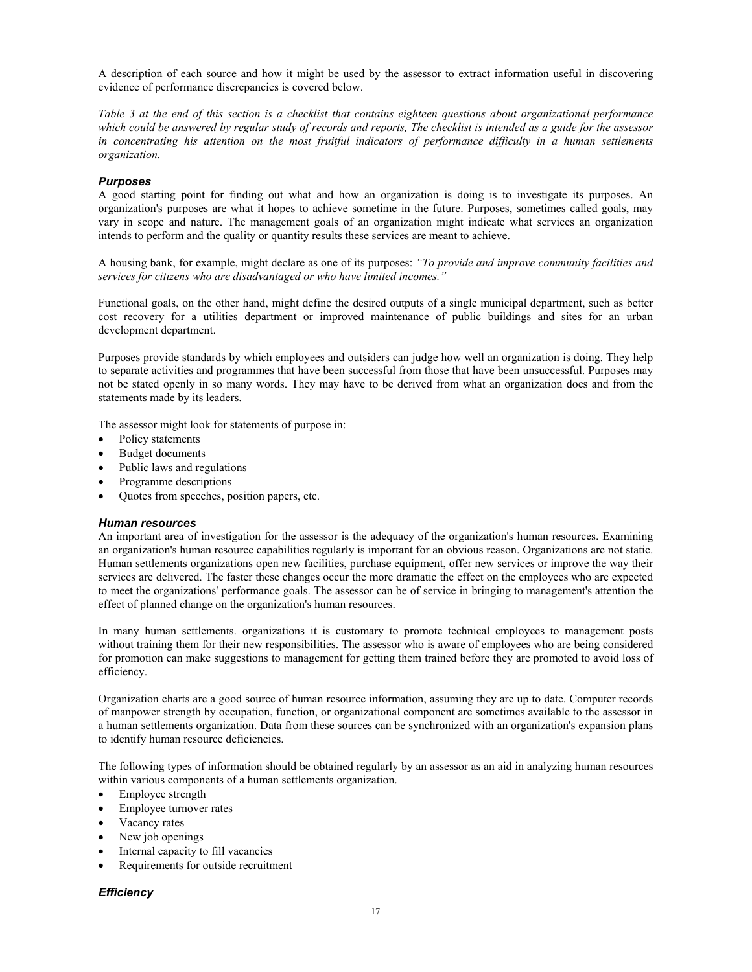A description of each source and how it might be used by the assessor to extract information useful in discovering evidence of performance discrepancies is covered below.

*Table 3 at the end of this section is a checklist that contains eighteen questions about organizational performance which could be answered by regular study of records and reports, The checklist is intended as a guide for the assessor in concentrating his attention on the most fruitful indicators of performance difficulty in a human settlements organization.* 

## *Purposes*

A good starting point for finding out what and how an organization is doing is to investigate its purposes. An organization's purposes are what it hopes to achieve sometime in the future. Purposes, sometimes called goals, may vary in scope and nature. The management goals of an organization might indicate what services an organization intends to perform and the quality or quantity results these services are meant to achieve.

A housing bank, for example, might declare as one of its purposes: *"To provide and improve community facilities and services for citizens who are disadvantaged or who have limited incomes."* 

Functional goals, on the other hand, might define the desired outputs of a single municipal department, such as better cost recovery for a utilities department or improved maintenance of public buildings and sites for an urban development department.

Purposes provide standards by which employees and outsiders can judge how well an organization is doing. They help to separate activities and programmes that have been successful from those that have been unsuccessful. Purposes may not be stated openly in so many words. They may have to be derived from what an organization does and from the statements made by its leaders.

The assessor might look for statements of purpose in:

- Policy statements
- Budget documents
- Public laws and regulations
- Programme descriptions
- Quotes from speeches, position papers, etc.

#### *Human resources*

An important area of investigation for the assessor is the adequacy of the organization's human resources. Examining an organization's human resource capabilities regularly is important for an obvious reason. Organizations are not static. Human settlements organizations open new facilities, purchase equipment, offer new services or improve the way their services are delivered. The faster these changes occur the more dramatic the effect on the employees who are expected to meet the organizations' performance goals. The assessor can be of service in bringing to management's attention the effect of planned change on the organization's human resources.

In many human settlements. organizations it is customary to promote technical employees to management posts without training them for their new responsibilities. The assessor who is aware of employees who are being considered for promotion can make suggestions to management for getting them trained before they are promoted to avoid loss of efficiency.

Organization charts are a good source of human resource information, assuming they are up to date. Computer records of manpower strength by occupation, function, or organizational component are sometimes available to the assessor in a human settlements organization. Data from these sources can be synchronized with an organization's expansion plans to identify human resource deficiencies.

The following types of information should be obtained regularly by an assessor as an aid in analyzing human resources within various components of a human settlements organization.

- Employee strength
- Employee turnover rates
- Vacancy rates
- New job openings
- Internal capacity to fill vacancies
- Requirements for outside recruitment

#### *Efficiency*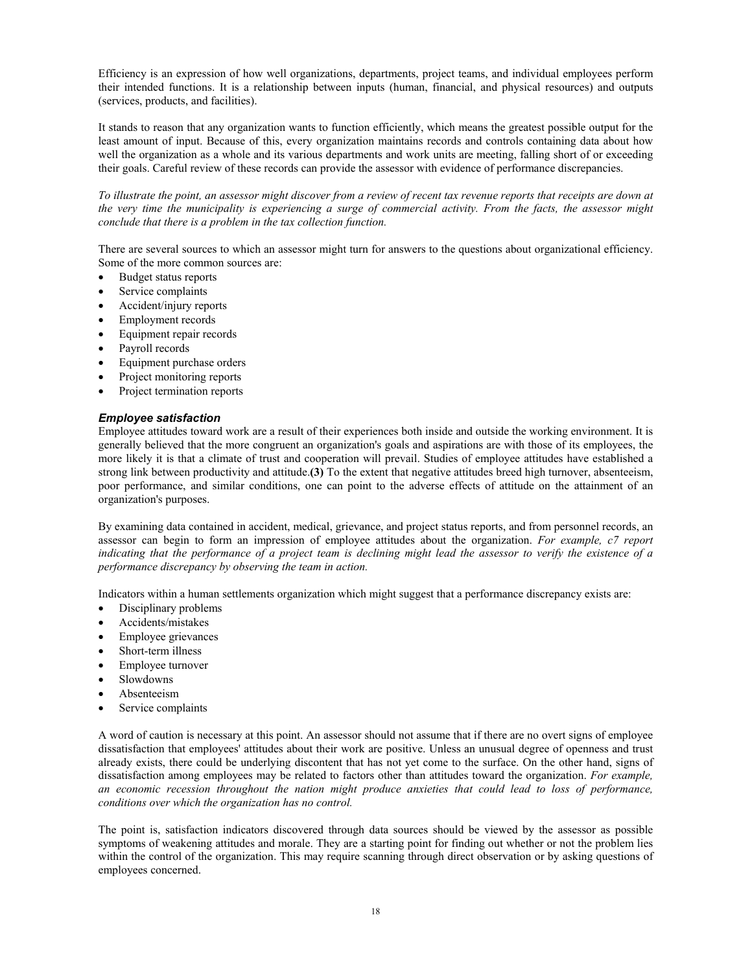Efficiency is an expression of how well organizations, departments, project teams, and individual employees perform their intended functions. It is a relationship between inputs (human, financial, and physical resources) and outputs (services, products, and facilities).

It stands to reason that any organization wants to function efficiently, which means the greatest possible output for the least amount of input. Because of this, every organization maintains records and controls containing data about how well the organization as a whole and its various departments and work units are meeting, falling short of or exceeding their goals. Careful review of these records can provide the assessor with evidence of performance discrepancies.

*To illustrate the point, an assessor might discover from a review of recent tax revenue reports that receipts are down at the very time the municipality is experiencing a surge of commercial activity. From the facts, the assessor might conclude that there is a problem in the tax collection function.* 

There are several sources to which an assessor might turn for answers to the questions about organizational efficiency. Some of the more common sources are:

- Budget status reports
- Service complaints
- Accident/injury reports
- Employment records
- Equipment repair records
- Payroll records
- Equipment purchase orders
- Project monitoring reports
- Project termination reports

# *Employee satisfaction*

Employee attitudes toward work are a result of their experiences both inside and outside the working environment. It is generally believed that the more congruent an organization's goals and aspirations are with those of its employees, the more likely it is that a climate of trust and cooperation will prevail. Studies of employee attitudes have established a strong link between productivity and attitude.**(3)** To the extent that negative attitudes breed high turnover, absenteeism, poor performance, and similar conditions, one can point to the adverse effects of attitude on the attainment of an organization's purposes.

By examining data contained in accident, medical, grievance, and project status reports, and from personnel records, an assessor can begin to form an impression of employee attitudes about the organization. *For example, c7 report indicating that the performance of a project team is declining might lead the assessor to verify the existence of a performance discrepancy by observing the team in action.* 

Indicators within a human settlements organization which might suggest that a performance discrepancy exists are:

- Disciplinary problems
- Accidents/mistakes
- Employee grievances
- Short-term illness
- Employee turnover
- Slowdowns
- Absenteeism
- Service complaints

A word of caution is necessary at this point. An assessor should not assume that if there are no overt signs of employee dissatisfaction that employees' attitudes about their work are positive. Unless an unusual degree of openness and trust already exists, there could be underlying discontent that has not yet come to the surface. On the other hand, signs of dissatisfaction among employees may be related to factors other than attitudes toward the organization. *For example, an economic recession throughout the nation might produce anxieties that could lead to loss of performance, conditions over which the organization has no control.* 

The point is, satisfaction indicators discovered through data sources should be viewed by the assessor as possible symptoms of weakening attitudes and morale. They are a starting point for finding out whether or not the problem lies within the control of the organization. This may require scanning through direct observation or by asking questions of employees concerned.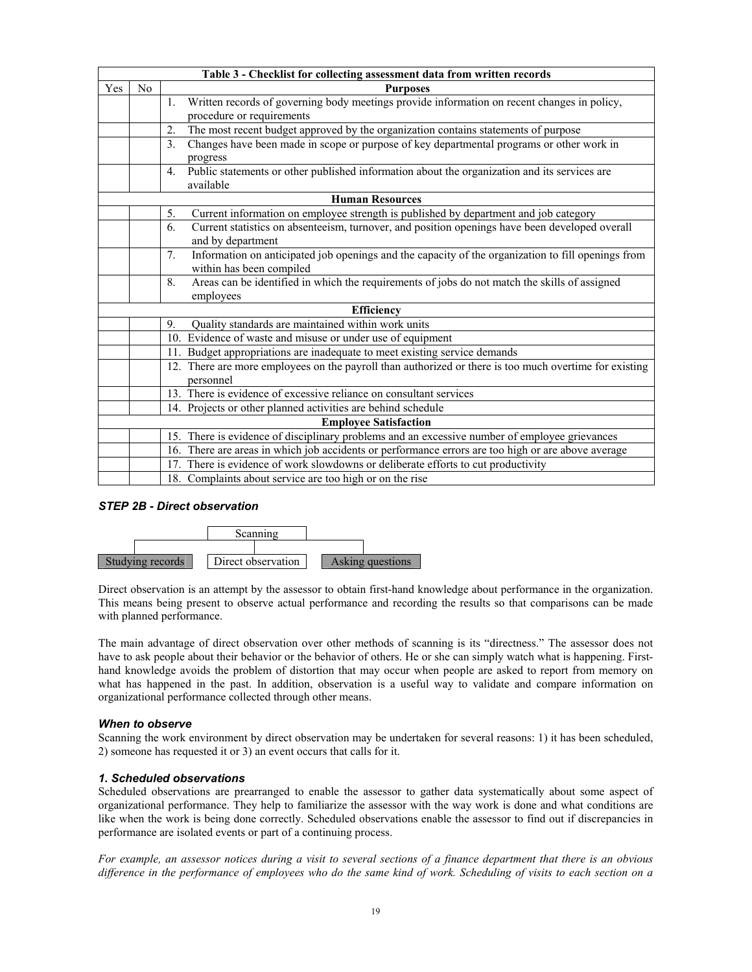|     |    | Table 3 - Checklist for collecting assessment data from written records                                  |
|-----|----|----------------------------------------------------------------------------------------------------------|
| Yes | No | <b>Purposes</b>                                                                                          |
|     |    | Written records of governing body meetings provide information on recent changes in policy,<br>1.        |
|     |    | procedure or requirements                                                                                |
|     |    | The most recent budget approved by the organization contains statements of purpose<br>2.                 |
|     |    | Changes have been made in scope or purpose of key departmental programs or other work in<br>3.           |
|     |    | progress                                                                                                 |
|     |    | Public statements or other published information about the organization and its services are<br>4.       |
|     |    | available                                                                                                |
|     |    | <b>Human Resources</b>                                                                                   |
|     |    | 5.<br>Current information on employee strength is published by department and job category               |
|     |    | Current statistics on absenteeism, turnover, and position openings have been developed overall<br>6.     |
|     |    | and by department                                                                                        |
|     |    | Information on anticipated job openings and the capacity of the organization to fill openings from<br>7. |
|     |    | within has been compiled                                                                                 |
|     |    | Areas can be identified in which the requirements of jobs do not match the skills of assigned<br>8.      |
|     |    | employees                                                                                                |
|     |    | Efficiency                                                                                               |
|     |    | Quality standards are maintained within work units<br>9.                                                 |
|     |    | 10. Evidence of waste and misuse or under use of equipment                                               |
|     |    | 11. Budget appropriations are inadequate to meet existing service demands                                |
|     |    | 12. There are more employees on the payroll than authorized or there is too much overtime for existing   |
|     |    | personnel                                                                                                |
|     |    | 13. There is evidence of excessive reliance on consultant services                                       |
|     |    | 14. Projects or other planned activities are behind schedule                                             |
|     |    | <b>Employee Satisfaction</b>                                                                             |
|     |    | 15. There is evidence of disciplinary problems and an excessive number of employee grievances            |
|     |    | 16. There are areas in which job accidents or performance errors are too high or are above average       |
|     |    | 17. There is evidence of work slowdowns or deliberate efforts to cut productivity                        |
|     |    | 18. Complaints about service are too high or on the rise                                                 |

# *STEP 2B - Direct observation*



Direct observation is an attempt by the assessor to obtain first-hand knowledge about performance in the organization. This means being present to observe actual performance and recording the results so that comparisons can be made with planned performance.

The main advantage of direct observation over other methods of scanning is its "directness." The assessor does not have to ask people about their behavior or the behavior of others. He or she can simply watch what is happening. Firsthand knowledge avoids the problem of distortion that may occur when people are asked to report from memory on what has happened in the past. In addition, observation is a useful way to validate and compare information on organizational performance collected through other means.

## *When to observe*

Scanning the work environment by direct observation may be undertaken for several reasons: 1) it has been scheduled, 2) someone has requested it or 3) an event occurs that calls for it.

## *1. Scheduled observations*

Scheduled observations are prearranged to enable the assessor to gather data systematically about some aspect of organizational performance. They help to familiarize the assessor with the way work is done and what conditions are like when the work is being done correctly. Scheduled observations enable the assessor to find out if discrepancies in performance are isolated events or part of a continuing process.

*For example, an assessor notices during a visit to several sections of a finance department that there is an obvious difference in the performance of employees who do the same kind of work. Scheduling of visits to each section on a*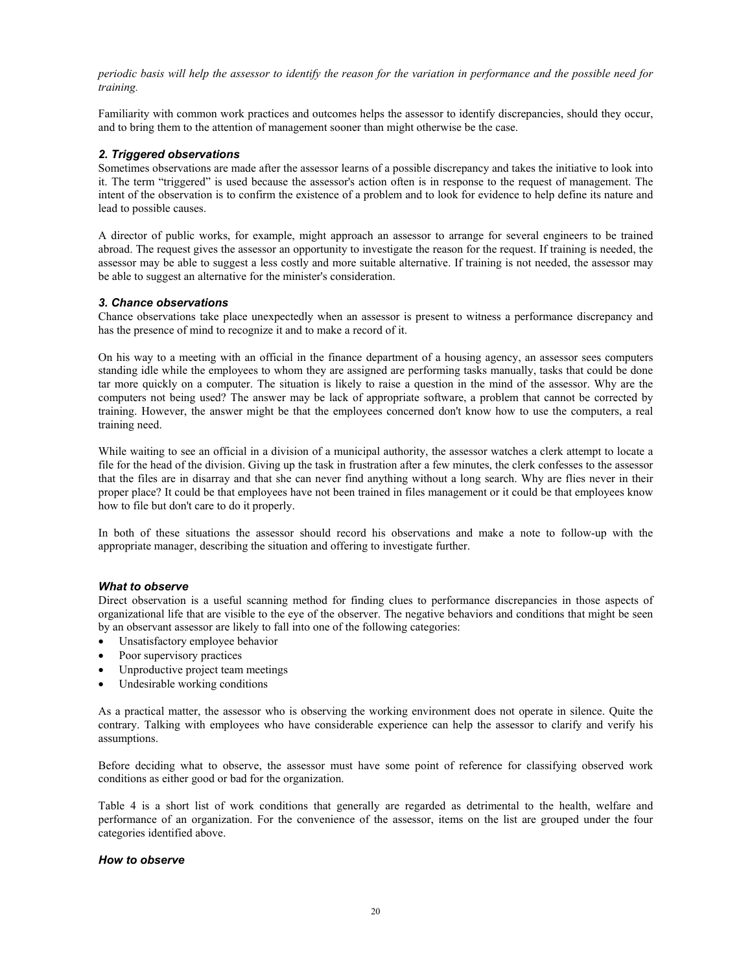*periodic basis will help the assessor to identify the reason for the variation in performance and the possible need for training.* 

Familiarity with common work practices and outcomes helps the assessor to identify discrepancies, should they occur, and to bring them to the attention of management sooner than might otherwise be the case.

### *2. Triggered observations*

Sometimes observations are made after the assessor learns of a possible discrepancy and takes the initiative to look into it. The term "triggered" is used because the assessor's action often is in response to the request of management. The intent of the observation is to confirm the existence of a problem and to look for evidence to help define its nature and lead to possible causes.

A director of public works, for example, might approach an assessor to arrange for several engineers to be trained abroad. The request gives the assessor an opportunity to investigate the reason for the request. If training is needed, the assessor may be able to suggest a less costly and more suitable alternative. If training is not needed, the assessor may be able to suggest an alternative for the minister's consideration.

#### *3. Chance observations*

Chance observations take place unexpectedly when an assessor is present to witness a performance discrepancy and has the presence of mind to recognize it and to make a record of it.

On his way to a meeting with an official in the finance department of a housing agency, an assessor sees computers standing idle while the employees to whom they are assigned are performing tasks manually, tasks that could be done tar more quickly on a computer. The situation is likely to raise a question in the mind of the assessor. Why are the computers not being used? The answer may be lack of appropriate software, a problem that cannot be corrected by training. However, the answer might be that the employees concerned don't know how to use the computers, a real training need.

While waiting to see an official in a division of a municipal authority, the assessor watches a clerk attempt to locate a file for the head of the division. Giving up the task in frustration after a few minutes, the clerk confesses to the assessor that the files are in disarray and that she can never find anything without a long search. Why are flies never in their proper place? It could be that employees have not been trained in files management or it could be that employees know how to file but don't care to do it properly.

In both of these situations the assessor should record his observations and make a note to follow-up with the appropriate manager, describing the situation and offering to investigate further.

#### *What to observe*

Direct observation is a useful scanning method for finding clues to performance discrepancies in those aspects of organizational life that are visible to the eye of the observer. The negative behaviors and conditions that might be seen by an observant assessor are likely to fall into one of the following categories:

- Unsatisfactory employee behavior
- Poor supervisory practices
- Unproductive project team meetings
- Undesirable working conditions

As a practical matter, the assessor who is observing the working environment does not operate in silence. Quite the contrary. Talking with employees who have considerable experience can help the assessor to clarify and verify his assumptions.

Before deciding what to observe, the assessor must have some point of reference for classifying observed work conditions as either good or bad for the organization.

Table 4 is a short list of work conditions that generally are regarded as detrimental to the health, welfare and performance of an organization. For the convenience of the assessor, items on the list are grouped under the four categories identified above.

#### *How to observe*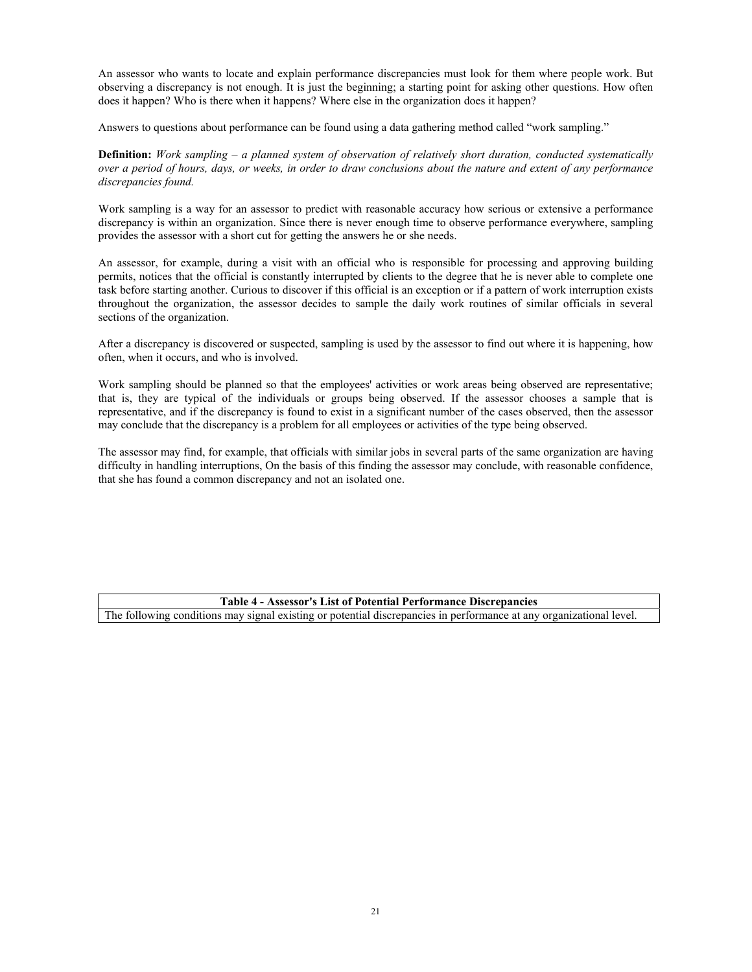An assessor who wants to locate and explain performance discrepancies must look for them where people work. But observing a discrepancy is not enough. It is just the beginning; a starting point for asking other questions. How often does it happen? Who is there when it happens? Where else in the organization does it happen?

Answers to questions about performance can be found using a data gathering method called "work sampling."

**Definition:** *Work sampling – a planned system of observation of relatively short duration, conducted systematically over a period of hours, days, or weeks, in order to draw conclusions about the nature and extent of any performance discrepancies found.*

Work sampling is a way for an assessor to predict with reasonable accuracy how serious or extensive a performance discrepancy is within an organization. Since there is never enough time to observe performance everywhere, sampling provides the assessor with a short cut for getting the answers he or she needs.

An assessor, for example, during a visit with an official who is responsible for processing and approving building permits, notices that the official is constantly interrupted by clients to the degree that he is never able to complete one task before starting another. Curious to discover if this official is an exception or if a pattern of work interruption exists throughout the organization, the assessor decides to sample the daily work routines of similar officials in several sections of the organization.

After a discrepancy is discovered or suspected, sampling is used by the assessor to find out where it is happening, how often, when it occurs, and who is involved.

Work sampling should be planned so that the employees' activities or work areas being observed are representative; that is, they are typical of the individuals or groups being observed. If the assessor chooses a sample that is representative, and if the discrepancy is found to exist in a significant number of the cases observed, then the assessor may conclude that the discrepancy is a problem for all employees or activities of the type being observed.

The assessor may find, for example, that officials with similar jobs in several parts of the same organization are having difficulty in handling interruptions, On the basis of this finding the assessor may conclude, with reasonable confidence, that she has found a common discrepancy and not an isolated one.

# **Table 4 - Assessor's List of Potential Performance Discrepancies**

The following conditions may signal existing or potential discrepancies in performance at any organizational level.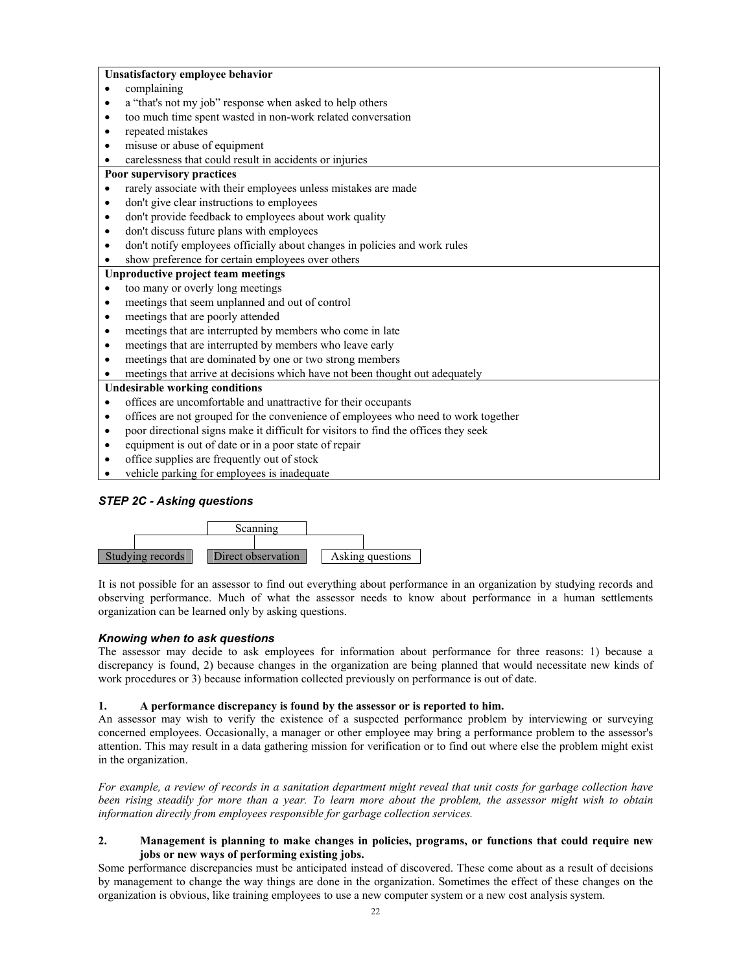# **Unsatisfactory employee behavior**

- complaining
- a "that's not my job" response when asked to help others
- too much time spent wasted in non-work related conversation
- repeated mistakes
- misuse or abuse of equipment
- carelessness that could result in accidents or injuries

# **Poor supervisory practices**

- rarely associate with their employees unless mistakes are made
- don't give clear instructions to employees
- don't provide feedback to employees about work quality
- don't discuss future plans with employees
- don't notify employees officially about changes in policies and work rules
- show preference for certain employees over others

# **Unproductive project team meetings**

- too many or overly long meetings
- meetings that seem unplanned and out of control
- meetings that are poorly attended
- meetings that are interrupted by members who come in late
- meetings that are interrupted by members who leave early
- meetings that are dominated by one or two strong members
- meetings that arrive at decisions which have not been thought out adequately

### **Undesirable working conditions**

- offices are uncomfortable and unattractive for their occupants
- offices are not grouped for the convenience of employees who need to work together
- poor directional signs make it difficult for visitors to find the offices they seek
- equipment is out of date or in a poor state of repair
- office supplies are frequently out of stock
- vehicle parking for employees is inadequate

## *STEP 2C - Asking questions*



It is not possible for an assessor to find out everything about performance in an organization by studying records and observing performance. Much of what the assessor needs to know about performance in a human settlements organization can be learned only by asking questions.

## *Knowing when to ask questions*

The assessor may decide to ask employees for information about performance for three reasons: 1) because a discrepancy is found, 2) because changes in the organization are being planned that would necessitate new kinds of work procedures or 3) because information collected previously on performance is out of date.

## **1. A performance discrepancy is found by the assessor or is reported to him.**

An assessor may wish to verify the existence of a suspected performance problem by interviewing or surveying concerned employees. Occasionally, a manager or other employee may bring a performance problem to the assessor's attention. This may result in a data gathering mission for verification or to find out where else the problem might exist in the organization.

*For example, a review of records in a sanitation department might reveal that unit costs for garbage collection have been rising steadily for more than a year. To learn more about the problem, the assessor might wish to obtain information directly from employees responsible for garbage collection services.* 

## **2. Management is planning to make changes in policies, programs, or functions that could require new jobs or new ways of performing existing jobs.**

Some performance discrepancies must be anticipated instead of discovered. These come about as a result of decisions by management to change the way things are done in the organization. Sometimes the effect of these changes on the organization is obvious, like training employees to use a new computer system or a new cost analysis system.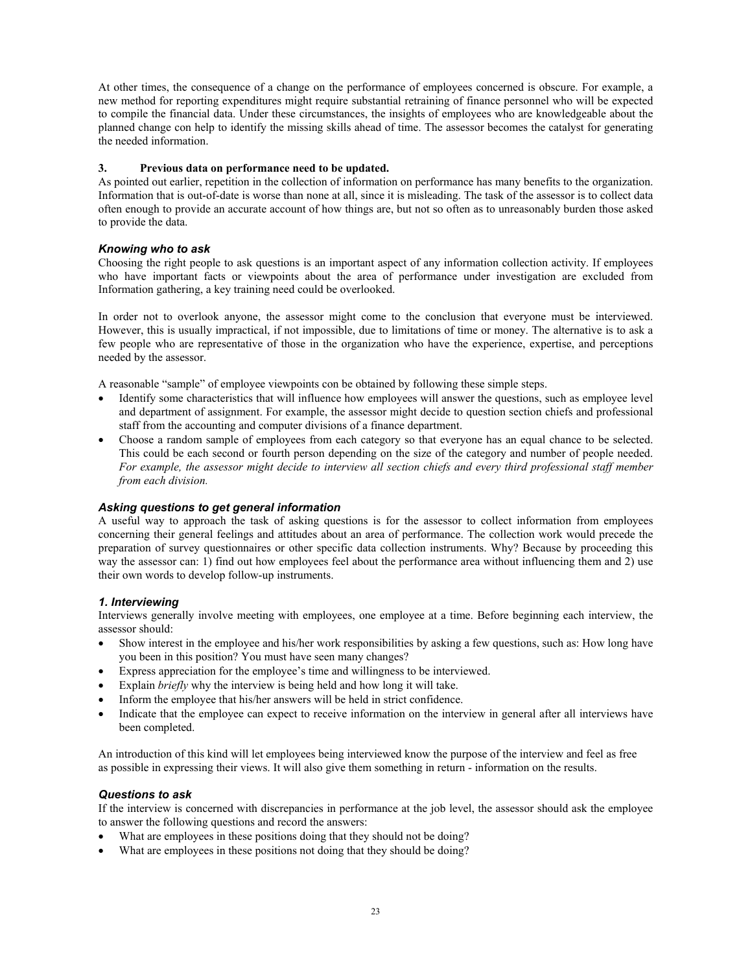At other times, the consequence of a change on the performance of employees concerned is obscure. For example, a new method for reporting expenditures might require substantial retraining of finance personnel who will be expected to compile the financial data. Under these circumstances, the insights of employees who are knowledgeable about the planned change con help to identify the missing skills ahead of time. The assessor becomes the catalyst for generating the needed information.

## **3. Previous data on performance need to be updated.**

As pointed out earlier, repetition in the collection of information on performance has many benefits to the organization. Information that is out-of-date is worse than none at all, since it is misleading. The task of the assessor is to collect data often enough to provide an accurate account of how things are, but not so often as to unreasonably burden those asked to provide the data.

# *Knowing who to ask*

Choosing the right people to ask questions is an important aspect of any information collection activity. If employees who have important facts or viewpoints about the area of performance under investigation are excluded from Information gathering, a key training need could be overlooked.

In order not to overlook anyone, the assessor might come to the conclusion that everyone must be interviewed. However, this is usually impractical, if not impossible, due to limitations of time or money. The alternative is to ask a few people who are representative of those in the organization who have the experience, expertise, and perceptions needed by the assessor.

A reasonable "sample" of employee viewpoints con be obtained by following these simple steps.

- Identify some characteristics that will influence how employees will answer the questions, such as employee level and department of assignment. For example, the assessor might decide to question section chiefs and professional staff from the accounting and computer divisions of a finance department.
- Choose a random sample of employees from each category so that everyone has an equal chance to be selected. This could be each second or fourth person depending on the size of the category and number of people needed. *For example, the assessor might decide to interview all section chiefs and every third professional staff member from each division.*

# *Asking questions to get general information*

A useful way to approach the task of asking questions is for the assessor to collect information from employees concerning their general feelings and attitudes about an area of performance. The collection work would precede the preparation of survey questionnaires or other specific data collection instruments. Why? Because by proceeding this way the assessor can: 1) find out how employees feel about the performance area without influencing them and 2) use their own words to develop follow-up instruments.

## *1. Interviewing*

Interviews generally involve meeting with employees, one employee at a time. Before beginning each interview, the assessor should:

- Show interest in the employee and his/her work responsibilities by asking a few questions, such as: How long have you been in this position? You must have seen many changes?
- Express appreciation for the employee's time and willingness to be interviewed.
- Explain *briefly* why the interview is being held and how long it will take.
- Inform the employee that his/her answers will be held in strict confidence.
- Indicate that the employee can expect to receive information on the interview in general after all interviews have been completed.

An introduction of this kind will let employees being interviewed know the purpose of the interview and feel as free as possible in expressing their views. It will also give them something in return - information on the results.

## *Questions to ask*

If the interview is concerned with discrepancies in performance at the job level, the assessor should ask the employee to answer the following questions and record the answers:

- What are employees in these positions doing that they should not be doing?
- What are employees in these positions not doing that they should be doing?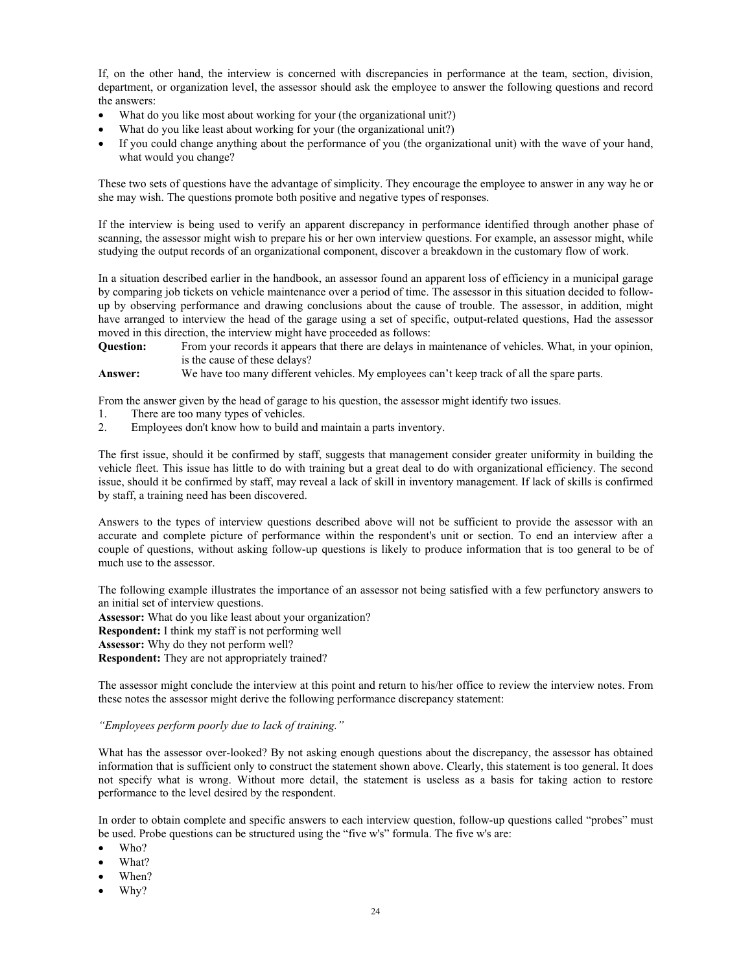If, on the other hand, the interview is concerned with discrepancies in performance at the team, section, division, department, or organization level, the assessor should ask the employee to answer the following questions and record the answers:

- What do you like most about working for your (the organizational unit?)
- What do you like least about working for your (the organizational unit?)
- If you could change anything about the performance of you (the organizational unit) with the wave of your hand, what would you change?

These two sets of questions have the advantage of simplicity. They encourage the employee to answer in any way he or she may wish. The questions promote both positive and negative types of responses.

If the interview is being used to verify an apparent discrepancy in performance identified through another phase of scanning, the assessor might wish to prepare his or her own interview questions. For example, an assessor might, while studying the output records of an organizational component, discover a breakdown in the customary flow of work.

In a situation described earlier in the handbook, an assessor found an apparent loss of efficiency in a municipal garage by comparing job tickets on vehicle maintenance over a period of time. The assessor in this situation decided to followup by observing performance and drawing conclusions about the cause of trouble. The assessor, in addition, might have arranged to interview the head of the garage using a set of specific, output-related questions, Had the assessor moved in this direction, the interview might have proceeded as follows:

**Question:** From your records it appears that there are delays in maintenance of vehicles. What, in your opinion, is the cause of these delays?

**Answer:** We have too many different vehicles. My employees can't keep track of all the spare parts.

From the answer given by the head of garage to his question, the assessor might identify two issues.

- 1. There are too many types of vehicles.
- 2. Employees don't know how to build and maintain a parts inventory.

The first issue, should it be confirmed by staff, suggests that management consider greater uniformity in building the vehicle fleet. This issue has little to do with training but a great deal to do with organizational efficiency. The second issue, should it be confirmed by staff, may reveal a lack of skill in inventory management. If lack of skills is confirmed by staff, a training need has been discovered.

Answers to the types of interview questions described above will not be sufficient to provide the assessor with an accurate and complete picture of performance within the respondent's unit or section. To end an interview after a couple of questions, without asking follow-up questions is likely to produce information that is too general to be of much use to the assessor.

The following example illustrates the importance of an assessor not being satisfied with a few perfunctory answers to an initial set of interview questions.

**Assessor:** What do you like least about your organization? **Respondent:** I think my staff is not performing well **Assessor:** Why do they not perform well? **Respondent:** They are not appropriately trained?

The assessor might conclude the interview at this point and return to his/her office to review the interview notes. From these notes the assessor might derive the following performance discrepancy statement:

## *"Employees perform poorly due to lack of training."*

What has the assessor over-looked? By not asking enough questions about the discrepancy, the assessor has obtained information that is sufficient only to construct the statement shown above. Clearly, this statement is too general. It does not specify what is wrong. Without more detail, the statement is useless as a basis for taking action to restore performance to the level desired by the respondent.

In order to obtain complete and specific answers to each interview question, follow-up questions called "probes" must be used. Probe questions can be structured using the "five w's" formula. The five w's are:

- Who?
- What?
- When?
- Why?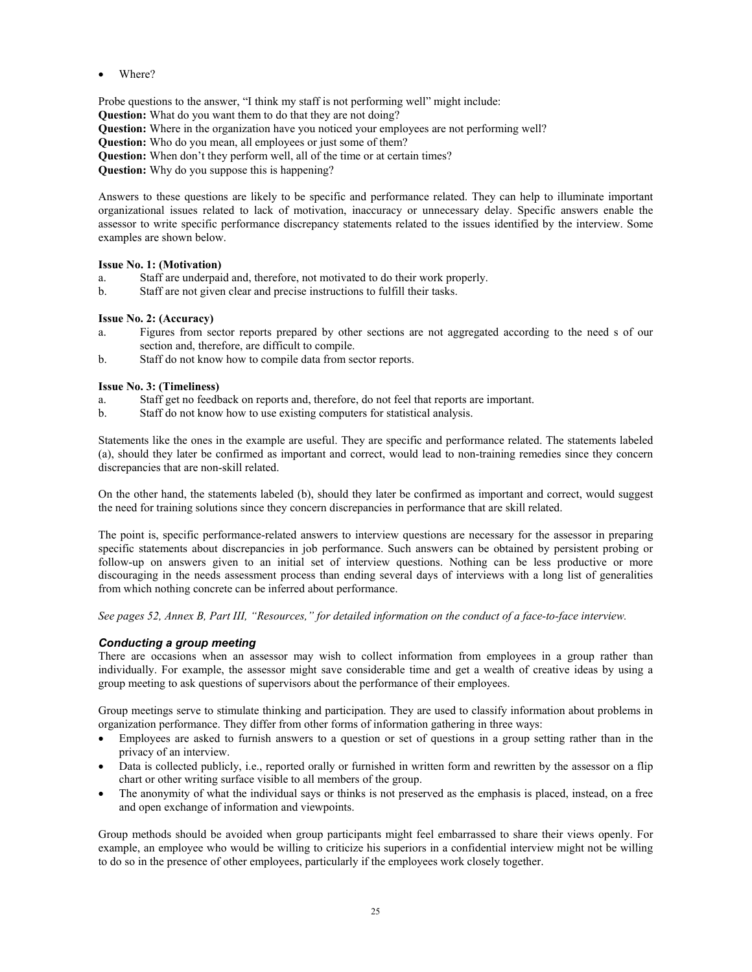• Where?

Probe questions to the answer, "I think my staff is not performing well" might include: **Question:** What do you want them to do that they are not doing? **Question:** Where in the organization have you noticed your employees are not performing well? **Question:** Who do you mean, all employees or just some of them? **Question:** When don't they perform well, all of the time or at certain times? **Question:** Why do you suppose this is happening?

Answers to these questions are likely to be specific and performance related. They can help to illuminate important organizational issues related to lack of motivation, inaccuracy or unnecessary delay. Specific answers enable the assessor to write specific performance discrepancy statements related to the issues identified by the interview. Some examples are shown below.

## **Issue No. 1: (Motivation)**

- a. Staff are underpaid and, therefore, not motivated to do their work properly.
- b. Staff are not given clear and precise instructions to fulfill their tasks.

# **Issue No. 2: (Accuracy)**

- a. Figures from sector reports prepared by other sections are not aggregated according to the need s of our section and, therefore, are difficult to compile.
- b. Staff do not know how to compile data from sector reports.

## **Issue No. 3: (Timeliness)**

- a. Staff get no feedback on reports and, therefore, do not feel that reports are important.
- b. Staff do not know how to use existing computers for statistical analysis.

Statements like the ones in the example are useful. They are specific and performance related. The statements labeled (a), should they later be confirmed as important and correct, would lead to non-training remedies since they concern discrepancies that are non-skill related.

On the other hand, the statements labeled (b), should they later be confirmed as important and correct, would suggest the need for training solutions since they concern discrepancies in performance that are skill related.

The point is, specific performance-related answers to interview questions are necessary for the assessor in preparing specific statements about discrepancies in job performance. Such answers can be obtained by persistent probing or follow-up on answers given to an initial set of interview questions. Nothing can be less productive or more discouraging in the needs assessment process than ending several days of interviews with a long list of generalities from which nothing concrete can be inferred about performance.

*See pages 52, Annex B, Part III, "Resources," for detailed information on the conduct of a face-to-face interview.* 

# *Conducting a group meeting*

There are occasions when an assessor may wish to collect information from employees in a group rather than individually. For example, the assessor might save considerable time and get a wealth of creative ideas by using a group meeting to ask questions of supervisors about the performance of their employees.

Group meetings serve to stimulate thinking and participation. They are used to classify information about problems in organization performance. They differ from other forms of information gathering in three ways:

- Employees are asked to furnish answers to a question or set of questions in a group setting rather than in the privacy of an interview.
- Data is collected publicly, i.e., reported orally or furnished in written form and rewritten by the assessor on a flip chart or other writing surface visible to all members of the group.
- The anonymity of what the individual says or thinks is not preserved as the emphasis is placed, instead, on a free and open exchange of information and viewpoints.

Group methods should be avoided when group participants might feel embarrassed to share their views openly. For example, an employee who would be willing to criticize his superiors in a confidential interview might not be willing to do so in the presence of other employees, particularly if the employees work closely together.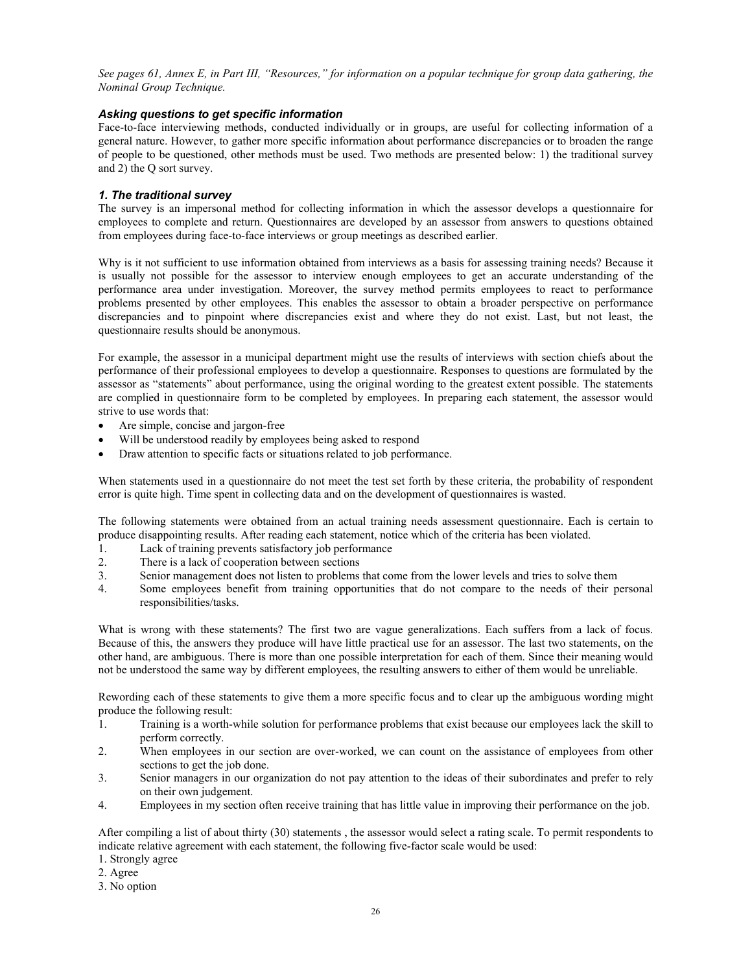*See pages 61, Annex E, in Part III, "Resources," for information on a popular technique for group data gathering, the Nominal Group Technique.* 

## *Asking questions to get specific information*

Face-to-face interviewing methods, conducted individually or in groups, are useful for collecting information of a general nature. However, to gather more specific information about performance discrepancies or to broaden the range of people to be questioned, other methods must be used. Two methods are presented below: 1) the traditional survey and 2) the Q sort survey.

## *1. The traditional survey*

The survey is an impersonal method for collecting information in which the assessor develops a questionnaire for employees to complete and return. Questionnaires are developed by an assessor from answers to questions obtained from employees during face-to-face interviews or group meetings as described earlier.

Why is it not sufficient to use information obtained from interviews as a basis for assessing training needs? Because it is usually not possible for the assessor to interview enough employees to get an accurate understanding of the performance area under investigation. Moreover, the survey method permits employees to react to performance problems presented by other employees. This enables the assessor to obtain a broader perspective on performance discrepancies and to pinpoint where discrepancies exist and where they do not exist. Last, but not least, the questionnaire results should be anonymous.

For example, the assessor in a municipal department might use the results of interviews with section chiefs about the performance of their professional employees to develop a questionnaire. Responses to questions are formulated by the assessor as "statements" about performance, using the original wording to the greatest extent possible. The statements are complied in questionnaire form to be completed by employees. In preparing each statement, the assessor would strive to use words that:

- Are simple, concise and jargon-free
- Will be understood readily by employees being asked to respond
- Draw attention to specific facts or situations related to job performance.

When statements used in a questionnaire do not meet the test set forth by these criteria, the probability of respondent error is quite high. Time spent in collecting data and on the development of questionnaires is wasted.

The following statements were obtained from an actual training needs assessment questionnaire. Each is certain to produce disappointing results. After reading each statement, notice which of the criteria has been violated.

- 1. Lack of training prevents satisfactory job performance
- 2. There is a lack of cooperation between sections<br>3. Senior management does not listen to problems
- Senior management does not listen to problems that come from the lower levels and tries to solve them
- 4. Some employees benefit from training opportunities that do not compare to the needs of their personal responsibilities/tasks.

What is wrong with these statements? The first two are vague generalizations. Each suffers from a lack of focus. Because of this, the answers they produce will have little practical use for an assessor. The last two statements, on the other hand, are ambiguous. There is more than one possible interpretation for each of them. Since their meaning would not be understood the same way by different employees, the resulting answers to either of them would be unreliable.

Rewording each of these statements to give them a more specific focus and to clear up the ambiguous wording might produce the following result:

- 1. Training is a worth-while solution for performance problems that exist because our employees lack the skill to perform correctly.
- 2. When employees in our section are over-worked, we can count on the assistance of employees from other sections to get the job done.
- 3. Senior managers in our organization do not pay attention to the ideas of their subordinates and prefer to rely on their own judgement.
- 4. Employees in my section often receive training that has little value in improving their performance on the job.

After compiling a list of about thirty (30) statements , the assessor would select a rating scale. To permit respondents to indicate relative agreement with each statement, the following five-factor scale would be used:

- 1. Strongly agree
- 2. Agree
- 3. No option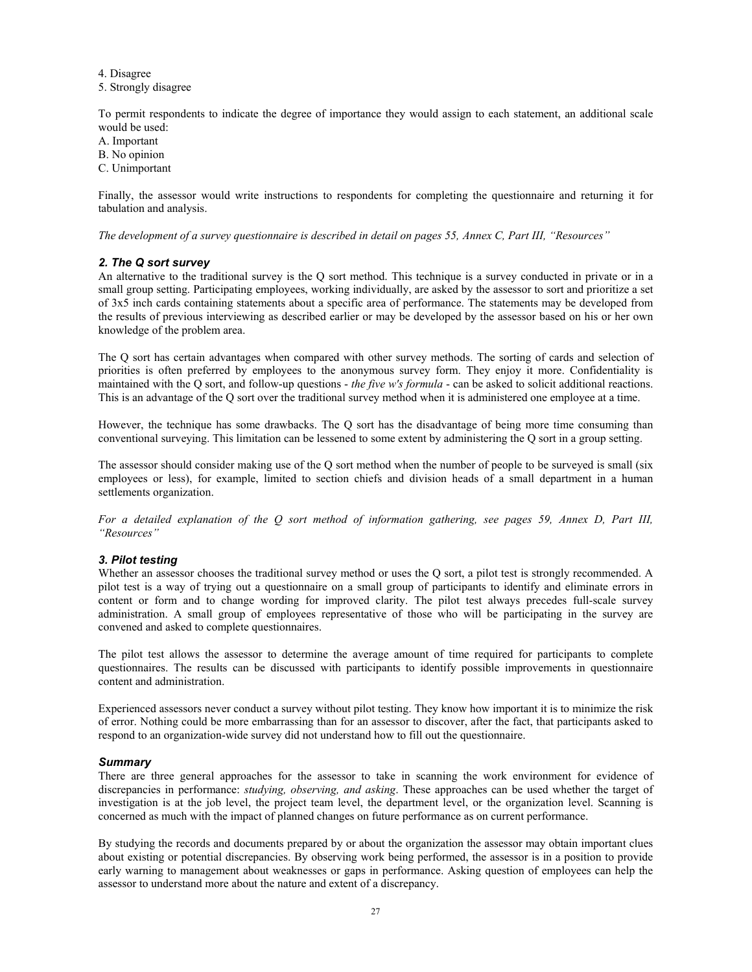4. Disagree

5. Strongly disagree

To permit respondents to indicate the degree of importance they would assign to each statement, an additional scale would be used:

- A. Important
- B. No opinion
- C. Unimportant

Finally, the assessor would write instructions to respondents for completing the questionnaire and returning it for tabulation and analysis.

*The development of a survey questionnaire is described in detail on pages 55, Annex C, Part III, "Resources"* 

## *2. The Q sort survey*

An alternative to the traditional survey is the Q sort method. This technique is a survey conducted in private or in a small group setting. Participating employees, working individually, are asked by the assessor to sort and prioritize a set of 3x5 inch cards containing statements about a specific area of performance. The statements may be developed from the results of previous interviewing as described earlier or may be developed by the assessor based on his or her own knowledge of the problem area.

The Q sort has certain advantages when compared with other survey methods. The sorting of cards and selection of priorities is often preferred by employees to the anonymous survey form. They enjoy it more. Confidentiality is maintained with the Q sort, and follow-up questions - *the five w's formula* - can be asked to solicit additional reactions. This is an advantage of the Q sort over the traditional survey method when it is administered one employee at a time.

However, the technique has some drawbacks. The Q sort has the disadvantage of being more time consuming than conventional surveying. This limitation can be lessened to some extent by administering the Q sort in a group setting.

The assessor should consider making use of the Q sort method when the number of people to be surveyed is small (six employees or less), for example, limited to section chiefs and division heads of a small department in a human settlements organization.

*For a detailed explanation of the Q sort method of information gathering, see pages 59, Annex D, Part III, "Resources"* 

# *3. Pilot testing*

Whether an assessor chooses the traditional survey method or uses the Q sort, a pilot test is strongly recommended. A pilot test is a way of trying out a questionnaire on a small group of participants to identify and eliminate errors in content or form and to change wording for improved clarity. The pilot test always precedes full-scale survey administration. A small group of employees representative of those who will be participating in the survey are convened and asked to complete questionnaires.

The pilot test allows the assessor to determine the average amount of time required for participants to complete questionnaires. The results can be discussed with participants to identify possible improvements in questionnaire content and administration.

Experienced assessors never conduct a survey without pilot testing. They know how important it is to minimize the risk of error. Nothing could be more embarrassing than for an assessor to discover, after the fact, that participants asked to respond to an organization-wide survey did not understand how to fill out the questionnaire.

## *Summary*

There are three general approaches for the assessor to take in scanning the work environment for evidence of discrepancies in performance: *studying, observing, and asking*. These approaches can be used whether the target of investigation is at the job level, the project team level, the department level, or the organization level. Scanning is concerned as much with the impact of planned changes on future performance as on current performance.

By studying the records and documents prepared by or about the organization the assessor may obtain important clues about existing or potential discrepancies. By observing work being performed, the assessor is in a position to provide early warning to management about weaknesses or gaps in performance. Asking question of employees can help the assessor to understand more about the nature and extent of a discrepancy.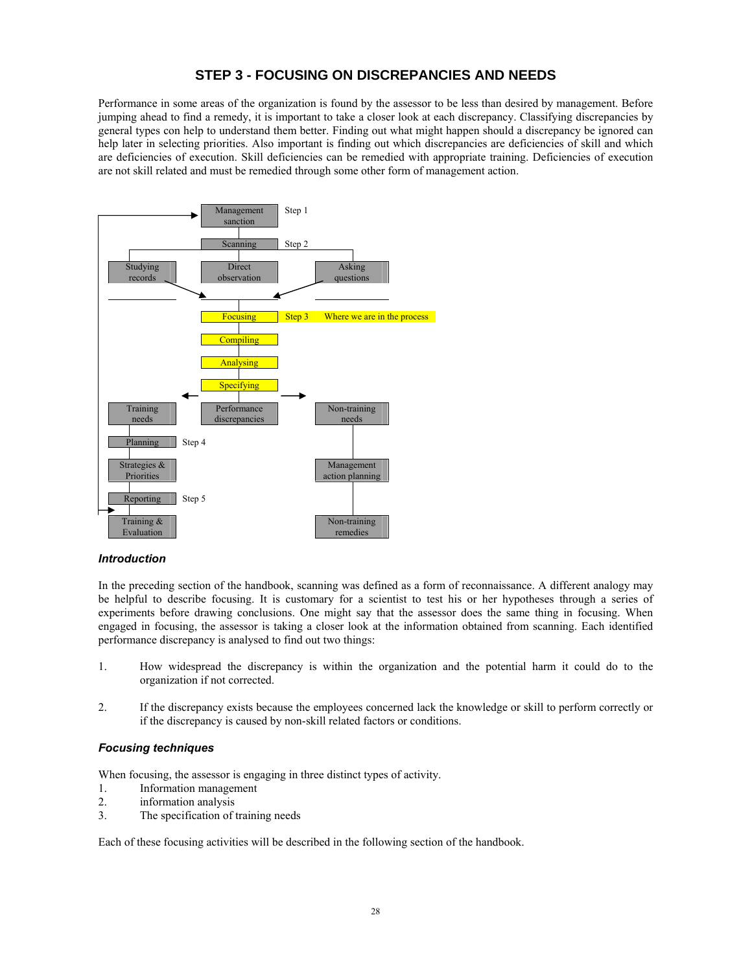# **STEP 3 - FOCUSING ON DISCREPANCIES AND NEEDS**

Performance in some areas of the organization is found by the assessor to be less than desired by management. Before jumping ahead to find a remedy, it is important to take a closer look at each discrepancy. Classifying discrepancies by general types con help to understand them better. Finding out what might happen should a discrepancy be ignored can help later in selecting priorities. Also important is finding out which discrepancies are deficiencies of skill and which are deficiencies of execution. Skill deficiencies can be remedied with appropriate training. Deficiencies of execution are not skill related and must be remedied through some other form of management action.



## *Introduction*

In the preceding section of the handbook, scanning was defined as a form of reconnaissance. A different analogy may be helpful to describe focusing. It is customary for a scientist to test his or her hypotheses through a series of experiments before drawing conclusions. One might say that the assessor does the same thing in focusing. When engaged in focusing, the assessor is taking a closer look at the information obtained from scanning. Each identified performance discrepancy is analysed to find out two things:

- 1. How widespread the discrepancy is within the organization and the potential harm it could do to the organization if not corrected.
- 2. If the discrepancy exists because the employees concerned lack the knowledge or skill to perform correctly or if the discrepancy is caused by non-skill related factors or conditions.

## *Focusing techniques*

When focusing, the assessor is engaging in three distinct types of activity.

- 1. Information management
- 2. information analysis
- 3. The specification of training needs

Each of these focusing activities will be described in the following section of the handbook.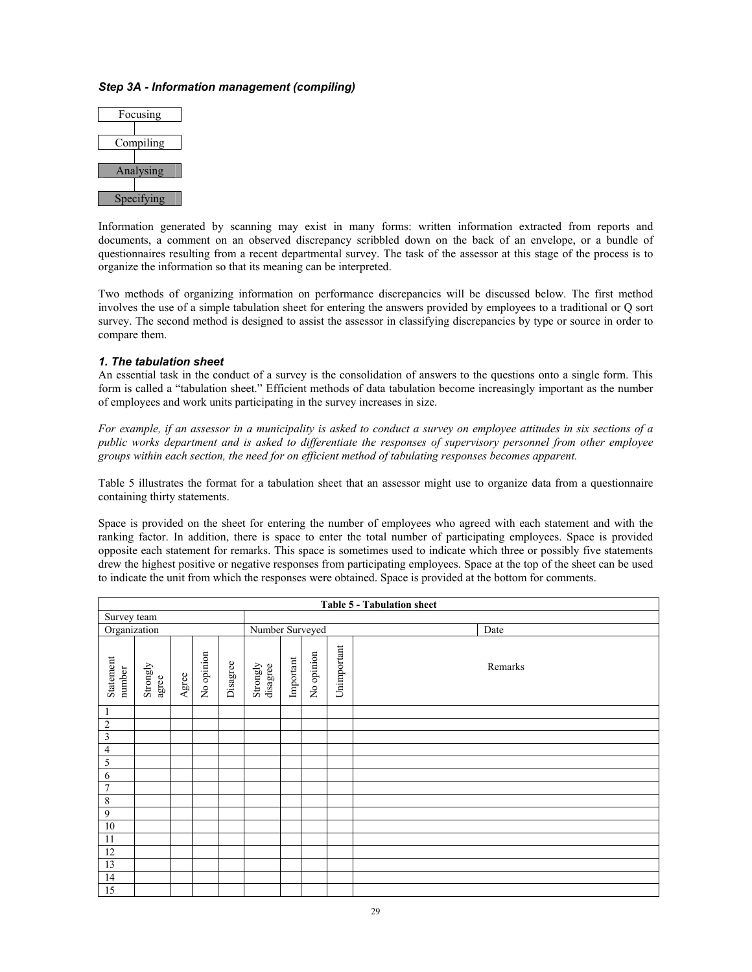# *Step 3A - Information management (compiling)*



Information generated by scanning may exist in many forms: written information extracted from reports and documents, a comment on an observed discrepancy scribbled down on the back of an envelope, or a bundle of questionnaires resulting from a recent departmental survey. The task of the assessor at this stage of the process is to organize the information so that its meaning can be interpreted.

Two methods of organizing information on performance discrepancies will be discussed below. The first method involves the use of a simple tabulation sheet for entering the answers provided by employees to a traditional or Q sort survey. The second method is designed to assist the assessor in classifying discrepancies by type or source in order to compare them.

## *1. The tabulation sheet*

An essential task in the conduct of a survey is the consolidation of answers to the questions onto a single form. This form is called a "tabulation sheet." Efficient methods of data tabulation become increasingly important as the number of employees and work units participating in the survey increases in size.

*For example, if an assessor in a municipality is asked to conduct a survey on employee attitudes in six sections of a public works department and is asked to differentiate the responses of supervisory personnel from other employee groups within each section, the need for on efficient method of tabulating responses becomes apparent.* 

Table 5 illustrates the format for a tabulation sheet that an assessor might use to organize data from a questionnaire containing thirty statements.

Space is provided on the sheet for entering the number of employees who agreed with each statement and with the ranking factor. In addition, there is space to enter the total number of participating employees. Space is provided opposite each statement for remarks. This space is sometimes used to indicate which three or possibly five statements drew the highest positive or negative responses from participating employees. Space at the top of the sheet can be used to indicate the unit from which the responses were obtained. Space is provided at the bottom for comments.

| <b>Table 5 - Tabulation sheet</b> |                   |       |            |          |                      |           |            |             |         |
|-----------------------------------|-------------------|-------|------------|----------|----------------------|-----------|------------|-------------|---------|
| Survey team                       |                   |       |            |          |                      |           |            |             |         |
| Organization                      |                   |       |            |          | Number Surveyed      |           |            |             | Date    |
| Statement<br>number               | Strongly<br>agree | Agree | No opinion | Disagree | Strongly<br>disagree | Important | No opinion | Unimportant | Remarks |
| $\mathbf{1}$                      |                   |       |            |          |                      |           |            |             |         |
| $\overline{2}$                    |                   |       |            |          |                      |           |            |             |         |
| $\overline{3}$                    |                   |       |            |          |                      |           |            |             |         |
| $\overline{4}$                    |                   |       |            |          |                      |           |            |             |         |
| 5                                 |                   |       |            |          |                      |           |            |             |         |
| $\overline{6}$                    |                   |       |            |          |                      |           |            |             |         |
| $\overline{7}$                    |                   |       |            |          |                      |           |            |             |         |
| $\,8\,$                           |                   |       |            |          |                      |           |            |             |         |
| $\overline{9}$                    |                   |       |            |          |                      |           |            |             |         |
| 10                                |                   |       |            |          |                      |           |            |             |         |
| 11                                |                   |       |            |          |                      |           |            |             |         |
| 12                                |                   |       |            |          |                      |           |            |             |         |
| 13                                |                   |       |            |          |                      |           |            |             |         |
| 14                                |                   |       |            |          |                      |           |            |             |         |
| 15                                |                   |       |            |          |                      |           |            |             |         |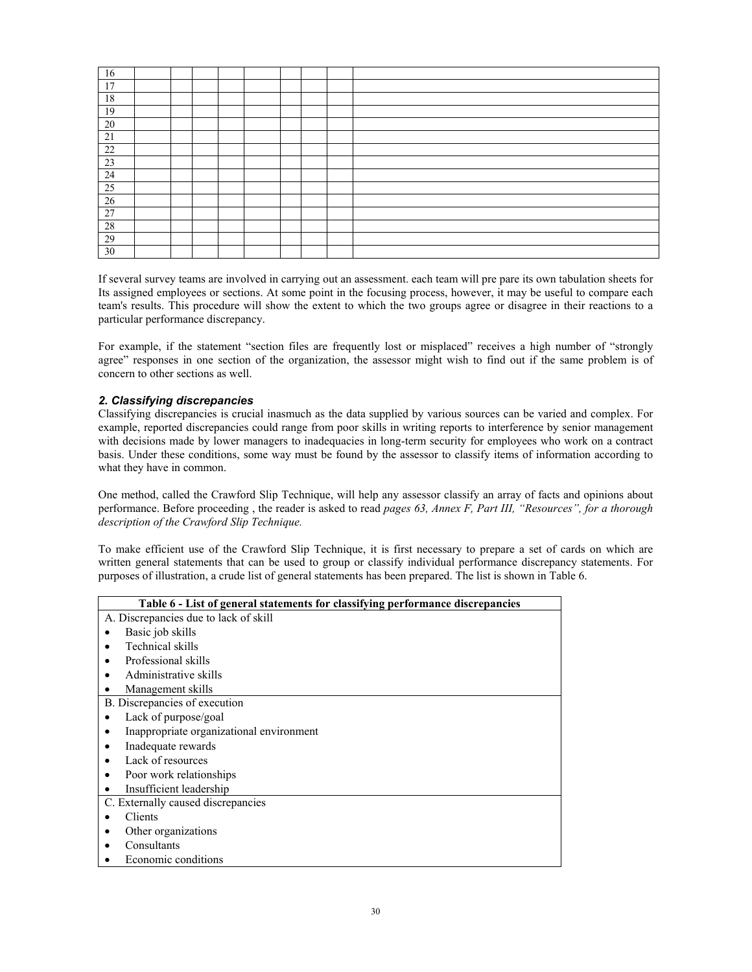| 16              |  |  |  |  |  |
|-----------------|--|--|--|--|--|
| 17              |  |  |  |  |  |
| 18              |  |  |  |  |  |
| 19              |  |  |  |  |  |
| $\overline{20}$ |  |  |  |  |  |
| 21              |  |  |  |  |  |
| 22              |  |  |  |  |  |
| 23              |  |  |  |  |  |
| 24              |  |  |  |  |  |
| 25              |  |  |  |  |  |
| $26\,$          |  |  |  |  |  |
| 27              |  |  |  |  |  |
| 28              |  |  |  |  |  |
| 29              |  |  |  |  |  |
| 30              |  |  |  |  |  |

If several survey teams are involved in carrying out an assessment. each team will pre pare its own tabulation sheets for Its assigned employees or sections. At some point in the focusing process, however, it may be useful to compare each team's results. This procedure will show the extent to which the two groups agree or disagree in their reactions to a particular performance discrepancy.

For example, if the statement "section files are frequently lost or misplaced" receives a high number of "strongly agree" responses in one section of the organization, the assessor might wish to find out if the same problem is of concern to other sections as well.

# *2. Classifying discrepancies*

Classifying discrepancies is crucial inasmuch as the data supplied by various sources can be varied and complex. For example, reported discrepancies could range from poor skills in writing reports to interference by senior management with decisions made by lower managers to inadequacies in long-term security for employees who work on a contract basis. Under these conditions, some way must be found by the assessor to classify items of information according to what they have in common.

One method, called the Crawford Slip Technique, will help any assessor classify an array of facts and opinions about performance. Before proceeding , the reader is asked to read *pages 63, Annex F, Part III, "Resources", for a thorough description of the Crawford Slip Technique.* 

To make efficient use of the Crawford Slip Technique, it is first necessary to prepare a set of cards on which are written general statements that can be used to group or classify individual performance discrepancy statements. For purposes of illustration, a crude list of general statements has been prepared. The list is shown in Table 6.

| Table 6 - List of general statements for classifying performance discrepancies |  |  |  |  |  |
|--------------------------------------------------------------------------------|--|--|--|--|--|
| A. Discrepancies due to lack of skill                                          |  |  |  |  |  |
| Basic job skills                                                               |  |  |  |  |  |
| Technical skills                                                               |  |  |  |  |  |
| Professional skills                                                            |  |  |  |  |  |
| Administrative skills                                                          |  |  |  |  |  |
| Management skills                                                              |  |  |  |  |  |
| B. Discrepancies of execution                                                  |  |  |  |  |  |
| Lack of purpose/goal                                                           |  |  |  |  |  |
| Inappropriate organizational environment                                       |  |  |  |  |  |
| Inadequate rewards                                                             |  |  |  |  |  |
| Lack of resources                                                              |  |  |  |  |  |
| Poor work relationships                                                        |  |  |  |  |  |
| Insufficient leadership                                                        |  |  |  |  |  |
| C. Externally caused discrepancies                                             |  |  |  |  |  |
| Clients                                                                        |  |  |  |  |  |
| Other organizations                                                            |  |  |  |  |  |
| Consultants                                                                    |  |  |  |  |  |
| Economic conditions                                                            |  |  |  |  |  |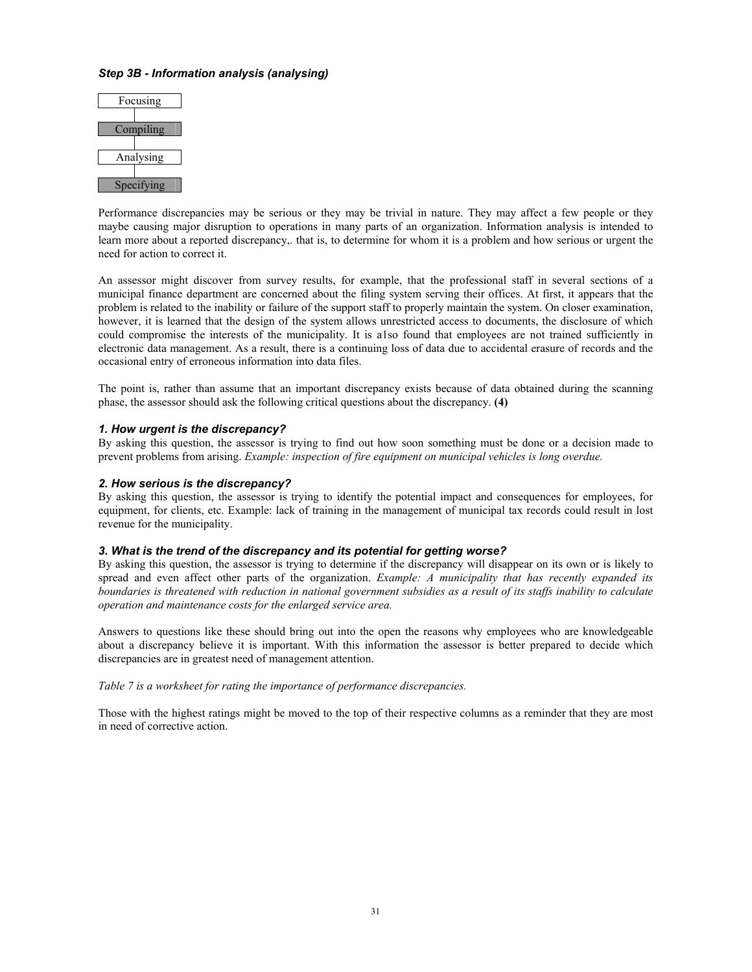# *Step 3B - Information analysis (analysing)*



Performance discrepancies may be serious or they may be trivial in nature. They may affect a few people or they maybe causing major disruption to operations in many parts of an organization. Information analysis is intended to learn more about a reported discrepancy,. that is, to determine for whom it is a problem and how serious or urgent the need for action to correct it.

An assessor might discover from survey results, for example, that the professional staff in several sections of a municipal finance department are concerned about the filing system serving their offices. At first, it appears that the problem is related to the inability or failure of the support staff to properly maintain the system. On closer examination, however, it is learned that the design of the system allows unrestricted access to documents, the disclosure of which could compromise the interests of the municipality. It is a1so found that employees are not trained sufficiently in electronic data management. As a result, there is a continuing loss of data due to accidental erasure of records and the occasional entry of erroneous information into data files.

The point is, rather than assume that an important discrepancy exists because of data obtained during the scanning phase, the assessor should ask the following critical questions about the discrepancy. **(4)** 

### *1. How urgent is the discrepancy?*

By asking this question, the assessor is trying to find out how soon something must be done or a decision made to prevent problems from arising. *Example: inspection of fire equipment on municipal vehicles is long overdue.* 

### *2. How serious is the discrepancy?*

By asking this question, the assessor is trying to identify the potential impact and consequences for employees, for equipment, for clients, etc. Example: lack of training in the management of municipal tax records could result in lost revenue for the municipality.

#### *3. What is the trend of the discrepancy and its potential for getting worse?*

By asking this question, the assessor is trying to determine if the discrepancy will disappear on its own or is likely to spread and even affect other parts of the organization. *Example: A municipality that has recently expanded its boundaries is threatened with reduction in national government subsidies as a result of its staffs inability to calculate operation and maintenance costs for the enlarged service area.*

Answers to questions like these should bring out into the open the reasons why employees who are knowledgeable about a discrepancy believe it is important. With this information the assessor is better prepared to decide which discrepancies are in greatest need of management attention.

*Table 7 is a worksheet for rating the importance of performance discrepancies.* 

Those with the highest ratings might be moved to the top of their respective columns as a reminder that they are most in need of corrective action.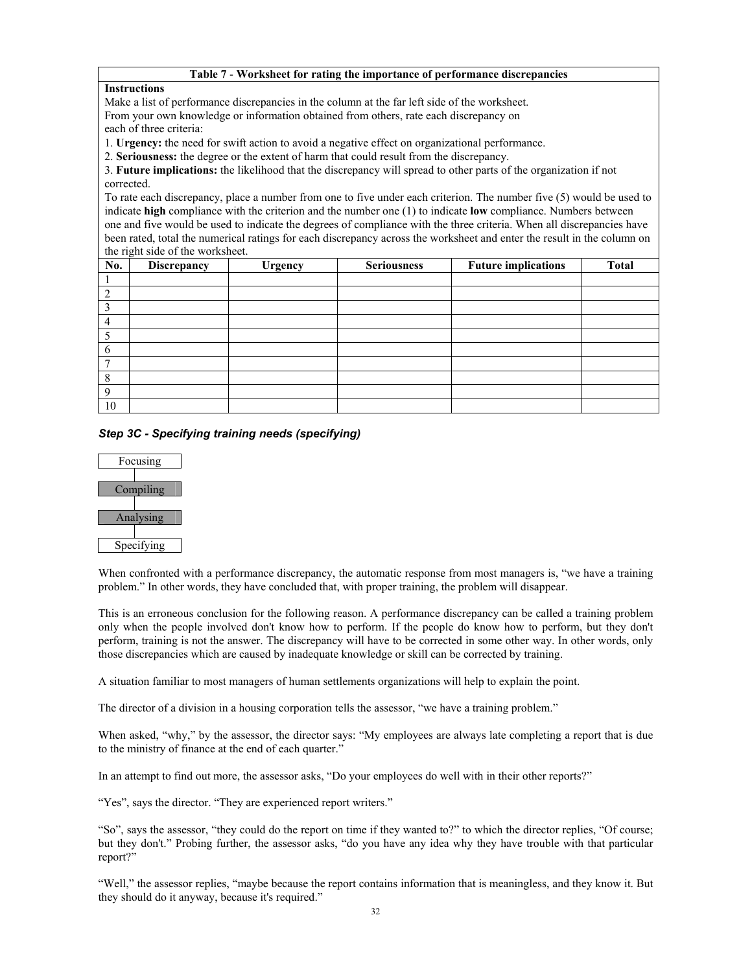## **Table 7** - **Worksheet for rating the importance of performance discrepancies**

# **Instructions**

Make a list of performance discrepancies in the column at the far left side of the worksheet. From your own knowledge or information obtained from others, rate each discrepancy on each of three criteria:

1. **Urgency:** the need for swift action to avoid a negative effect on organizational performance.

2. **Seriousness:** the degree or the extent of harm that could result from the discrepancy.

3. **Future implications:** the likelihood that the discrepancy will spread to other parts of the organization if not corrected.

To rate each discrepancy, place a number from one to five under each criterion. The number five (5) would be used to indicate **high** compliance with the criterion and the number one (1) to indicate **low** compliance. Numbers between one and five would be used to indicate the degrees of compliance with the three criteria. When all discrepancies have been rated, total the numerical ratings for each discrepancy across the worksheet and enter the result in the column on the right side of the worksheet.

| No. | Discrepancy | <b>Urgency</b> | <b>Seriousness</b> | <b>Future implications</b> | <b>Total</b> |
|-----|-------------|----------------|--------------------|----------------------------|--------------|
|     |             |                |                    |                            |              |
|     |             |                |                    |                            |              |
|     |             |                |                    |                            |              |
| 4   |             |                |                    |                            |              |
|     |             |                |                    |                            |              |
| 6   |             |                |                    |                            |              |
| ┑   |             |                |                    |                            |              |
| 8   |             |                |                    |                            |              |
| Q   |             |                |                    |                            |              |
| 10  |             |                |                    |                            |              |

## *Step 3C - Specifying training needs (specifying)*



When confronted with a performance discrepancy, the automatic response from most managers is, "we have a training problem." In other words, they have concluded that, with proper training, the problem will disappear.

This is an erroneous conclusion for the following reason. A performance discrepancy can be called a training problem only when the people involved don't know how to perform. If the people do know how to perform, but they don't perform, training is not the answer. The discrepancy will have to be corrected in some other way. In other words, only those discrepancies which are caused by inadequate knowledge or skill can be corrected by training.

A situation familiar to most managers of human settlements organizations will help to explain the point.

The director of a division in a housing corporation tells the assessor, "we have a training problem."

When asked, "why," by the assessor, the director says: "My employees are always late completing a report that is due to the ministry of finance at the end of each quarter."

In an attempt to find out more, the assessor asks, "Do your employees do well with in their other reports?"

"Yes", says the director. "They are experienced report writers."

"So", says the assessor, "they could do the report on time if they wanted to?" to which the director replies, "Of course; but they don't." Probing further, the assessor asks, "do you have any idea why they have trouble with that particular report?"

"Well," the assessor replies, "maybe because the report contains information that is meaningless, and they know it. But they should do it anyway, because it's required."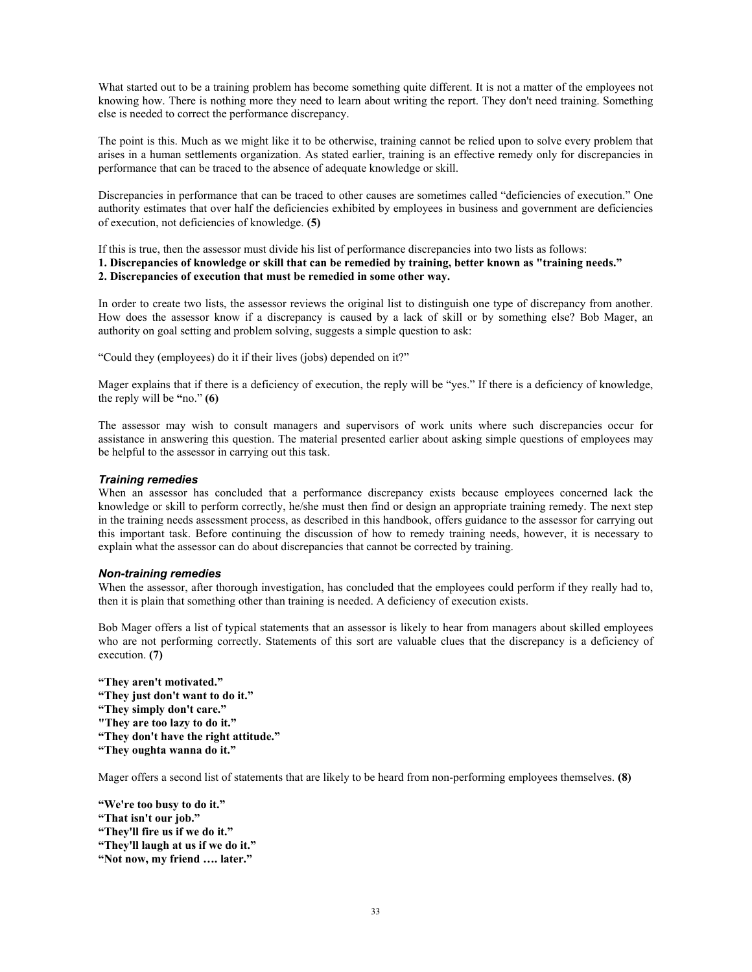What started out to be a training problem has become something quite different. It is not a matter of the employees not knowing how. There is nothing more they need to learn about writing the report. They don't need training. Something else is needed to correct the performance discrepancy.

The point is this. Much as we might like it to be otherwise, training cannot be relied upon to solve every problem that arises in a human settlements organization. As stated earlier, training is an effective remedy only for discrepancies in performance that can be traced to the absence of adequate knowledge or skill.

Discrepancies in performance that can be traced to other causes are sometimes called "deficiencies of execution." One authority estimates that over half the deficiencies exhibited by employees in business and government are deficiencies of execution, not deficiencies of knowledge. **(5)**

If this is true, then the assessor must divide his list of performance discrepancies into two lists as follows:

**1. Discrepancies of knowledge or skill that can be remedied by training, better known as "training needs." 2. Discrepancies of execution that must be remedied in some other way.**

In order to create two lists, the assessor reviews the original list to distinguish one type of discrepancy from another. How does the assessor know if a discrepancy is caused by a lack of skill or by something else? Bob Mager, an authority on goal setting and problem solving, suggests a simple question to ask:

"Could they (employees) do it if their lives (jobs) depended on it?"

Mager explains that if there is a deficiency of execution, the reply will be "yes." If there is a deficiency of knowledge, the reply will be **"**no." **(6)**

The assessor may wish to consult managers and supervisors of work units where such discrepancies occur for assistance in answering this question. The material presented earlier about asking simple questions of employees may be helpful to the assessor in carrying out this task.

## *Training remedies*

When an assessor has concluded that a performance discrepancy exists because employees concerned lack the knowledge or skill to perform correctly, he/she must then find or design an appropriate training remedy. The next step in the training needs assessment process, as described in this handbook, offers guidance to the assessor for carrying out this important task. Before continuing the discussion of how to remedy training needs, however, it is necessary to explain what the assessor can do about discrepancies that cannot be corrected by training.

#### *Non-training remedies*

When the assessor, after thorough investigation, has concluded that the employees could perform if they really had to, then it is plain that something other than training is needed. A deficiency of execution exists.

Bob Mager offers a list of typical statements that an assessor is likely to hear from managers about skilled employees who are not performing correctly. Statements of this sort are valuable clues that the discrepancy is a deficiency of execution. **(7)**

- **"They aren't motivated." "They just don't want to do it." "They simply don't care."**
- **"They are too lazy to do it."**
- **"They don't have the right attitude."**
- **"They oughta wanna do it."**

Mager offers a second list of statements that are likely to be heard from non-performing employees themselves. **(8)**

**"We're too busy to do it."**

- **"That isn't our job."**
- **"They'll fire us if we do it."**
- **"They'll laugh at us if we do it."**
- **"Not now, my friend …. later."**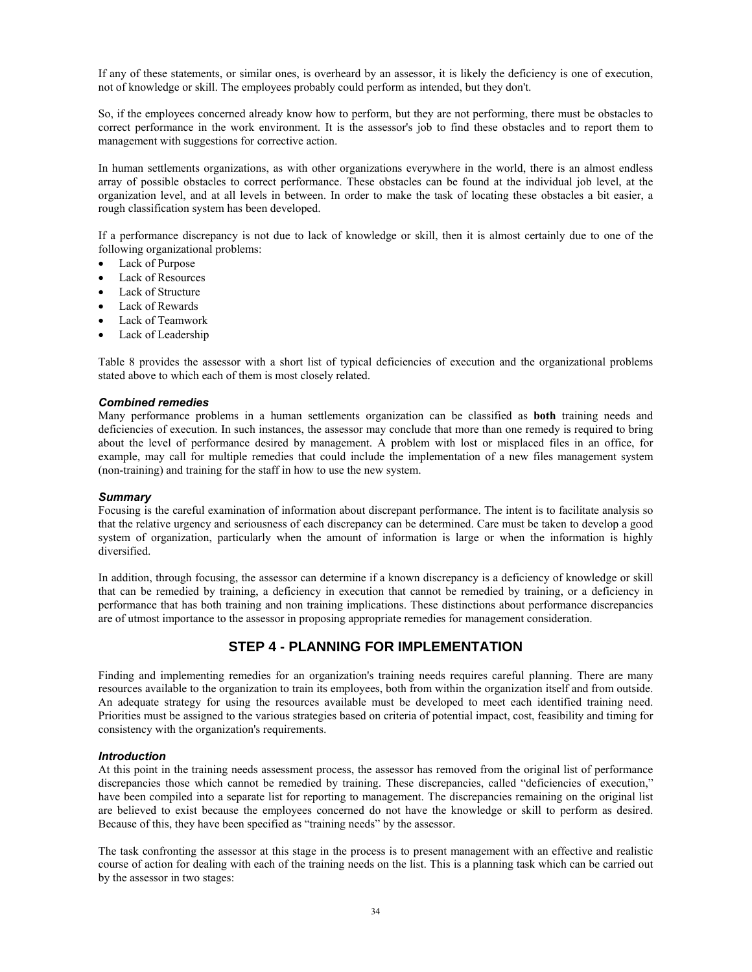If any of these statements, or similar ones, is overheard by an assessor, it is likely the deficiency is one of execution, not of knowledge or skill. The employees probably could perform as intended, but they don't.

So, if the employees concerned already know how to perform, but they are not performing, there must be obstacles to correct performance in the work environment. It is the assessor's job to find these obstacles and to report them to management with suggestions for corrective action.

In human settlements organizations, as with other organizations everywhere in the world, there is an almost endless array of possible obstacles to correct performance. These obstacles can be found at the individual job level, at the organization level, and at all levels in between. In order to make the task of locating these obstacles a bit easier, a rough classification system has been developed.

If a performance discrepancy is not due to lack of knowledge or skill, then it is almost certainly due to one of the following organizational problems:

- Lack of Purpose
- Lack of Resources
- Lack of Structure
- Lack of Rewards
- Lack of Teamwork
- Lack of Leadership

Table 8 provides the assessor with a short list of typical deficiencies of execution and the organizational problems stated above to which each of them is most closely related.

#### *Combined remedies*

Many performance problems in a human settlements organization can be classified as **both** training needs and deficiencies of execution. In such instances, the assessor may conclude that more than one remedy is required to bring about the level of performance desired by management. A problem with lost or misplaced files in an office, for example, may call for multiple remedies that could include the implementation of a new files management system (non-training) and training for the staff in how to use the new system.

#### *Summary*

Focusing is the careful examination of information about discrepant performance. The intent is to facilitate analysis so that the relative urgency and seriousness of each discrepancy can be determined. Care must be taken to develop a good system of organization, particularly when the amount of information is large or when the information is highly diversified.

In addition, through focusing, the assessor can determine if a known discrepancy is a deficiency of knowledge or skill that can be remedied by training, a deficiency in execution that cannot be remedied by training, or a deficiency in performance that has both training and non training implications. These distinctions about performance discrepancies are of utmost importance to the assessor in proposing appropriate remedies for management consideration.

# **STEP 4 - PLANNING FOR IMPLEMENTATION**

Finding and implementing remedies for an organization's training needs requires careful planning. There are many resources available to the organization to train its employees, both from within the organization itself and from outside. An adequate strategy for using the resources available must be developed to meet each identified training need. Priorities must be assigned to the various strategies based on criteria of potential impact, cost, feasibility and timing for consistency with the organization's requirements.

## *Introduction*

At this point in the training needs assessment process, the assessor has removed from the original list of performance discrepancies those which cannot be remedied by training. These discrepancies, called "deficiencies of execution," have been compiled into a separate list for reporting to management. The discrepancies remaining on the original list are believed to exist because the employees concerned do not have the knowledge or skill to perform as desired. Because of this, they have been specified as "training needs" by the assessor.

The task confronting the assessor at this stage in the process is to present management with an effective and realistic course of action for dealing with each of the training needs on the list. This is a planning task which can be carried out by the assessor in two stages: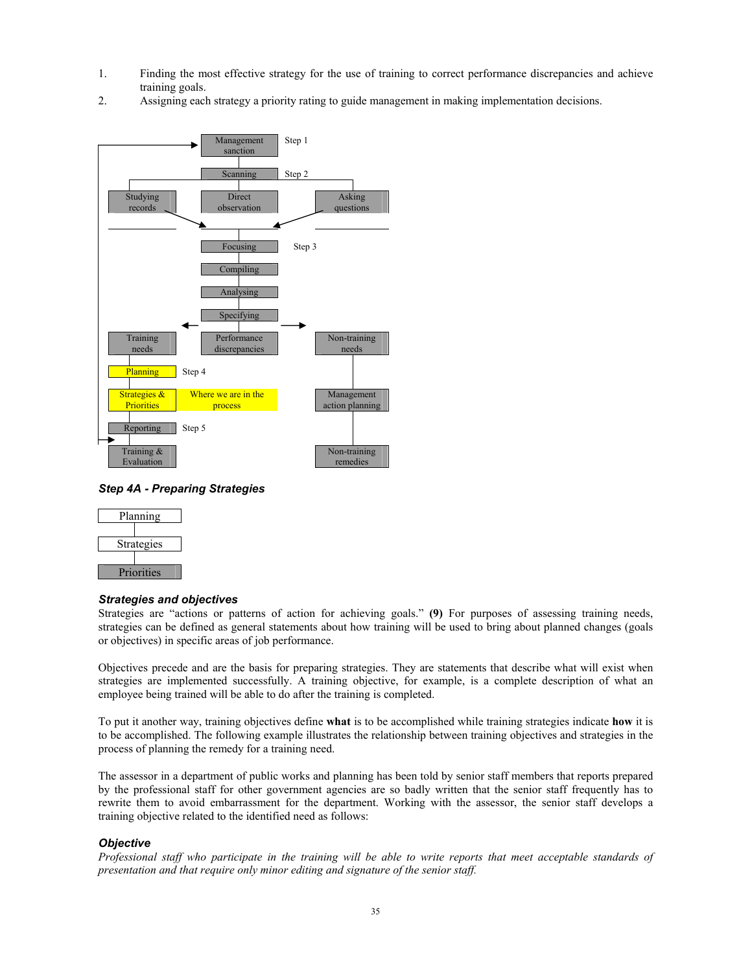- 1. Finding the most effective strategy for the use of training to correct performance discrepancies and achieve training goals.
- 2. Assigning each strategy a priority rating to guide management in making implementation decisions.



*Step 4A - Preparing Strategies* 



# *Strategies and objectives*

Strategies are "actions or patterns of action for achieving goals." **(9)** For purposes of assessing training needs, strategies can be defined as general statements about how training will be used to bring about planned changes (goals or objectives) in specific areas of job performance.

Objectives precede and are the basis for preparing strategies. They are statements that describe what will exist when strategies are implemented successfully. A training objective, for example, is a complete description of what an employee being trained will be able to do after the training is completed.

To put it another way, training objectives define **what** is to be accomplished while training strategies indicate **how** it is to be accomplished. The following example illustrates the relationship between training objectives and strategies in the process of planning the remedy for a training need.

The assessor in a department of public works and planning has been told by senior staff members that reports prepared by the professional staff for other government agencies are so badly written that the senior staff frequently has to rewrite them to avoid embarrassment for the department. Working with the assessor, the senior staff develops a training objective related to the identified need as follows:

# *Objective*

*Professional staff who participate in the training will be able to write reports that meet acceptable standards of presentation and that require only minor editing and signature of the senior staff.*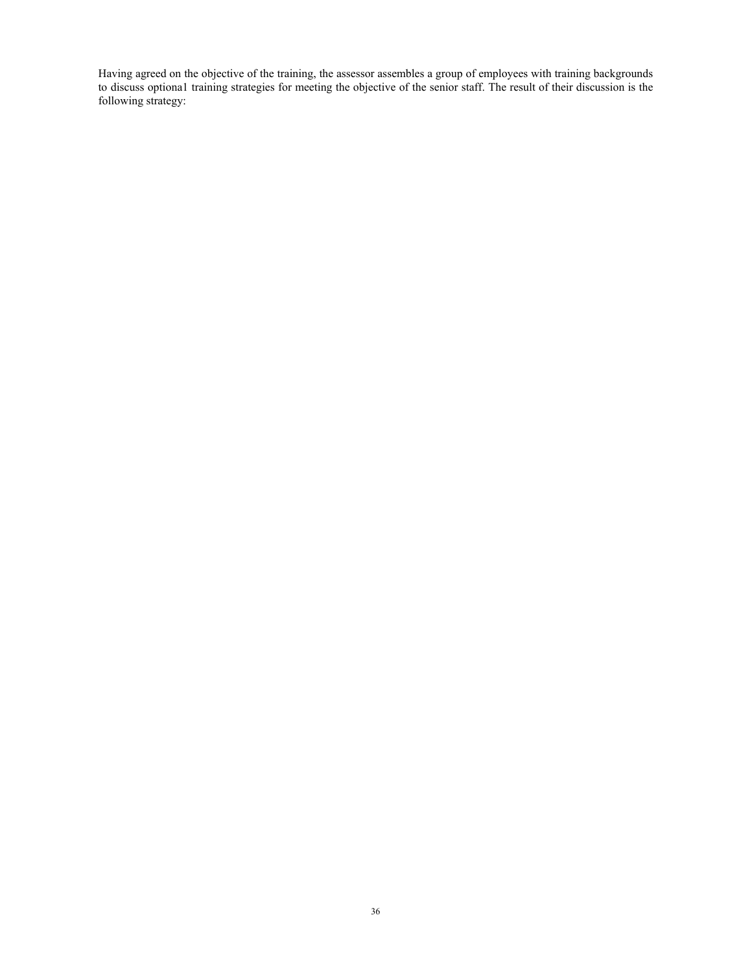Having agreed on the objective of the training, the assessor assembles a group of employees with training backgrounds to discuss optiona1 training strategies for meeting the objective of the senior staff. The result of their discussion is the following strategy: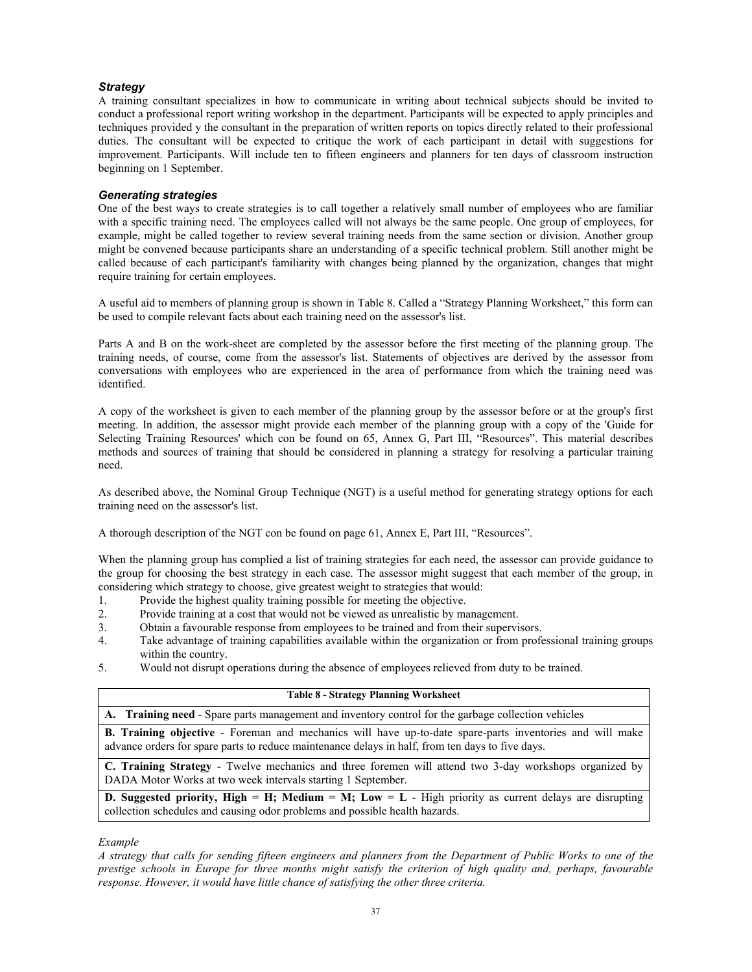# *Strategy*

A training consultant specializes in how to communicate in writing about technical subjects should be invited to conduct a professional report writing workshop in the department. Participants will be expected to apply principles and techniques provided y the consultant in the preparation of written reports on topics directly related to their professional duties. The consultant will be expected to critique the work of each participant in detail with suggestions for improvement. Participants. Will include ten to fifteen engineers and planners for ten days of classroom instruction beginning on 1 September.

## *Generating strategies*

One of the best ways to create strategies is to call together a relatively small number of employees who are familiar with a specific training need. The employees called will not always be the same people. One group of employees, for example, might be called together to review several training needs from the same section or division. Another group might be convened because participants share an understanding of a specific technical problem. Still another might be called because of each participant's familiarity with changes being planned by the organization, changes that might require training for certain employees.

A useful aid to members of planning group is shown in Table 8. Called a "Strategy Planning Worksheet," this form can be used to compile relevant facts about each training need on the assessor's list.

Parts A and B on the work-sheet are completed by the assessor before the first meeting of the planning group. The training needs, of course, come from the assessor's list. Statements of objectives are derived by the assessor from conversations with employees who are experienced in the area of performance from which the training need was identified.

A copy of the worksheet is given to each member of the planning group by the assessor before or at the group's first meeting. In addition, the assessor might provide each member of the planning group with a copy of the 'Guide for Selecting Training Resources' which con be found on 65, Annex G, Part III, "Resources". This material describes methods and sources of training that should be considered in planning a strategy for resolving a particular training need.

As described above, the Nominal Group Technique (NGT) is a useful method for generating strategy options for each training need on the assessor's list.

A thorough description of the NGT con be found on page 61, Annex E, Part III, "Resources".

When the planning group has complied a list of training strategies for each need, the assessor can provide guidance to the group for choosing the best strategy in each case. The assessor might suggest that each member of the group, in considering which strategy to choose, give greatest weight to strategies that would:

- 1. Provide the highest quality training possible for meeting the objective.
- 
- 2. Provide training at a cost that would not be viewed as unrealistic by management.<br>3. Obtain a favourable response from employees to be trained and from their supervi
- 3. Obtain a favourable response from employees to be trained and from their supervisors.<br>4. Take advantage of training capabilities available within the organization or from profe Take advantage of training capabilities available within the organization or from professional training groups within the country.
- 5. Would not disrupt operations during the absence of employees relieved from duty to be trained.

#### **Table 8 - Strategy Planning Worksheet**

**A. Training need** - Spare parts management and inventory control for the garbage collection vehicles

**B. Training objective** - Foreman and mechanics will have up-to-date spare-parts inventories and will make advance orders for spare parts to reduce maintenance delays in half, from ten days to five days.

**C. Training Strategy** - Twelve mechanics and three foremen will attend two 3-day workshops organized by DADA Motor Works at two week intervals starting 1 September.

**D. Suggested priority, High = H; Medium = M; Low = L - High priority as current delays are disrupting** collection schedules and causing odor problems and possible health hazards.

*Example* 

*A strategy that calls for sending fifteen engineers and planners from the Department of Public Works to one of the prestige schools in Europe for three months might satisfy the criterion of high quality and, perhaps, favourable response. However, it would have little chance of satisfying the other three criteria.*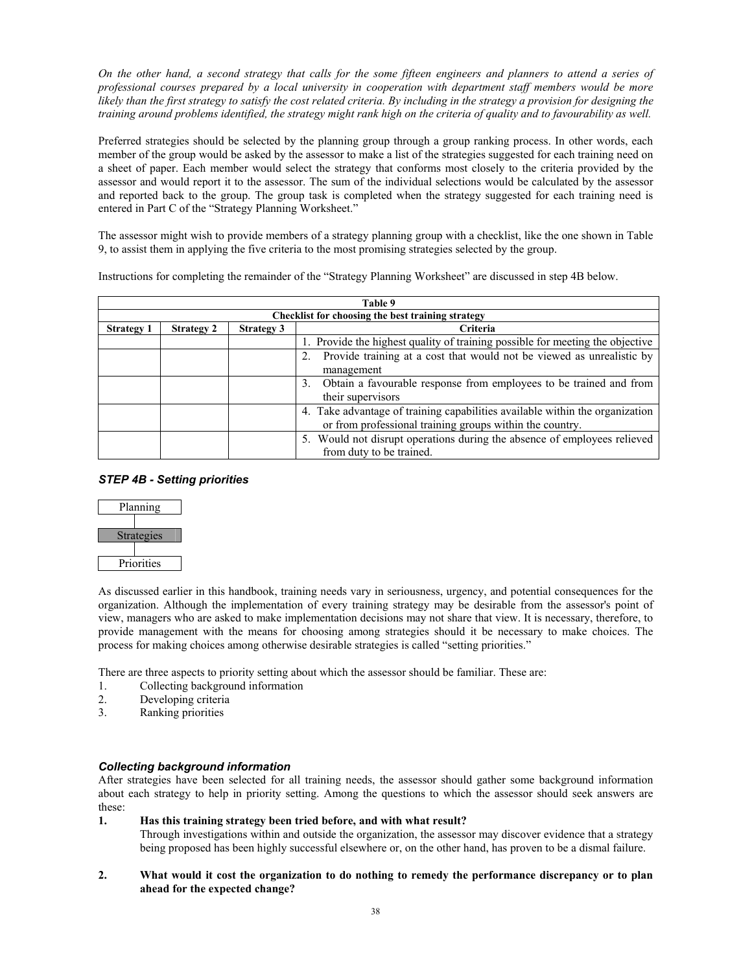*On the other hand, a second strategy that calls for the some fifteen engineers and planners to attend a series of professional courses prepared by a local university in cooperation with department staff members would be more likely than the first strategy to satisfy the cost related criteria. By including in the strategy a provision for designing the training around problems identified, the strategy might rank high on the criteria of quality and to favourability as well.* 

Preferred strategies should be selected by the planning group through a group ranking process. In other words, each member of the group would be asked by the assessor to make a list of the strategies suggested for each training need on a sheet of paper. Each member would select the strategy that conforms most closely to the criteria provided by the assessor and would report it to the assessor. The sum of the individual selections would be calculated by the assessor and reported back to the group. The group task is completed when the strategy suggested for each training need is entered in Part C of the "Strategy Planning Worksheet."

The assessor might wish to provide members of a strategy planning group with a checklist, like the one shown in Table 9, to assist them in applying the five criteria to the most promising strategies selected by the group.

Instructions for completing the remainder of the "Strategy Planning Worksheet" are discussed in step 4B below.

|                   | Table 9           |                   |                                                                               |  |  |
|-------------------|-------------------|-------------------|-------------------------------------------------------------------------------|--|--|
|                   |                   |                   | Checklist for choosing the best training strategy                             |  |  |
| <b>Strategy 1</b> | <b>Strategy 2</b> | <b>Strategy 3</b> | Criteria                                                                      |  |  |
|                   |                   |                   | 1. Provide the highest quality of training possible for meeting the objective |  |  |
|                   |                   |                   | Provide training at a cost that would not be viewed as unrealistic by         |  |  |
|                   |                   |                   | management                                                                    |  |  |
|                   |                   |                   | Obtain a favourable response from employees to be trained and from<br>3.      |  |  |
|                   |                   |                   | their supervisors                                                             |  |  |
|                   |                   |                   | 4. Take advantage of training capabilities available within the organization  |  |  |
|                   |                   |                   | or from professional training groups within the country.                      |  |  |
|                   |                   |                   | 5. Would not disrupt operations during the absence of employees relieved      |  |  |
|                   |                   |                   | from duty to be trained.                                                      |  |  |

# *STEP 4B - Setting priorities*



As discussed earlier in this handbook, training needs vary in seriousness, urgency, and potential consequences for the organization. Although the implementation of every training strategy may be desirable from the assessor's point of view, managers who are asked to make implementation decisions may not share that view. It is necessary, therefore, to provide management with the means for choosing among strategies should it be necessary to make choices. The process for making choices among otherwise desirable strategies is called "setting priorities."

There are three aspects to priority setting about which the assessor should be familiar. These are:

- 1. Collecting background information
- 2. Developing criteria
- 3. Ranking priorities

# *Collecting background information*

After strategies have been selected for all training needs, the assessor should gather some background information about each strategy to help in priority setting. Among the questions to which the assessor should seek answers are these:

**1. Has this training strategy been tried before, and with what result?** 

Through investigations within and outside the organization, the assessor may discover evidence that a strategy being proposed has been highly successful elsewhere or, on the other hand, has proven to be a dismal failure.

**2. What would it cost the organization to do nothing to remedy the performance discrepancy or to plan ahead for the expected change?**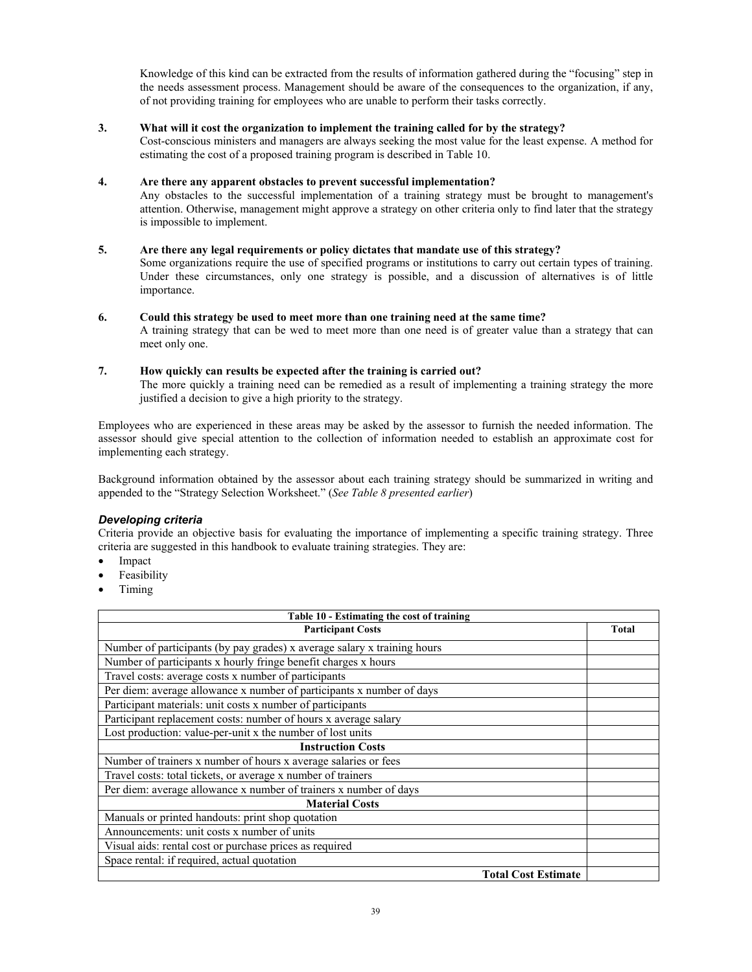Knowledge of this kind can be extracted from the results of information gathered during the "focusing" step in the needs assessment process. Management should be aware of the consequences to the organization, if any, of not providing training for employees who are unable to perform their tasks correctly.

# **3. What will it cost the organization to implement the training called for by the strategy?**

Cost-conscious ministers and managers are always seeking the most value for the least expense. A method for estimating the cost of a proposed training program is described in Table 10.

# **4. Are there any apparent obstacles to prevent successful implementation?**

Any obstacles to the successful implementation of a training strategy must be brought to management's attention. Otherwise, management might approve a strategy on other criteria only to find later that the strategy is impossible to implement.

## **5. Are there any legal requirements or policy dictates that mandate use of this strategy?**

Some organizations require the use of specified programs or institutions to carry out certain types of training. Under these circumstances, only one strategy is possible, and a discussion of alternatives is of little importance.

# **6. Could this strategy be used to meet more than one training need at the same time?**

A training strategy that can be wed to meet more than one need is of greater value than a strategy that can meet only one.

# **7. How quickly can results be expected after the training is carried out?**

The more quickly a training need can be remedied as a result of implementing a training strategy the more justified a decision to give a high priority to the strategy.

Employees who are experienced in these areas may be asked by the assessor to furnish the needed information. The assessor should give special attention to the collection of information needed to establish an approximate cost for implementing each strategy.

Background information obtained by the assessor about each training strategy should be summarized in writing and appended to the "Strategy Selection Worksheet." (*See Table 8 presented earlier*)

# *Developing criteria*

Criteria provide an objective basis for evaluating the importance of implementing a specific training strategy. Three criteria are suggested in this handbook to evaluate training strategies. They are:

- **Impact**
- **Feasibility**
- Timing

| Table 10 - Estimating the cost of training                               |  |  |  |  |  |  |
|--------------------------------------------------------------------------|--|--|--|--|--|--|
| <b>Participant Costs</b>                                                 |  |  |  |  |  |  |
| Number of participants (by pay grades) x average salary x training hours |  |  |  |  |  |  |
| Number of participants x hourly fringe benefit charges x hours           |  |  |  |  |  |  |
| Travel costs: average costs x number of participants                     |  |  |  |  |  |  |
| Per diem: average allowance x number of participants x number of days    |  |  |  |  |  |  |
| Participant materials: unit costs x number of participants               |  |  |  |  |  |  |
| Participant replacement costs: number of hours x average salary          |  |  |  |  |  |  |
| Lost production: value-per-unit x the number of lost units               |  |  |  |  |  |  |
| <b>Instruction Costs</b>                                                 |  |  |  |  |  |  |
| Number of trainers x number of hours x average salaries or fees          |  |  |  |  |  |  |
| Travel costs: total tickets, or average x number of trainers             |  |  |  |  |  |  |
| Per diem: average allowance x number of trainers x number of days        |  |  |  |  |  |  |
| <b>Material Costs</b>                                                    |  |  |  |  |  |  |
| Manuals or printed handouts: print shop quotation                        |  |  |  |  |  |  |
| Announcements: unit costs x number of units                              |  |  |  |  |  |  |
| Visual aids: rental cost or purchase prices as required                  |  |  |  |  |  |  |
| Space rental: if required, actual quotation                              |  |  |  |  |  |  |
| <b>Total Cost Estimate</b>                                               |  |  |  |  |  |  |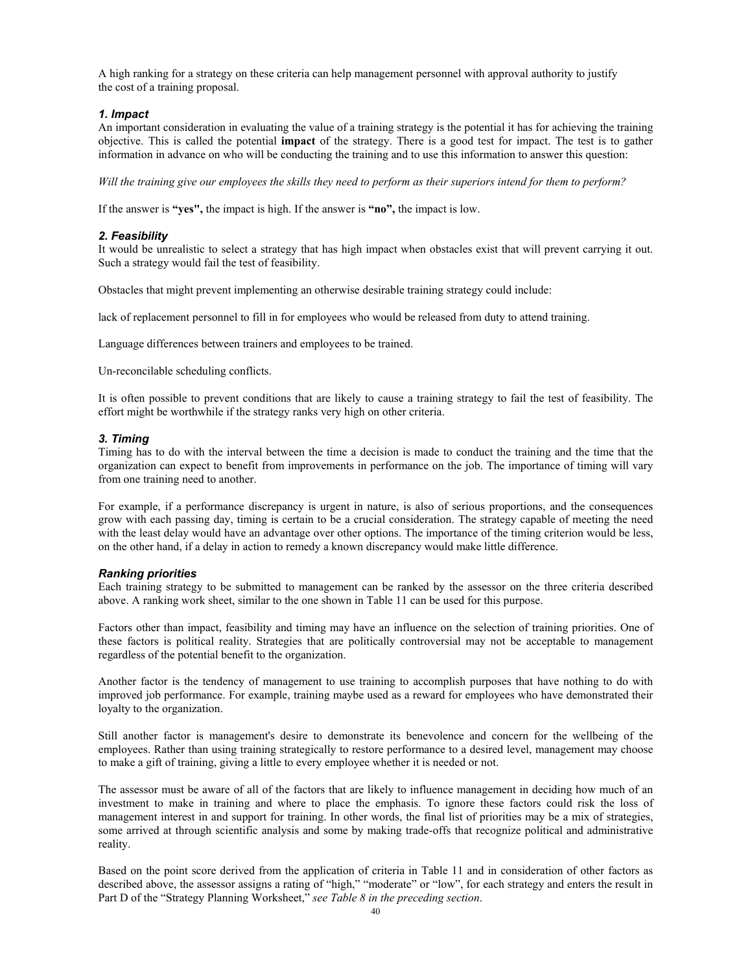A high ranking for a strategy on these criteria can help management personnel with approval authority to justify the cost of a training proposal.

## *1. Impact*

An important consideration in evaluating the value of a training strategy is the potential it has for achieving the training objective. This is called the potential **impact** of the strategy. There is a good test for impact. The test is to gather information in advance on who will be conducting the training and to use this information to answer this question:

*Will the training give our employees the skills they need to perform as their superiors intend for them to perform?* 

If the answer is **"yes",** the impact is high. If the answer is **"no",** the impact is low.

## *2. Feasibility*

It would be unrealistic to select a strategy that has high impact when obstacles exist that will prevent carrying it out. Such a strategy would fail the test of feasibility.

Obstacles that might prevent implementing an otherwise desirable training strategy could include:

lack of replacement personnel to fill in for employees who would be released from duty to attend training.

Language differences between trainers and employees to be trained.

Un-reconcilable scheduling conflicts.

It is often possible to prevent conditions that are likely to cause a training strategy to fail the test of feasibility. The effort might be worthwhile if the strategy ranks very high on other criteria.

## *3. Timing*

Timing has to do with the interval between the time a decision is made to conduct the training and the time that the organization can expect to benefit from improvements in performance on the job. The importance of timing will vary from one training need to another.

For example, if a performance discrepancy is urgent in nature, is also of serious proportions, and the consequences grow with each passing day, timing is certain to be a crucial consideration. The strategy capable of meeting the need with the least delay would have an advantage over other options. The importance of the timing criterion would be less, on the other hand, if a delay in action to remedy a known discrepancy would make little difference.

## *Ranking priorities*

Each training strategy to be submitted to management can be ranked by the assessor on the three criteria described above. A ranking work sheet, similar to the one shown in Table 11 can be used for this purpose.

Factors other than impact, feasibility and timing may have an influence on the selection of training priorities. One of these factors is political reality. Strategies that are politically controversial may not be acceptable to management regardless of the potential benefit to the organization.

Another factor is the tendency of management to use training to accomplish purposes that have nothing to do with improved job performance. For example, training maybe used as a reward for employees who have demonstrated their loyalty to the organization.

Still another factor is management's desire to demonstrate its benevolence and concern for the wellbeing of the employees. Rather than using training strategically to restore performance to a desired level, management may choose to make a gift of training, giving a little to every employee whether it is needed or not.

The assessor must be aware of all of the factors that are likely to influence management in deciding how much of an investment to make in training and where to place the emphasis. To ignore these factors could risk the loss of management interest in and support for training. In other words, the final list of priorities may be a mix of strategies, some arrived at through scientific analysis and some by making trade-offs that recognize political and administrative reality.

Based on the point score derived from the application of criteria in Table 11 and in consideration of other factors as described above, the assessor assigns a rating of "high," "moderate" or "low", for each strategy and enters the result in Part D of the "Strategy Planning Worksheet," *see Table 8 in the preceding section*.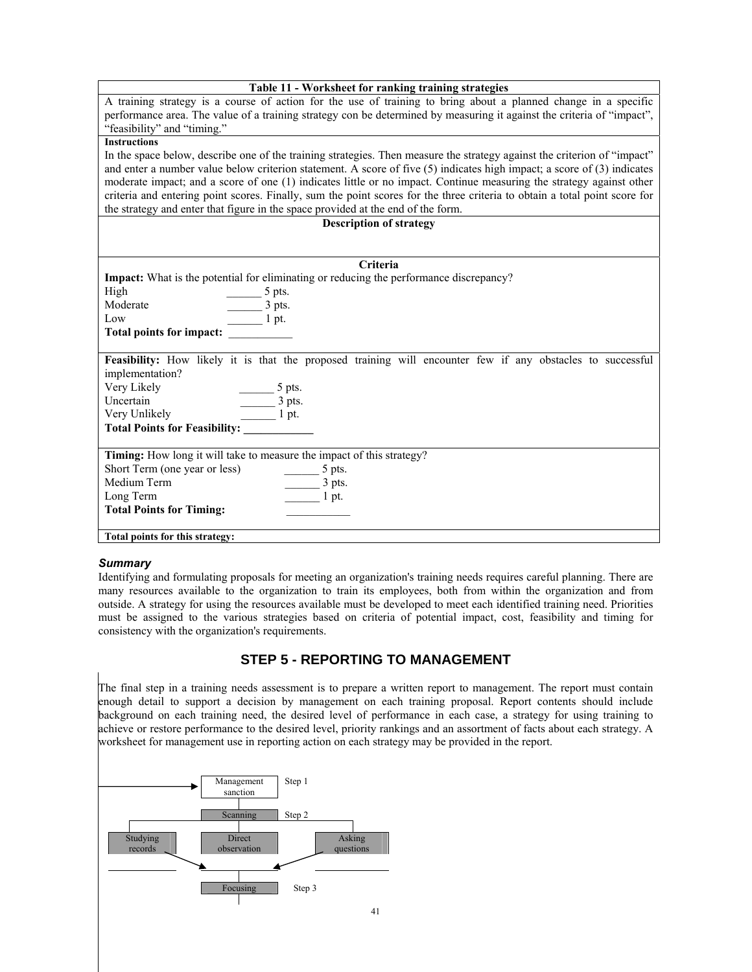| Table 11 - Worksheet for ranking training strategies                                                                                                |  |  |  |  |
|-----------------------------------------------------------------------------------------------------------------------------------------------------|--|--|--|--|
| A training strategy is a course of action for the use of training to bring about a planned change in a specific                                     |  |  |  |  |
| performance area. The value of a training strategy con be determined by measuring it against the criteria of "impact",                              |  |  |  |  |
| "feasibility" and "timing."<br><u> 1989 - Jan Stein Stein Stein Stein Stein Stein Stein Stein Stein Stein Stein Stein Stein Stein Stein Stein S</u> |  |  |  |  |
| <b>Instructions</b>                                                                                                                                 |  |  |  |  |
| In the space below, describe one of the training strategies. Then measure the strategy against the criterion of "impact"                            |  |  |  |  |
| and enter a number value below criterion statement. A score of five $(5)$ indicates high impact; a score of $(3)$ indicates                         |  |  |  |  |
| moderate impact; and a score of one (1) indicates little or no impact. Continue measuring the strategy against other                                |  |  |  |  |
| criteria and entering point scores. Finally, sum the point scores for the three criteria to obtain a total point score for                          |  |  |  |  |
| the strategy and enter that figure in the space provided at the end of the form.                                                                    |  |  |  |  |
| <b>Description of strategy</b>                                                                                                                      |  |  |  |  |
|                                                                                                                                                     |  |  |  |  |
|                                                                                                                                                     |  |  |  |  |
| Criteria                                                                                                                                            |  |  |  |  |
| <b>Impact:</b> What is the potential for eliminating or reducing the performance discrepancy?                                                       |  |  |  |  |
| High<br>$\frac{5 \text{ pts.}}{200}$                                                                                                                |  |  |  |  |
| $\frac{3}{2}$ pts.<br>Moderate                                                                                                                      |  |  |  |  |
| $\frac{1}{2}$ pt.<br>Low                                                                                                                            |  |  |  |  |
| <b>Total points for impact:</b>                                                                                                                     |  |  |  |  |
|                                                                                                                                                     |  |  |  |  |
| Feasibility: How likely it is that the proposed training will encounter few if any obstacles to successful                                          |  |  |  |  |
| implementation?                                                                                                                                     |  |  |  |  |
| Very Likely<br>$\frac{5 \text{ pts.}}{3 \text{ pts.}}$                                                                                              |  |  |  |  |
| Uncertain                                                                                                                                           |  |  |  |  |
| $\frac{1}{\sqrt{2}}$ pt.<br>Very Unlikely                                                                                                           |  |  |  |  |
| <b>Total Points for Feasibility:</b>                                                                                                                |  |  |  |  |
|                                                                                                                                                     |  |  |  |  |
| Timing: How long it will take to measure the impact of this strategy?                                                                               |  |  |  |  |
| Short Term (one year or less)<br>$\frac{5 \text{ pts.}}{2}$                                                                                         |  |  |  |  |
| Medium Term<br>$\frac{3}{2}$ pts.                                                                                                                   |  |  |  |  |
| Long Term<br>$\frac{1}{2}$ pt.                                                                                                                      |  |  |  |  |
| <b>Total Points for Timing:</b>                                                                                                                     |  |  |  |  |
|                                                                                                                                                     |  |  |  |  |
| Total points for this strategy:                                                                                                                     |  |  |  |  |

## *Summary*

Identifying and formulating proposals for meeting an organization's training needs requires careful planning. There are many resources available to the organization to train its employees, both from within the organization and from outside. A strategy for using the resources available must be developed to meet each identified training need. Priorities must be assigned to the various strategies based on criteria of potential impact, cost, feasibility and timing for consistency with the organization's requirements.

# **STEP 5 - REPORTING TO MANAGEMENT**

The final step in a training needs assessment is to prepare a written report to management. The report must contain enough detail to support a decision by management on each training proposal. Report contents should include background on each training need, the desired level of performance in each case, a strategy for using training to achieve or restore performance to the desired level, priority rankings and an assortment of facts about each strategy. A worksheet for management use in reporting action on each strategy may be provided in the report.

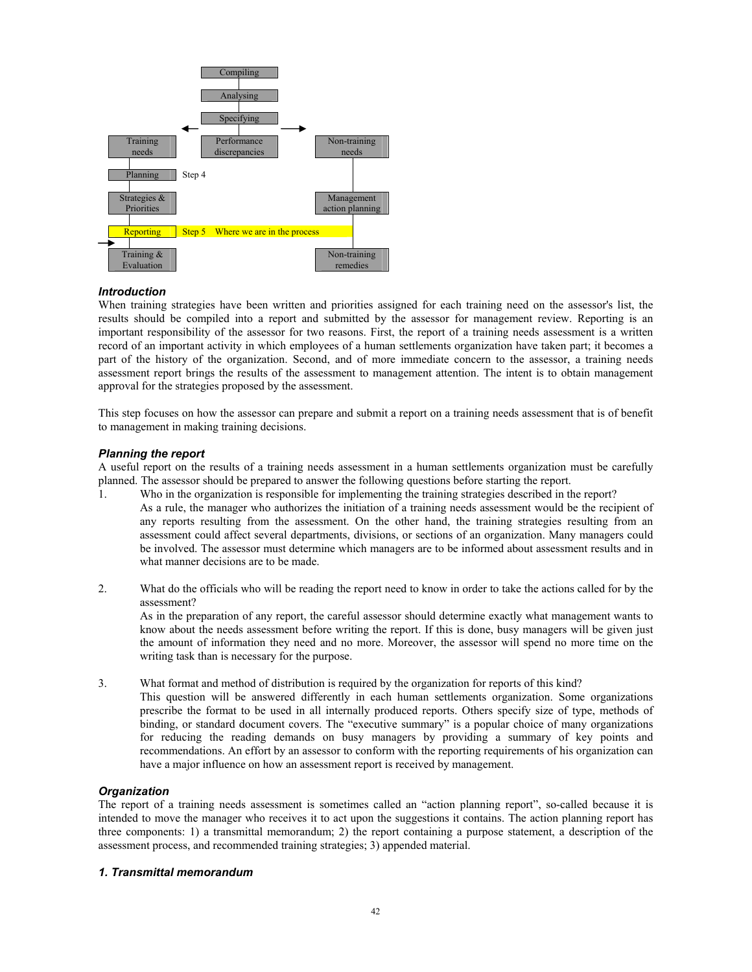

## *Introduction*

When training strategies have been written and priorities assigned for each training need on the assessor's list, the results should be compiled into a report and submitted by the assessor for management review. Reporting is an important responsibility of the assessor for two reasons. First, the report of a training needs assessment is a written record of an important activity in which employees of a human settlements organization have taken part; it becomes a part of the history of the organization. Second, and of more immediate concern to the assessor, a training needs assessment report brings the results of the assessment to management attention. The intent is to obtain management approval for the strategies proposed by the assessment.

This step focuses on how the assessor can prepare and submit a report on a training needs assessment that is of benefit to management in making training decisions.

## *Planning the report*

A useful report on the results of a training needs assessment in a human settlements organization must be carefully planned. The assessor should be prepared to answer the following questions before starting the report.

- 1. Who in the organization is responsible for implementing the training strategies described in the report? As a rule, the manager who authorizes the initiation of a training needs assessment would be the recipient of any reports resulting from the assessment. On the other hand, the training strategies resulting from an assessment could affect several departments, divisions, or sections of an organization. Many managers could be involved. The assessor must determine which managers are to be informed about assessment results and in what manner decisions are to be made.
- 2. What do the officials who will be reading the report need to know in order to take the actions called for by the assessment?

As in the preparation of any report, the careful assessor should determine exactly what management wants to know about the needs assessment before writing the report. If this is done, busy managers will be given just the amount of information they need and no more. Moreover, the assessor will spend no more time on the writing task than is necessary for the purpose.

3. What format and method of distribution is required by the organization for reports of this kind? This question will be answered differently in each human settlements organization. Some organizations prescribe the format to be used in all internally produced reports. Others specify size of type, methods of binding, or standard document covers. The "executive summary" is a popular choice of many organizations for reducing the reading demands on busy managers by providing a summary of key points and recommendations. An effort by an assessor to conform with the reporting requirements of his organization can have a major influence on how an assessment report is received by management.

## *Organization*

The report of a training needs assessment is sometimes called an "action planning report", so-called because it is intended to move the manager who receives it to act upon the suggestions it contains. The action planning report has three components: 1) a transmittal memorandum; 2) the report containing a purpose statement, a description of the assessment process, and recommended training strategies; 3) appended material.

## *1. Transmittal memorandum*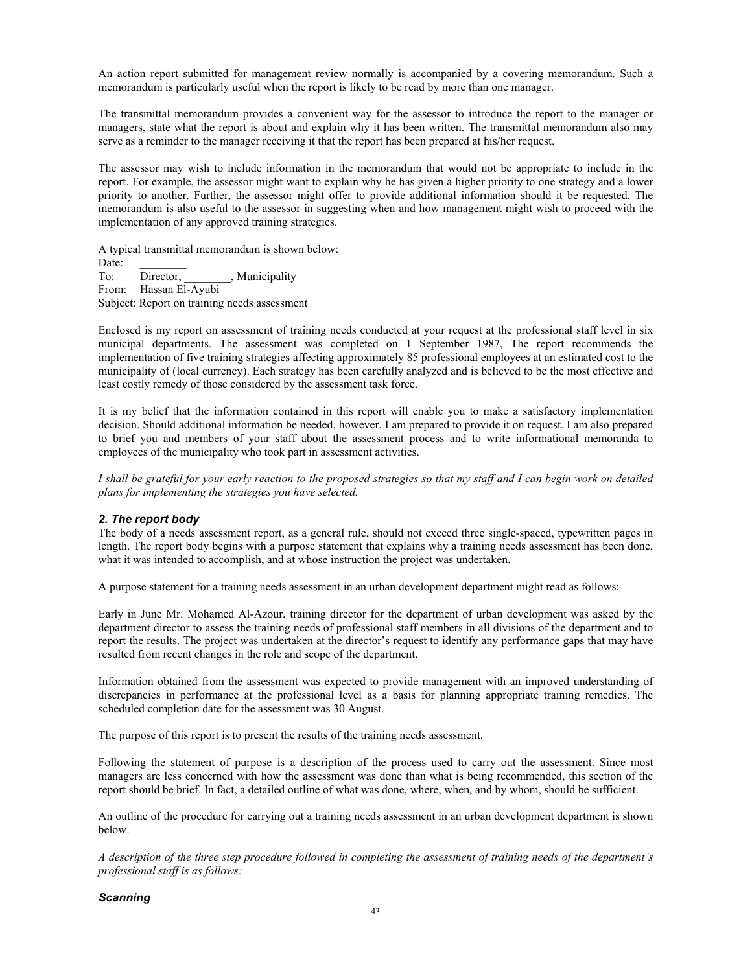An action report submitted for management review normally is accompanied by a covering memorandum. Such a memorandum is particularly useful when the report is likely to be read by more than one manager.

The transmittal memorandum provides a convenient way for the assessor to introduce the report to the manager or managers, state what the report is about and explain why it has been written. The transmittal memorandum also may serve as a reminder to the manager receiving it that the report has been prepared at his/her request.

The assessor may wish to include information in the memorandum that would not be appropriate to include in the report. For example, the assessor might want to explain why he has given a higher priority to one strategy and a lower priority to another. Further, the assessor might offer to provide additional information should it be requested. The memorandum is also useful to the assessor in suggesting when and how management might wish to proceed with the implementation of any approved training strategies.

A typical transmittal memorandum is shown below: Date: To: Director, Municipality From: Hassan El-Ayubi Subject: Report on training needs assessment

Enclosed is my report on assessment of training needs conducted at your request at the professional staff level in six municipal departments. The assessment was completed on 1 September 1987, The report recommends the implementation of five training strategies affecting approximately 85 professional employees at an estimated cost to the municipality of (local currency). Each strategy has been carefully analyzed and is believed to be the most effective and least costly remedy of those considered by the assessment task force.

It is my belief that the information contained in this report will enable you to make a satisfactory implementation decision. Should additional information be needed, however, I am prepared to provide it on request. I am also prepared to brief you and members of your staff about the assessment process and to write informational memoranda to employees of the municipality who took part in assessment activities.

*I shall be grateful for your early reaction to the proposed strategies so that my staff and I can begin work on detailed plans for implementing the strategies you have selected.* 

## *2. The report body*

The body of a needs assessment report, as a general rule, should not exceed three single-spaced, typewritten pages in length. The report body begins with a purpose statement that explains why a training needs assessment has been done, what it was intended to accomplish, and at whose instruction the project was undertaken.

A purpose statement for a training needs assessment in an urban development department might read as follows:

Early in June Mr. Mohamed Al-Azour, training director for the department of urban development was asked by the department director to assess the training needs of professional staff members in all divisions of the department and to report the results. The project was undertaken at the director's request to identify any performance gaps that may have resulted from recent changes in the role and scope of the department.

Information obtained from the assessment was expected to provide management with an improved understanding of discrepancies in performance at the professional level as a basis for planning appropriate training remedies. The scheduled completion date for the assessment was 30 August.

The purpose of this report is to present the results of the training needs assessment.

Following the statement of purpose is a description of the process used to carry out the assessment. Since most managers are less concerned with how the assessment was done than what is being recommended, this section of the report should be brief. In fact, a detailed outline of what was done, where, when, and by whom, should be sufficient.

An outline of the procedure for carrying out a training needs assessment in an urban development department is shown below.

*A description of the three step procedure followed in completing the assessment of training needs of the department's professional staff is as follows:* 

#### *Scanning*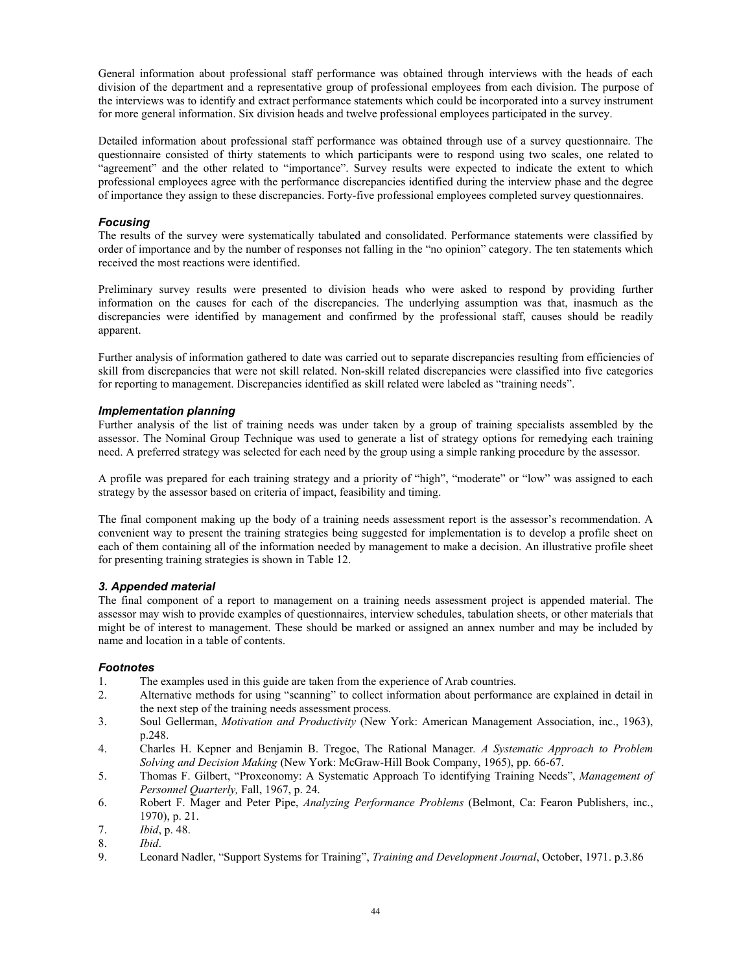General information about professional staff performance was obtained through interviews with the heads of each division of the department and a representative group of professional employees from each division. The purpose of the interviews was to identify and extract performance statements which could be incorporated into a survey instrument for more general information. Six division heads and twelve professional employees participated in the survey.

Detailed information about professional staff performance was obtained through use of a survey questionnaire. The questionnaire consisted of thirty statements to which participants were to respond using two scales, one related to "agreement" and the other related to "importance". Survey results were expected to indicate the extent to which professional employees agree with the performance discrepancies identified during the interview phase and the degree of importance they assign to these discrepancies. Forty-five professional employees completed survey questionnaires.

## *Focusing*

The results of the survey were systematically tabulated and consolidated. Performance statements were classified by order of importance and by the number of responses not falling in the "no opinion" category. The ten statements which received the most reactions were identified.

Preliminary survey results were presented to division heads who were asked to respond by providing further information on the causes for each of the discrepancies. The underlying assumption was that, inasmuch as the discrepancies were identified by management and confirmed by the professional staff, causes should be readily apparent.

Further analysis of information gathered to date was carried out to separate discrepancies resulting from efficiencies of skill from discrepancies that were not skill related. Non-skill related discrepancies were classified into five categories for reporting to management. Discrepancies identified as skill related were labeled as "training needs".

## *Implementation planning*

Further analysis of the list of training needs was under taken by a group of training specialists assembled by the assessor. The Nominal Group Technique was used to generate a list of strategy options for remedying each training need. A preferred strategy was selected for each need by the group using a simple ranking procedure by the assessor.

A profile was prepared for each training strategy and a priority of "high", "moderate" or "low" was assigned to each strategy by the assessor based on criteria of impact, feasibility and timing.

The final component making up the body of a training needs assessment report is the assessor's recommendation. A convenient way to present the training strategies being suggested for implementation is to develop a profile sheet on each of them containing all of the information needed by management to make a decision. An illustrative profile sheet for presenting training strategies is shown in Table 12.

## *3. Appended material*

The final component of a report to management on a training needs assessment project is appended material. The assessor may wish to provide examples of questionnaires, interview schedules, tabulation sheets, or other materials that might be of interest to management. These should be marked or assigned an annex number and may be included by name and location in a table of contents.

## *Footnotes*

- 1. The examples used in this guide are taken from the experience of Arab countries.
- 2. Alternative methods for using "scanning" to collect information about performance are explained in detail in the next step of the training needs assessment process.
- 3. Soul Gellerman, *Motivation and Productivity* (New York: American Management Association, inc., 1963), p.248.
- 4. Charles H. Kepner and Benjamin B. Tregoe, The Rational Manager*. A Systematic Approach to Problem Solving and Decision Making* (New York: McGraw-Hill Book Company, 1965), pp. 66-67.
- 5. Thomas F. Gilbert, "Proxeonomy: A Systematic Approach To identifying Training Needs", *Management of Personnel Quarterly,* Fall, 1967, p. 24.
- 6. Robert F. Mager and Peter Pipe, *Analyzing Performance Problems* (Belmont, Ca: Fearon Publishers, inc., 1970), p. 21.
- 7. *Ibid*, p. 48.
- 8. *Ibid*.
- 9. Leonard Nadler, "Support Systems for Training", *Training and Development Journal*, October, 1971. p.3.86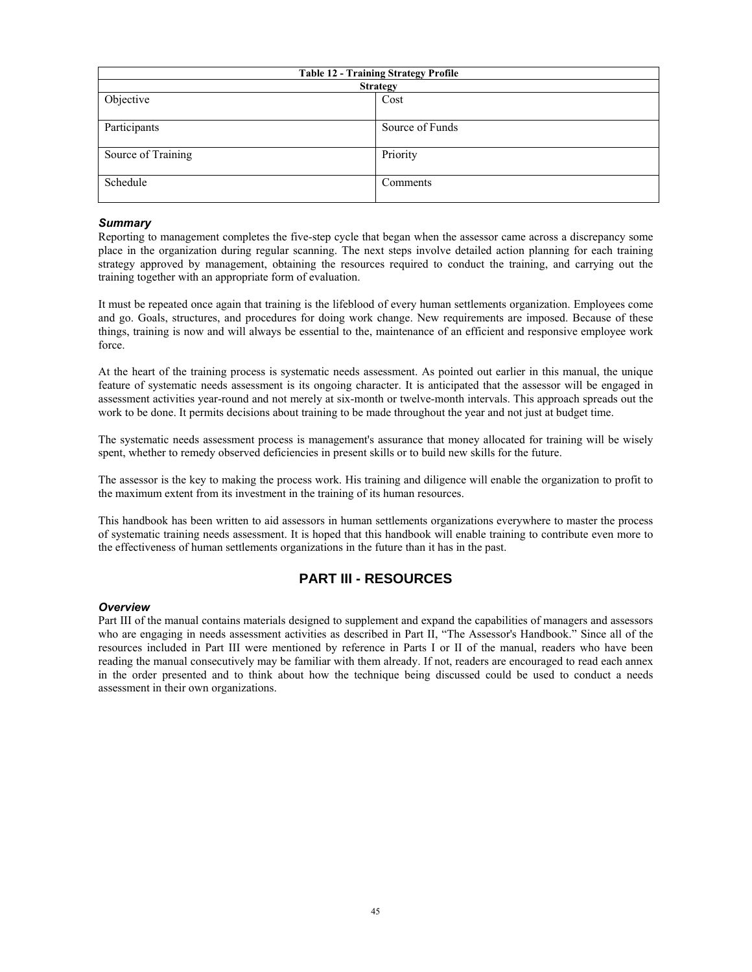| <b>Table 12 - Training Strategy Profile</b> |                 |  |  |
|---------------------------------------------|-----------------|--|--|
|                                             | <b>Strategy</b> |  |  |
| Objective                                   | Cost            |  |  |
| Participants                                | Source of Funds |  |  |
| Source of Training                          | Priority        |  |  |
| Schedule                                    | Comments        |  |  |

## *Summary*

Reporting to management completes the five-step cycle that began when the assessor came across a discrepancy some place in the organization during regular scanning. The next steps involve detailed action planning for each training strategy approved by management, obtaining the resources required to conduct the training, and carrying out the training together with an appropriate form of evaluation.

It must be repeated once again that training is the lifeblood of every human settlements organization. Employees come and go. Goals, structures, and procedures for doing work change. New requirements are imposed. Because of these things, training is now and will always be essential to the, maintenance of an efficient and responsive employee work force.

At the heart of the training process is systematic needs assessment. As pointed out earlier in this manual, the unique feature of systematic needs assessment is its ongoing character. It is anticipated that the assessor will be engaged in assessment activities year-round and not merely at six-month or twelve-month intervals. This approach spreads out the work to be done. It permits decisions about training to be made throughout the year and not just at budget time.

The systematic needs assessment process is management's assurance that money allocated for training will be wisely spent, whether to remedy observed deficiencies in present skills or to build new skills for the future.

The assessor is the key to making the process work. His training and diligence will enable the organization to profit to the maximum extent from its investment in the training of its human resources.

This handbook has been written to aid assessors in human settlements organizations everywhere to master the process of systematic training needs assessment. It is hoped that this handbook will enable training to contribute even more to the effectiveness of human settlements organizations in the future than it has in the past.

# **PART III - RESOURCES**

## *Overview*

Part III of the manual contains materials designed to supplement and expand the capabilities of managers and assessors who are engaging in needs assessment activities as described in Part II, "The Assessor's Handbook." Since all of the resources included in Part III were mentioned by reference in Parts I or II of the manual, readers who have been reading the manual consecutively may be familiar with them already. If not, readers are encouraged to read each annex in the order presented and to think about how the technique being discussed could be used to conduct a needs assessment in their own organizations.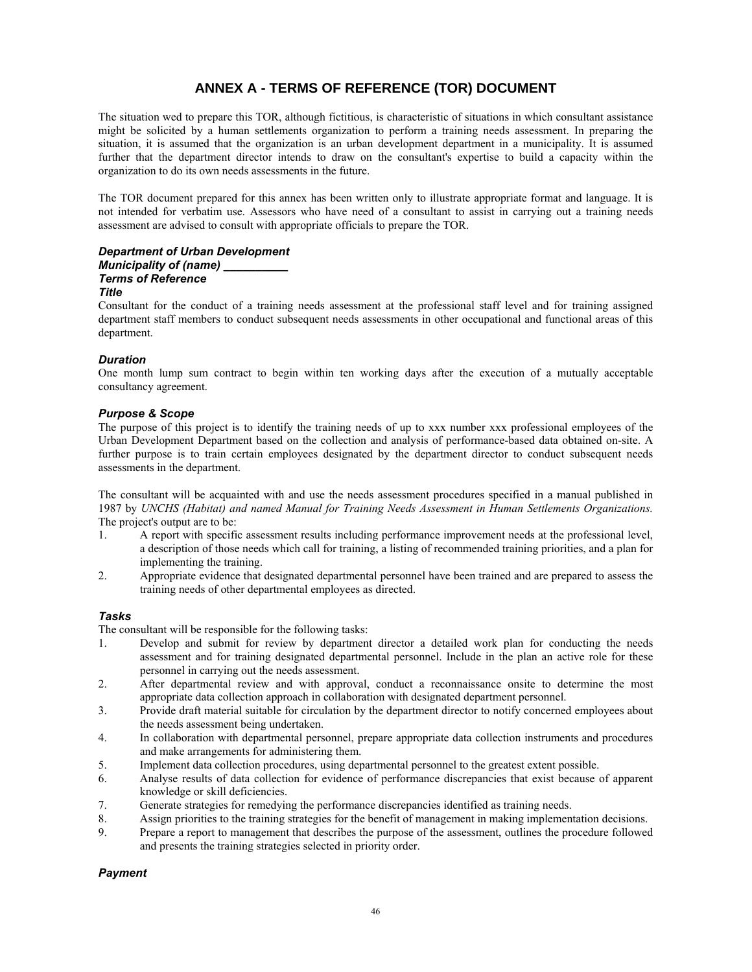# **ANNEX A - TERMS OF REFERENCE (TOR) DOCUMENT**

The situation wed to prepare this TOR, although fictitious, is characteristic of situations in which consultant assistance might be solicited by a human settlements organization to perform a training needs assessment. In preparing the situation, it is assumed that the organization is an urban development department in a municipality. It is assumed further that the department director intends to draw on the consultant's expertise to build a capacity within the organization to do its own needs assessments in the future.

The TOR document prepared for this annex has been written only to illustrate appropriate format and language. It is not intended for verbatim use. Assessors who have need of a consultant to assist in carrying out a training needs assessment are advised to consult with appropriate officials to prepare the TOR.

# *Department of Urban Development Municipality of (name) \_\_\_\_\_\_\_\_\_\_*

# *Terms of Reference*

### *Title*

Consultant for the conduct of a training needs assessment at the professional staff level and for training assigned department staff members to conduct subsequent needs assessments in other occupational and functional areas of this department.

# *Duration*

One month lump sum contract to begin within ten working days after the execution of a mutually acceptable consultancy agreement.

# *Purpose & Scope*

The purpose of this project is to identify the training needs of up to xxx number xxx professional employees of the Urban Development Department based on the collection and analysis of performance-based data obtained on-site. A further purpose is to train certain employees designated by the department director to conduct subsequent needs assessments in the department.

The consultant will be acquainted with and use the needs assessment procedures specified in a manual published in 1987 by *UNCHS (Habitat) and named Manual for Training Needs Assessment in Human Settlements Organizations.* The project's output are to be:

- 1. A report with specific assessment results including performance improvement needs at the professional level, a description of those needs which call for training, a listing of recommended training priorities, and a plan for implementing the training.
- 2. Appropriate evidence that designated departmental personnel have been trained and are prepared to assess the training needs of other departmental employees as directed.

## *Tasks*

The consultant will be responsible for the following tasks:

- 1. Develop and submit for review by department director a detailed work plan for conducting the needs assessment and for training designated departmental personnel. Include in the plan an active role for these personnel in carrying out the needs assessment.
- 2.After departmental review and with approval, conduct a reconnaissance onsite to determine the most appropriate data collection approach in collaboration with designated department personnel.
- 3. Provide draft material suitable for circulation by the department director to notify concerned employees about the needs assessment being undertaken.
- 4. In collaboration with departmental personnel, prepare appropriate data collection instruments and procedures and make arrangements for administering them.
- 5. Implement data collection procedures, using departmental personnel to the greatest extent possible.
- 6. Analyse results of data collection for evidence of performance discrepancies that exist because of apparent knowledge or skill deficiencies.
- 7. Generate strategies for remedying the performance discrepancies identified as training needs.
- 8. Assign priorities to the training strategies for the benefit of management in making implementation decisions.
- 9. Prepare a report to management that describes the purpose of the assessment, outlines the procedure followed and presents the training strategies selected in priority order.

## *Payment*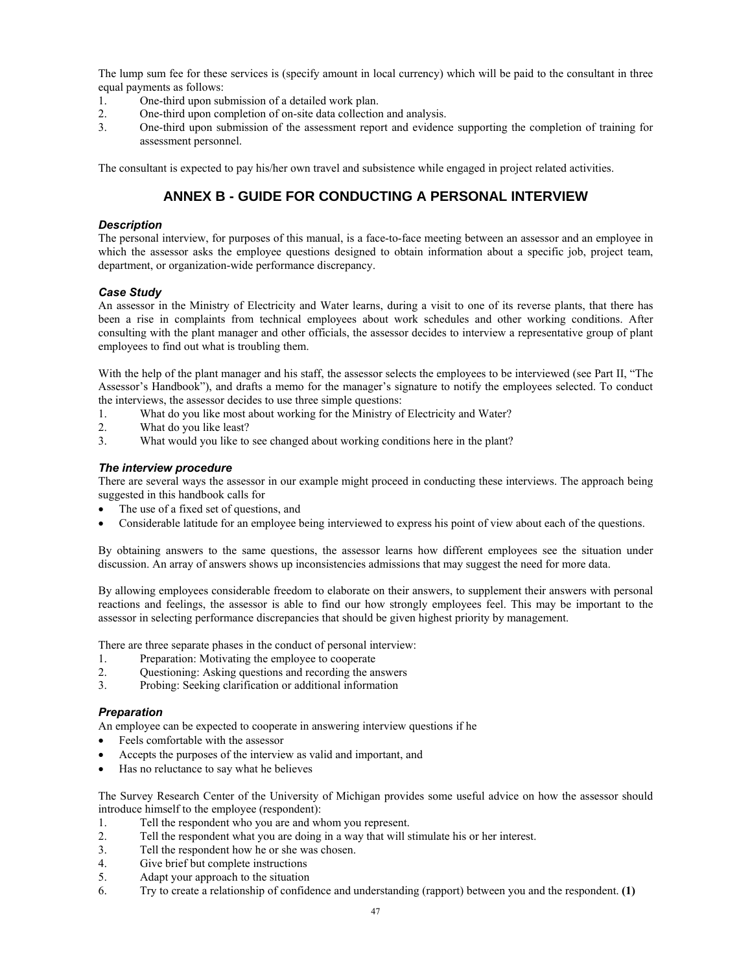The lump sum fee for these services is (specify amount in local currency) which will be paid to the consultant in three equal payments as follows:

- 1. One-third upon submission of a detailed work plan.
- 2. One-third upon completion of on-site data collection and analysis.
- 3. One-third upon submission of the assessment report and evidence supporting the completion of training for assessment personnel.

The consultant is expected to pay his/her own travel and subsistence while engaged in project related activities.

# **ANNEX B - GUIDE FOR CONDUCTING A PERSONAL INTERVIEW**

## *Description*

The personal interview, for purposes of this manual, is a face-to-face meeting between an assessor and an employee in which the assessor asks the employee questions designed to obtain information about a specific job, project team, department, or organization-wide performance discrepancy.

## *Case Study*

An assessor in the Ministry of Electricity and Water learns, during a visit to one of its reverse plants, that there has been a rise in complaints from technical employees about work schedules and other working conditions. After consulting with the plant manager and other officials, the assessor decides to interview a representative group of plant employees to find out what is troubling them.

With the help of the plant manager and his staff, the assessor selects the employees to be interviewed (see Part II, "The Assessor's Handbook"), and drafts a memo for the manager's signature to notify the employees selected. To conduct the interviews, the assessor decides to use three simple questions:

- 1. What do you like most about working for the Ministry of Electricity and Water?
- 2. What do you like least?
- 3. What would you like to see changed about working conditions here in the plant?

## *The interview procedure*

There are several ways the assessor in our example might proceed in conducting these interviews. The approach being suggested in this handbook calls for

- The use of a fixed set of questions, and
- Considerable latitude for an employee being interviewed to express his point of view about each of the questions.

By obtaining answers to the same questions, the assessor learns how different employees see the situation under discussion. An array of answers shows up inconsistencies admissions that may suggest the need for more data.

By allowing employees considerable freedom to elaborate on their answers, to supplement their answers with personal reactions and feelings, the assessor is able to find our how strongly employees feel. This may be important to the assessor in selecting performance discrepancies that should be given highest priority by management.

There are three separate phases in the conduct of personal interview:

- 1. Preparation: Motivating the employee to cooperate
- 2. Questioning: Asking questions and recording the answers
- 3. Probing: Seeking clarification or additional information

## *Preparation*

An employee can be expected to cooperate in answering interview questions if he

- Feels comfortable with the assessor
- Accepts the purposes of the interview as valid and important, and
- Has no reluctance to say what he believes

The Survey Research Center of the University of Michigan provides some useful advice on how the assessor should introduce himself to the employee (respondent):

- 1. Tell the respondent who you are and whom you represent.
- 2. Tell the respondent what you are doing in a way that will stimulate his or her interest.
- 3. Tell the respondent how he or she was chosen.
- 4. Give brief but complete instructions
- 5. Adapt your approach to the situation
- 6. Try to create a relationship of confidence and understanding (rapport) between you and the respondent. **(1)**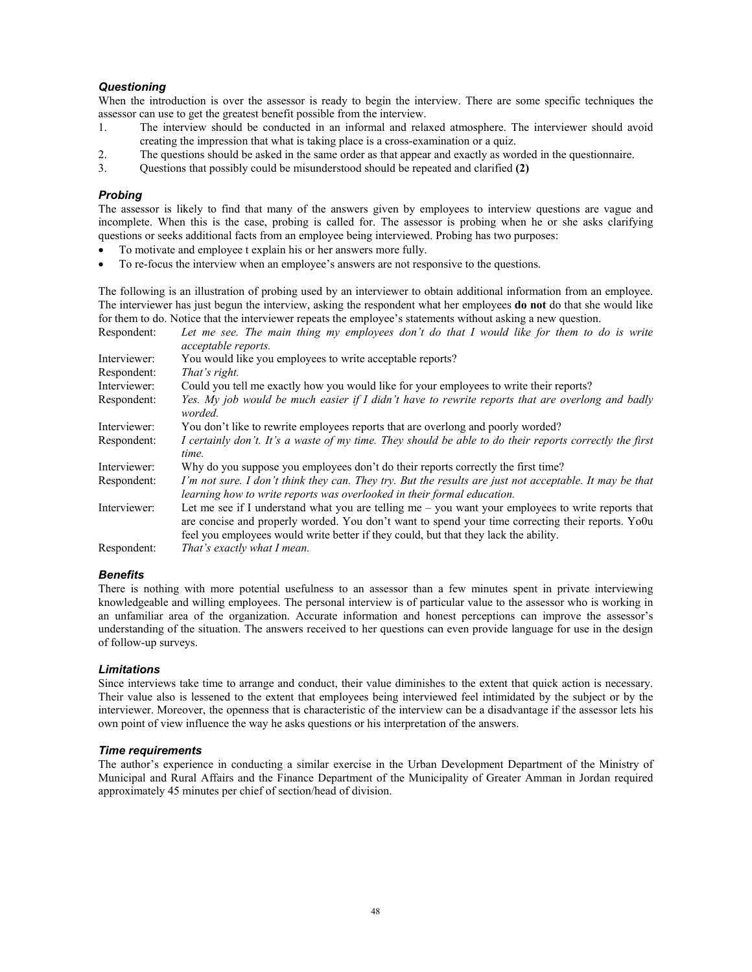# *Questioning*

When the introduction is over the assessor is ready to begin the interview. There are some specific techniques the assessor can use to get the greatest benefit possible from the interview.

- 1. The interview should be conducted in an informal and relaxed atmosphere. The interviewer should avoid creating the impression that what is taking place is a cross-examination or a quiz.
- 2. The questions should be asked in the same order as that appear and exactly as worded in the questionnaire.
- 3. Questions that possibly could be misunderstood should be repeated and clarified **(2)**

### *Probing*

The assessor is likely to find that many of the answers given by employees to interview questions are vague and incomplete. When this is the case, probing is called for. The assessor is probing when he or she asks clarifying questions or seeks additional facts from an employee being interviewed. Probing has two purposes:

- To motivate and employee t explain his or her answers more fully.
- To re-focus the interview when an employee's answers are not responsive to the questions.

The following is an illustration of probing used by an interviewer to obtain additional information from an employee. The interviewer has just begun the interview, asking the respondent what her employees **do not** do that she would like for them to do. Notice that the interviewer repeats the employee's statements without asking a new question.

| Respondent:  | Let me see. The main thing my employees don't do that I would like for them to do is write<br><i>acceptable reports.</i>                                                           |
|--------------|------------------------------------------------------------------------------------------------------------------------------------------------------------------------------------|
| Interviewer: | You would like you employees to write acceptable reports?                                                                                                                          |
| Respondent:  | That's right.                                                                                                                                                                      |
| Interviewer: | Could you tell me exactly how you would like for your employees to write their reports?                                                                                            |
| Respondent:  | Yes. My job would be much easier if I didn't have to rewrite reports that are overlong and badly<br>worded.                                                                        |
| Interviewer: | You don't like to rewrite employees reports that are overlong and poorly worded?                                                                                                   |
| Respondent:  | I certainly don't. It's a waste of my time. They should be able to do their reports correctly the first<br>time.                                                                   |
| Interviewer: | Why do you suppose you employees don't do their reports correctly the first time?                                                                                                  |
| Respondent:  | I'm not sure. I don't think they can. They try. But the results are just not acceptable. It may be that<br>learning how to write reports was overlooked in their formal education. |

Interviewer: Let me see if I understand what you are telling me – you want your employees to write reports that are concise and properly worded. You don't want to spend your time correcting their reports. Yo0u feel you employees would write better if they could, but that they lack the ability. Respondent: *That's exactly what I mean.* 

# *Benefits*

There is nothing with more potential usefulness to an assessor than a few minutes spent in private interviewing knowledgeable and willing employees. The personal interview is of particular value to the assessor who is working in an unfamiliar area of the organization. Accurate information and honest perceptions can improve the assessor's understanding of the situation. The answers received to her questions can even provide language for use in the design of follow-up surveys.

#### *Limitations*

Since interviews take time to arrange and conduct, their value diminishes to the extent that quick action is necessary. Their value also is lessened to the extent that employees being interviewed feel intimidated by the subject or by the interviewer. Moreover, the openness that is characteristic of the interview can be a disadvantage if the assessor lets his own point of view influence the way he asks questions or his interpretation of the answers.

#### *Time requirements*

The author's experience in conducting a similar exercise in the Urban Development Department of the Ministry of Municipal and Rural Affairs and the Finance Department of the Municipality of Greater Amman in Jordan required approximately 45 minutes per chief of section/head of division.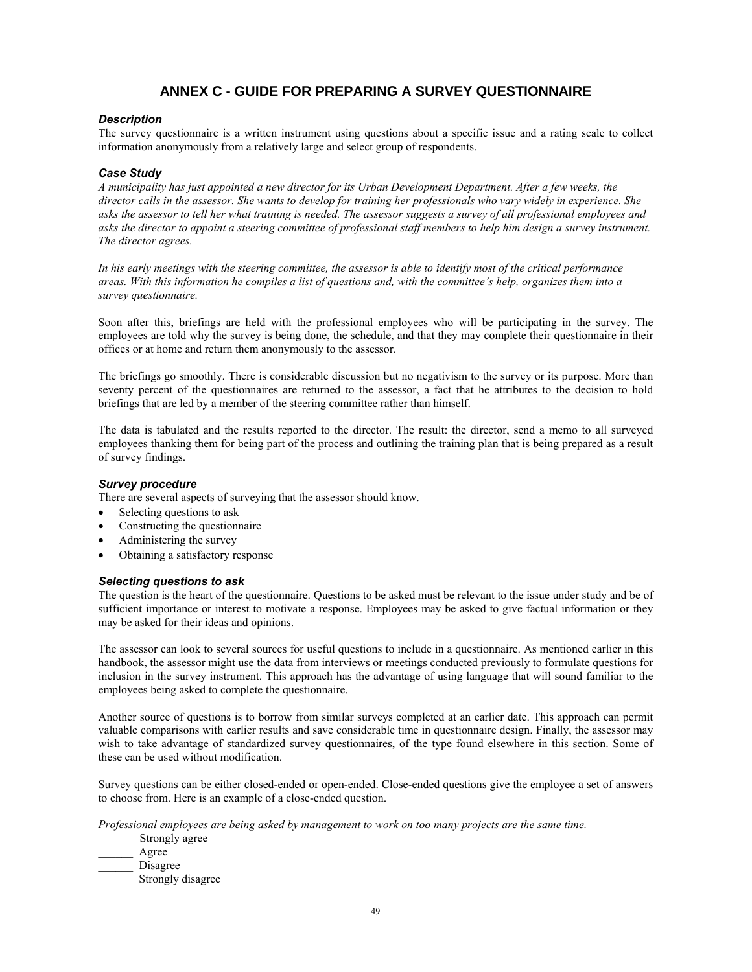# **ANNEX C - GUIDE FOR PREPARING A SURVEY QUESTIONNAIRE**

## *Description*

The survey questionnaire is a written instrument using questions about a specific issue and a rating scale to collect information anonymously from a relatively large and select group of respondents.

### *Case Study*

*A municipality has just appointed a new director for its Urban Development Department. After a few weeks, the director calls in the assessor. She wants to develop for training her professionals who vary widely in experience. She asks the assessor to tell her what training is needed. The assessor suggests a survey of all professional employees and asks the director to appoint a steering committee of professional staff members to help him design a survey instrument. The director agrees.* 

*In his early meetings with the steering committee, the assessor is able to identify most of the critical performance areas. With this information he compiles a list of questions and, with the committee's help, organizes them into a survey questionnaire.* 

Soon after this, briefings are held with the professional employees who will be participating in the survey. The employees are told why the survey is being done, the schedule, and that they may complete their questionnaire in their offices or at home and return them anonymously to the assessor.

The briefings go smoothly. There is considerable discussion but no negativism to the survey or its purpose. More than seventy percent of the questionnaires are returned to the assessor, a fact that he attributes to the decision to hold briefings that are led by a member of the steering committee rather than himself.

The data is tabulated and the results reported to the director. The result: the director, send a memo to all surveyed employees thanking them for being part of the process and outlining the training plan that is being prepared as a result of survey findings.

#### *Survey procedure*

There are several aspects of surveying that the assessor should know.

- Selecting questions to ask
- Constructing the questionnaire
- Administering the survey
- Obtaining a satisfactory response

#### *Selecting questions to ask*

The question is the heart of the questionnaire. Questions to be asked must be relevant to the issue under study and be of sufficient importance or interest to motivate a response. Employees may be asked to give factual information or they may be asked for their ideas and opinions.

The assessor can look to several sources for useful questions to include in a questionnaire. As mentioned earlier in this handbook, the assessor might use the data from interviews or meetings conducted previously to formulate questions for inclusion in the survey instrument. This approach has the advantage of using language that will sound familiar to the employees being asked to complete the questionnaire.

Another source of questions is to borrow from similar surveys completed at an earlier date. This approach can permit valuable comparisons with earlier results and save considerable time in questionnaire design. Finally, the assessor may wish to take advantage of standardized survey questionnaires, of the type found elsewhere in this section. Some of these can be used without modification.

Survey questions can be either closed-ended or open-ended. Close-ended questions give the employee a set of answers to choose from. Here is an example of a close-ended question.

*Professional employees are being asked by management to work on too many projects are the same time.* 

Strongly agree Agree \_\_\_\_\_\_ Disagree Strongly disagree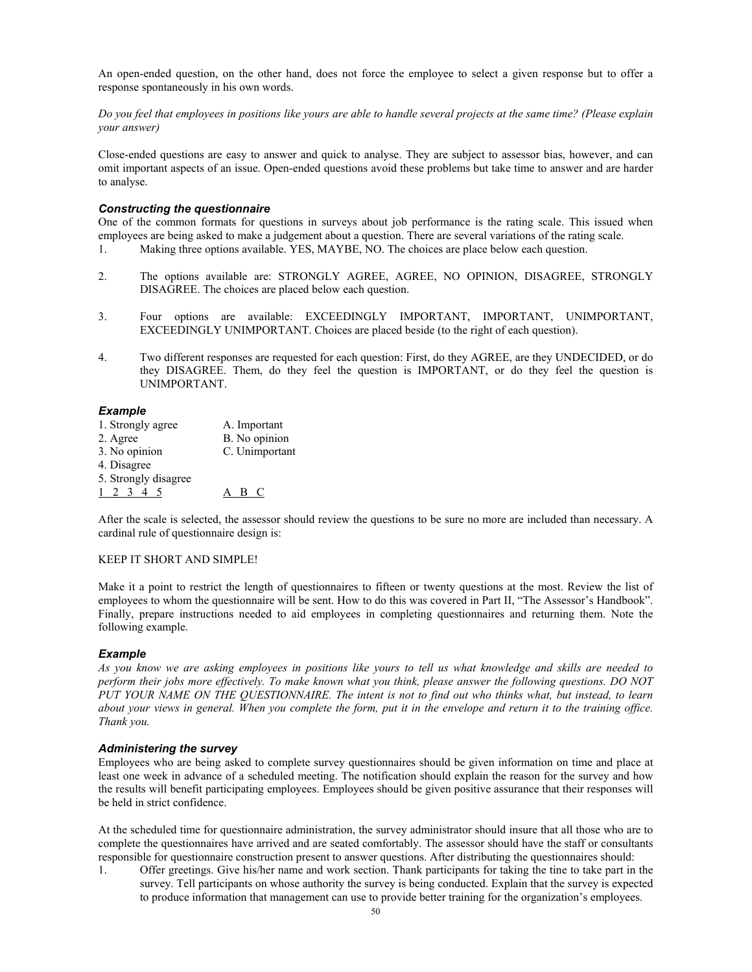An open-ended question, on the other hand, does not force the employee to select a given response but to offer a response spontaneously in his own words.

*Do you feel that employees in positions like yours are able to handle several projects at the same time? (Please explain your answer)* 

Close-ended questions are easy to answer and quick to analyse. They are subject to assessor bias, however, and can omit important aspects of an issue. Open-ended questions avoid these problems but take time to answer and are harder to analyse.

### *Constructing the questionnaire*

One of the common formats for questions in surveys about job performance is the rating scale. This issued when employees are being asked to make a judgement about a question. There are several variations of the rating scale.

- 1. Making three options available. YES, MAYBE, NO. The choices are place below each question.
- 2. The options available are: STRONGLY AGREE, AGREE, NO OPINION, DISAGREE, STRONGLY DISAGREE. The choices are placed below each question.
- 3. Four options are available: EXCEEDINGLY IMPORTANT, IMPORTANT, UNIMPORTANT, EXCEEDINGLY UNIMPORTANT. Choices are placed beside (to the right of each question).
- 4. Two different responses are requested for each question: First, do they AGREE, are they UNDECIDED, or do they DISAGREE. Them, do they feel the question is IMPORTANT, or do they feel the question is UNIMPORTANT.

#### *Example*

- 1. Strongly agree A. Important 2. Agree B. No opinion 3. No opinion C. Unimportant 4. Disagree 5. Strongly disagree
- 1 2 3 4 5 A B C

After the scale is selected, the assessor should review the questions to be sure no more are included than necessary. A cardinal rule of questionnaire design is:

### KEEP IT SHORT AND SIMPLE!

Make it a point to restrict the length of questionnaires to fifteen or twenty questions at the most. Review the list of employees to whom the questionnaire will be sent. How to do this was covered in Part II, "The Assessor's Handbook". Finally, prepare instructions needed to aid employees in completing questionnaires and returning them. Note the following example.

#### *Example*

*As you know we are asking employees in positions like yours to tell us what knowledge and skills are needed to perform their jobs more effectively. To make known what you think, please answer the following questions. DO NOT PUT YOUR NAME ON THE QUESTIONNAIRE. The intent is not to find out who thinks what, but instead, to learn about your views in general. When you complete the form, put it in the envelope and return it to the training office. Thank you.* 

## *Administering the survey*

Employees who are being asked to complete survey questionnaires should be given information on time and place at least one week in advance of a scheduled meeting. The notification should explain the reason for the survey and how the results will benefit participating employees. Employees should be given positive assurance that their responses will be held in strict confidence.

At the scheduled time for questionnaire administration, the survey administrator should insure that all those who are to complete the questionnaires have arrived and are seated comfortably. The assessor should have the staff or consultants responsible for questionnaire construction present to answer questions. After distributing the questionnaires should:

1. Offer greetings. Give his/her name and work section. Thank participants for taking the tine to take part in the survey. Tell participants on whose authority the survey is being conducted. Explain that the survey is expected to produce information that management can use to provide better training for the organization's employees.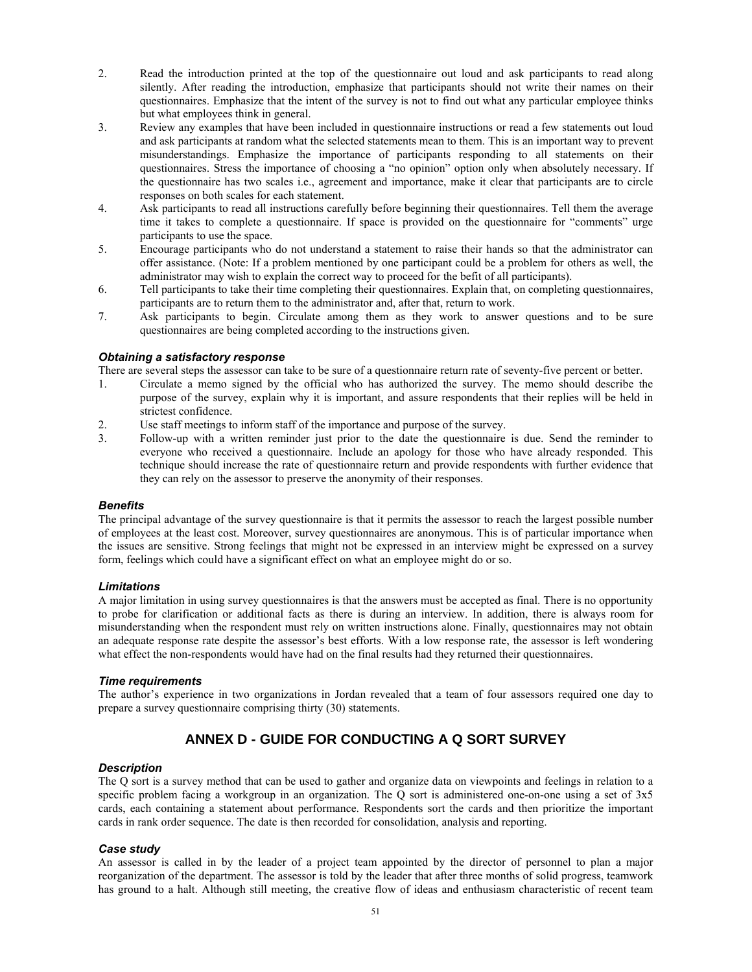- 2. Read the introduction printed at the top of the questionnaire out loud and ask participants to read along silently. After reading the introduction, emphasize that participants should not write their names on their questionnaires. Emphasize that the intent of the survey is not to find out what any particular employee thinks but what employees think in general.
- 3. Review any examples that have been included in questionnaire instructions or read a few statements out loud and ask participants at random what the selected statements mean to them. This is an important way to prevent misunderstandings. Emphasize the importance of participants responding to all statements on their questionnaires. Stress the importance of choosing a "no opinion" option only when absolutely necessary. If the questionnaire has two scales i.e., agreement and importance, make it clear that participants are to circle responses on both scales for each statement.
- 4. Ask participants to read all instructions carefully before beginning their questionnaires. Tell them the average time it takes to complete a questionnaire. If space is provided on the questionnaire for "comments" urge participants to use the space.
- 5. Encourage participants who do not understand a statement to raise their hands so that the administrator can offer assistance. (Note: If a problem mentioned by one participant could be a problem for others as well, the administrator may wish to explain the correct way to proceed for the befit of all participants).
- 6. Tell participants to take their time completing their questionnaires. Explain that, on completing questionnaires, participants are to return them to the administrator and, after that, return to work.
- 7. Ask participants to begin. Circulate among them as they work to answer questions and to be sure questionnaires are being completed according to the instructions given.

## *Obtaining a satisfactory response*

There are several steps the assessor can take to be sure of a questionnaire return rate of seventy-five percent or better.

- 1. Circulate a memo signed by the official who has authorized the survey. The memo should describe the purpose of the survey, explain why it is important, and assure respondents that their replies will be held in strictest confidence.
- 2. Use staff meetings to inform staff of the importance and purpose of the survey.<br>3. Follow-up with a written reminder just prior to the date the questionnaire
- 3. Follow-up with a written reminder just prior to the date the questionnaire is due. Send the reminder to everyone who received a questionnaire. Include an apology for those who have already responded. This technique should increase the rate of questionnaire return and provide respondents with further evidence that they can rely on the assessor to preserve the anonymity of their responses.

## *Benefits*

The principal advantage of the survey questionnaire is that it permits the assessor to reach the largest possible number of employees at the least cost. Moreover, survey questionnaires are anonymous. This is of particular importance when the issues are sensitive. Strong feelings that might not be expressed in an interview might be expressed on a survey form, feelings which could have a significant effect on what an employee might do or so.

## *Limitations*

A major limitation in using survey questionnaires is that the answers must be accepted as final. There is no opportunity to probe for clarification or additional facts as there is during an interview. In addition, there is always room for misunderstanding when the respondent must rely on written instructions alone. Finally, questionnaires may not obtain an adequate response rate despite the assessor's best efforts. With a low response rate, the assessor is left wondering what effect the non-respondents would have had on the final results had they returned their questionnaires.

## *Time requirements*

The author's experience in two organizations in Jordan revealed that a team of four assessors required one day to prepare a survey questionnaire comprising thirty (30) statements.

# **ANNEX D - GUIDE FOR CONDUCTING A Q SORT SURVEY**

## *Description*

The Q sort is a survey method that can be used to gather and organize data on viewpoints and feelings in relation to a specific problem facing a workgroup in an organization. The Q sort is administered one-on-one using a set of  $3x5$ cards, each containing a statement about performance. Respondents sort the cards and then prioritize the important cards in rank order sequence. The date is then recorded for consolidation, analysis and reporting.

## *Case study*

An assessor is called in by the leader of a project team appointed by the director of personnel to plan a major reorganization of the department. The assessor is told by the leader that after three months of solid progress, teamwork has ground to a halt. Although still meeting, the creative flow of ideas and enthusiasm characteristic of recent team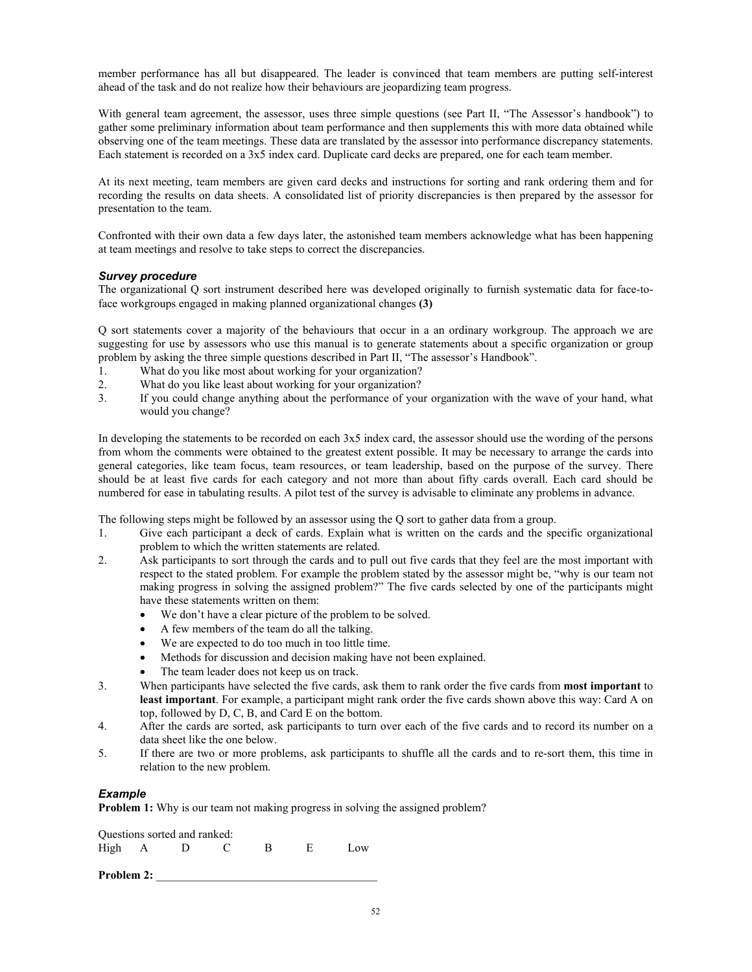member performance has all but disappeared. The leader is convinced that team members are putting self-interest ahead of the task and do not realize how their behaviours are jeopardizing team progress.

With general team agreement, the assessor, uses three simple questions (see Part II, "The Assessor's handbook") to gather some preliminary information about team performance and then supplements this with more data obtained while observing one of the team meetings. These data are translated by the assessor into performance discrepancy statements. Each statement is recorded on a 3x5 index card. Duplicate card decks are prepared, one for each team member.

At its next meeting, team members are given card decks and instructions for sorting and rank ordering them and for recording the results on data sheets. A consolidated list of priority discrepancies is then prepared by the assessor for presentation to the team.

Confronted with their own data a few days later, the astonished team members acknowledge what has been happening at team meetings and resolve to take steps to correct the discrepancies.

# *Survey procedure*

The organizational Q sort instrument described here was developed originally to furnish systematic data for face-toface workgroups engaged in making planned organizational changes **(3)** 

Q sort statements cover a majority of the behaviours that occur in a an ordinary workgroup. The approach we are suggesting for use by assessors who use this manual is to generate statements about a specific organization or group problem by asking the three simple questions described in Part II, "The assessor's Handbook".

- 1. What do you like most about working for your organization?
- 2. What do you like least about working for your organization?
- 3. If you could change anything about the performance of your organization with the wave of your hand, what would you change?

In developing the statements to be recorded on each 3x5 index card, the assessor should use the wording of the persons from whom the comments were obtained to the greatest extent possible. It may be necessary to arrange the cards into general categories, like team focus, team resources, or team leadership, based on the purpose of the survey. There should be at least five cards for each category and not more than about fifty cards overall. Each card should be numbered for ease in tabulating results. A pilot test of the survey is advisable to eliminate any problems in advance.

The following steps might be followed by an assessor using the Q sort to gather data from a group.

- 1. Give each participant a deck of cards. Explain what is written on the cards and the specific organizational problem to which the written statements are related.
- 2. Ask participants to sort through the cards and to pull out five cards that they feel are the most important with respect to the stated problem. For example the problem stated by the assessor might be, "why is our team not making progress in solving the assigned problem?" The five cards selected by one of the participants might have these statements written on them:
	- We don't have a clear picture of the problem to be solved.
	- A few members of the team do all the talking.
	- We are expected to do too much in too little time.
	- Methods for discussion and decision making have not been explained.
	- The team leader does not keep us on track.
- 3. When participants have selected the five cards, ask them to rank order the five cards from **most important** to **least important**. For example, a participant might rank order the five cards shown above this way: Card A on top, followed by D, C, B, and Card E on the bottom.
- 4. After the cards are sorted, ask participants to turn over each of the five cards and to record its number on a data sheet like the one below.
- 5. If there are two or more problems, ask participants to shuffle all the cards and to re-sort them, this time in relation to the new problem.

## *Example*

**Problem 1:** Why is our team not making progress in solving the assigned problem?

| Questions sorted and ranked: |  |        |  |   |      |     |  |
|------------------------------|--|--------|--|---|------|-----|--|
| High A                       |  | $\Box$ |  | в | - H. | Low |  |
| Problem 2:                   |  |        |  |   |      |     |  |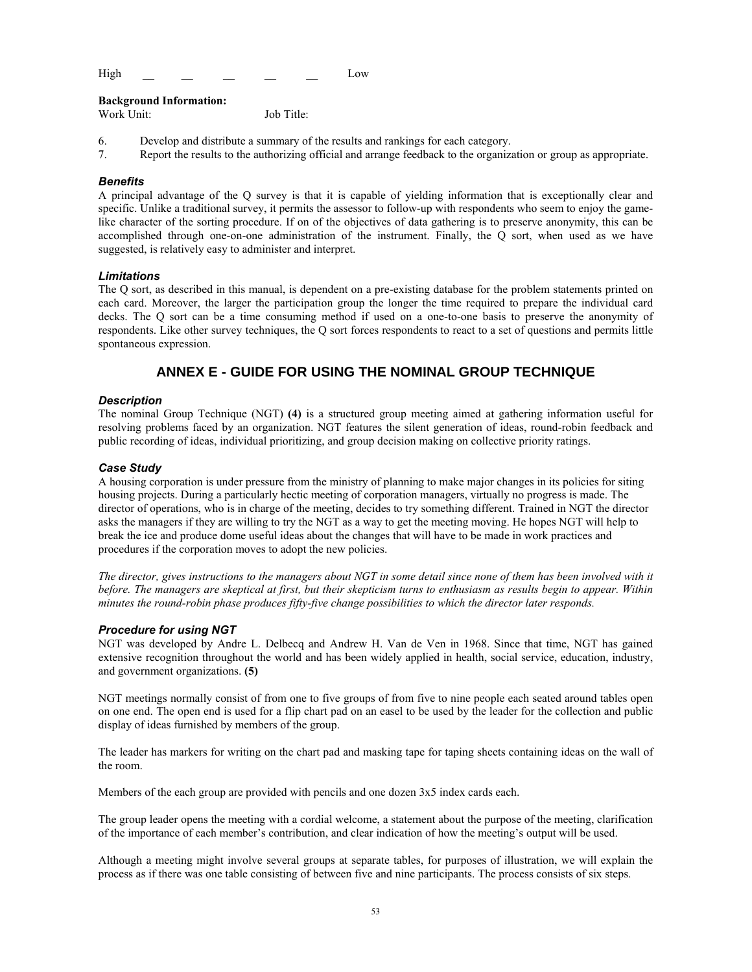# High \_\_ \_ \_ \_ \_ \_ \_ \_ \_ Low

# **Background Information:**

Work Unit: Job Title:

- 
- 6. Develop and distribute a summary of the results and rankings for each category.
- 7. Report the results to the authorizing official and arrange feedback to the organization or group as appropriate.

## *Benefits*

A principal advantage of the Q survey is that it is capable of yielding information that is exceptionally clear and specific. Unlike a traditional survey, it permits the assessor to follow-up with respondents who seem to enjoy the gamelike character of the sorting procedure. If on of the objectives of data gathering is to preserve anonymity, this can be accomplished through one-on-one administration of the instrument. Finally, the Q sort, when used as we have suggested, is relatively easy to administer and interpret.

## *Limitations*

The Q sort, as described in this manual, is dependent on a pre-existing database for the problem statements printed on each card. Moreover, the larger the participation group the longer the time required to prepare the individual card decks. The Q sort can be a time consuming method if used on a one-to-one basis to preserve the anonymity of respondents. Like other survey techniques, the Q sort forces respondents to react to a set of questions and permits little spontaneous expression.

# **ANNEX E - GUIDE FOR USING THE NOMINAL GROUP TECHNIQUE**

### *Description*

The nominal Group Technique (NGT) **(4)** is a structured group meeting aimed at gathering information useful for resolving problems faced by an organization. NGT features the silent generation of ideas, round-robin feedback and public recording of ideas, individual prioritizing, and group decision making on collective priority ratings.

### *Case Study*

A housing corporation is under pressure from the ministry of planning to make major changes in its policies for siting housing projects. During a particularly hectic meeting of corporation managers, virtually no progress is made. The director of operations, who is in charge of the meeting, decides to try something different. Trained in NGT the director asks the managers if they are willing to try the NGT as a way to get the meeting moving. He hopes NGT will help to break the ice and produce dome useful ideas about the changes that will have to be made in work practices and procedures if the corporation moves to adopt the new policies.

*The director, gives instructions to the managers about NGT in some detail since none of them has been involved with it before. The managers are skeptical at first, but their skepticism turns to enthusiasm as results begin to appear. Within minutes the round-robin phase produces fifty-five change possibilities to which the director later responds.* 

#### *Procedure for using NGT*

NGT was developed by Andre L. Delbecq and Andrew H. Van de Ven in 1968. Since that time, NGT has gained extensive recognition throughout the world and has been widely applied in health, social service, education, industry, and government organizations. **(5)** 

NGT meetings normally consist of from one to five groups of from five to nine people each seated around tables open on one end. The open end is used for a flip chart pad on an easel to be used by the leader for the collection and public display of ideas furnished by members of the group.

The leader has markers for writing on the chart pad and masking tape for taping sheets containing ideas on the wall of the room.

Members of the each group are provided with pencils and one dozen 3x5 index cards each.

The group leader opens the meeting with a cordial welcome, a statement about the purpose of the meeting, clarification of the importance of each member's contribution, and clear indication of how the meeting's output will be used.

Although a meeting might involve several groups at separate tables, for purposes of illustration, we will explain the process as if there was one table consisting of between five and nine participants. The process consists of six steps.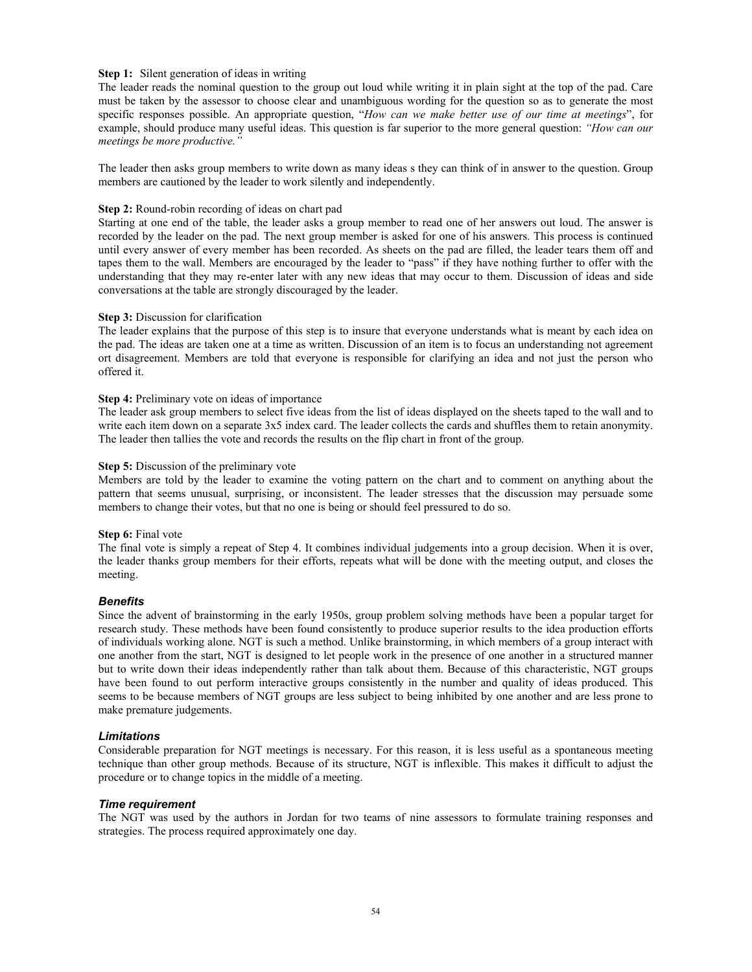### **Step 1:** Silent generation of ideas in writing

The leader reads the nominal question to the group out loud while writing it in plain sight at the top of the pad. Care must be taken by the assessor to choose clear and unambiguous wording for the question so as to generate the most specific responses possible. An appropriate question, "*How can we make better use of our time at meetings*", for example, should produce many useful ideas. This question is far superior to the more general question: *"How can our meetings be more productive."* 

The leader then asks group members to write down as many ideas s they can think of in answer to the question. Group members are cautioned by the leader to work silently and independently.

### **Step 2:** Round-robin recording of ideas on chart pad

Starting at one end of the table, the leader asks a group member to read one of her answers out loud. The answer is recorded by the leader on the pad. The next group member is asked for one of his answers. This process is continued until every answer of every member has been recorded. As sheets on the pad are filled, the leader tears them off and tapes them to the wall. Members are encouraged by the leader to "pass" if they have nothing further to offer with the understanding that they may re-enter later with any new ideas that may occur to them. Discussion of ideas and side conversations at the table are strongly discouraged by the leader.

### **Step 3:** Discussion for clarification

The leader explains that the purpose of this step is to insure that everyone understands what is meant by each idea on the pad. The ideas are taken one at a time as written. Discussion of an item is to focus an understanding not agreement ort disagreement. Members are told that everyone is responsible for clarifying an idea and not just the person who offered it.

### **Step 4:** Preliminary vote on ideas of importance

The leader ask group members to select five ideas from the list of ideas displayed on the sheets taped to the wall and to write each item down on a separate 3x5 index card. The leader collects the cards and shuffles them to retain anonymity. The leader then tallies the vote and records the results on the flip chart in front of the group.

### **Step 5:** Discussion of the preliminary vote

Members are told by the leader to examine the voting pattern on the chart and to comment on anything about the pattern that seems unusual, surprising, or inconsistent. The leader stresses that the discussion may persuade some members to change their votes, but that no one is being or should feel pressured to do so.

#### **Step 6:** Final vote

The final vote is simply a repeat of Step 4. It combines individual judgements into a group decision. When it is over, the leader thanks group members for their efforts, repeats what will be done with the meeting output, and closes the meeting.

## *Benefits*

Since the advent of brainstorming in the early 1950s, group problem solving methods have been a popular target for research study. These methods have been found consistently to produce superior results to the idea production efforts of individuals working alone. NGT is such a method. Unlike brainstorming, in which members of a group interact with one another from the start, NGT is designed to let people work in the presence of one another in a structured manner but to write down their ideas independently rather than talk about them. Because of this characteristic, NGT groups have been found to out perform interactive groups consistently in the number and quality of ideas produced. This seems to be because members of NGT groups are less subject to being inhibited by one another and are less prone to make premature judgements.

## *Limitations*

Considerable preparation for NGT meetings is necessary. For this reason, it is less useful as a spontaneous meeting technique than other group methods. Because of its structure, NGT is inflexible. This makes it difficult to adjust the procedure or to change topics in the middle of a meeting.

#### *Time requirement*

The NGT was used by the authors in Jordan for two teams of nine assessors to formulate training responses and strategies. The process required approximately one day.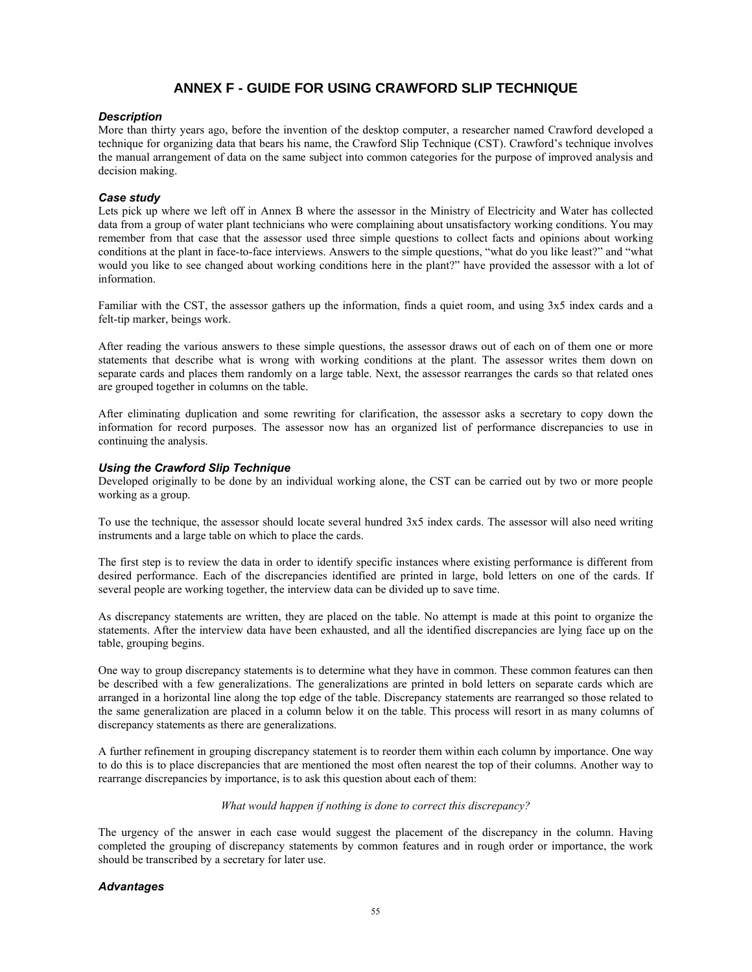# **ANNEX F - GUIDE FOR USING CRAWFORD SLIP TECHNIQUE**

## *Description*

More than thirty years ago, before the invention of the desktop computer, a researcher named Crawford developed a technique for organizing data that bears his name, the Crawford Slip Technique (CST). Crawford's technique involves the manual arrangement of data on the same subject into common categories for the purpose of improved analysis and decision making.

### *Case study*

Lets pick up where we left off in Annex B where the assessor in the Ministry of Electricity and Water has collected data from a group of water plant technicians who were complaining about unsatisfactory working conditions. You may remember from that case that the assessor used three simple questions to collect facts and opinions about working conditions at the plant in face-to-face interviews. Answers to the simple questions, "what do you like least?" and "what would you like to see changed about working conditions here in the plant?" have provided the assessor with a lot of information.

Familiar with the CST, the assessor gathers up the information, finds a quiet room, and using 3x5 index cards and a felt-tip marker, beings work.

After reading the various answers to these simple questions, the assessor draws out of each on of them one or more statements that describe what is wrong with working conditions at the plant. The assessor writes them down on separate cards and places them randomly on a large table. Next, the assessor rearranges the cards so that related ones are grouped together in columns on the table.

After eliminating duplication and some rewriting for clarification, the assessor asks a secretary to copy down the information for record purposes. The assessor now has an organized list of performance discrepancies to use in continuing the analysis.

### *Using the Crawford Slip Technique*

Developed originally to be done by an individual working alone, the CST can be carried out by two or more people working as a group.

To use the technique, the assessor should locate several hundred 3x5 index cards. The assessor will also need writing instruments and a large table on which to place the cards.

The first step is to review the data in order to identify specific instances where existing performance is different from desired performance. Each of the discrepancies identified are printed in large, bold letters on one of the cards. If several people are working together, the interview data can be divided up to save time.

As discrepancy statements are written, they are placed on the table. No attempt is made at this point to organize the statements. After the interview data have been exhausted, and all the identified discrepancies are lying face up on the table, grouping begins.

One way to group discrepancy statements is to determine what they have in common. These common features can then be described with a few generalizations. The generalizations are printed in bold letters on separate cards which are arranged in a horizontal line along the top edge of the table. Discrepancy statements are rearranged so those related to the same generalization are placed in a column below it on the table. This process will resort in as many columns of discrepancy statements as there are generalizations.

A further refinement in grouping discrepancy statement is to reorder them within each column by importance. One way to do this is to place discrepancies that are mentioned the most often nearest the top of their columns. Another way to rearrange discrepancies by importance, is to ask this question about each of them:

#### *What would happen if nothing is done to correct this discrepancy?*

The urgency of the answer in each case would suggest the placement of the discrepancy in the column. Having completed the grouping of discrepancy statements by common features and in rough order or importance, the work should be transcribed by a secretary for later use.

#### *Advantages*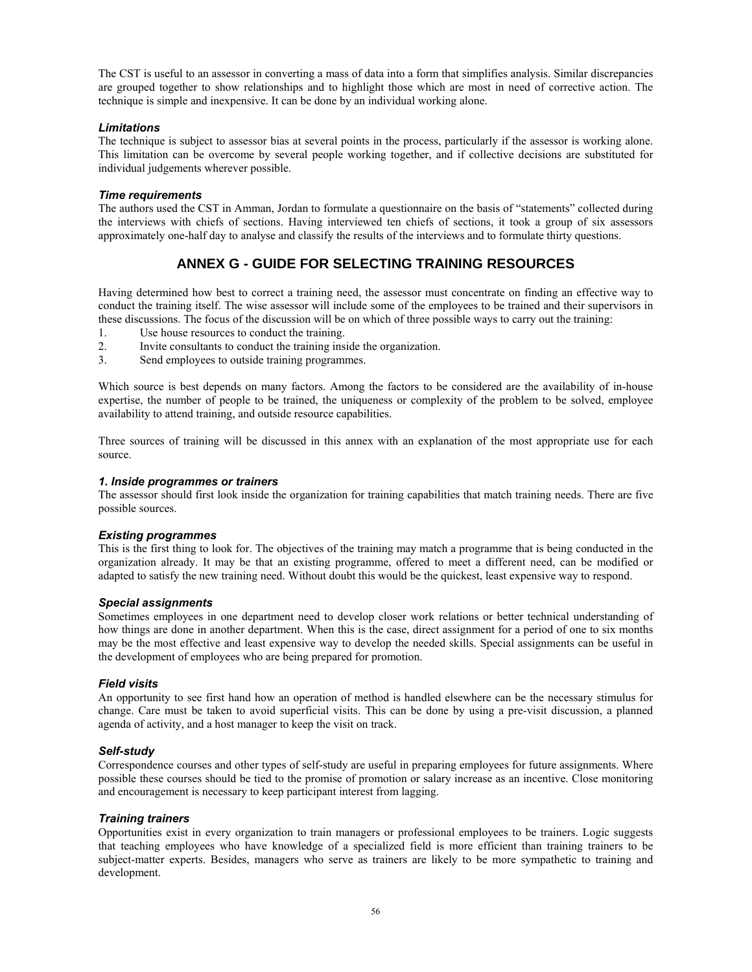The CST is useful to an assessor in converting a mass of data into a form that simplifies analysis. Similar discrepancies are grouped together to show relationships and to highlight those which are most in need of corrective action. The technique is simple and inexpensive. It can be done by an individual working alone.

## *Limitations*

The technique is subject to assessor bias at several points in the process, particularly if the assessor is working alone. This limitation can be overcome by several people working together, and if collective decisions are substituted for individual judgements wherever possible.

## *Time requirements*

The authors used the CST in Amman, Jordan to formulate a questionnaire on the basis of "statements" collected during the interviews with chiefs of sections. Having interviewed ten chiefs of sections, it took a group of six assessors approximately one-half day to analyse and classify the results of the interviews and to formulate thirty questions.

# **ANNEX G - GUIDE FOR SELECTING TRAINING RESOURCES**

Having determined how best to correct a training need, the assessor must concentrate on finding an effective way to conduct the training itself. The wise assessor will include some of the employees to be trained and their supervisors in these discussions. The focus of the discussion will be on which of three possible ways to carry out the training:

- 1. Use house resources to conduct the training.<br>2. Invite consultants to conduct the training ins
- Invite consultants to conduct the training inside the organization.
- 3. Send employees to outside training programmes.

Which source is best depends on many factors. Among the factors to be considered are the availability of in-house expertise, the number of people to be trained, the uniqueness or complexity of the problem to be solved, employee availability to attend training, and outside resource capabilities.

Three sources of training will be discussed in this annex with an explanation of the most appropriate use for each source.

## *1. Inside programmes or trainers*

The assessor should first look inside the organization for training capabilities that match training needs. There are five possible sources.

# *Existing programmes*

This is the first thing to look for. The objectives of the training may match a programme that is being conducted in the organization already. It may be that an existing programme, offered to meet a different need, can be modified or adapted to satisfy the new training need. Without doubt this would be the quickest, least expensive way to respond.

## *Special assignments*

Sometimes employees in one department need to develop closer work relations or better technical understanding of how things are done in another department. When this is the case, direct assignment for a period of one to six months may be the most effective and least expensive way to develop the needed skills. Special assignments can be useful in the development of employees who are being prepared for promotion.

## *Field visits*

An opportunity to see first hand how an operation of method is handled elsewhere can be the necessary stimulus for change. Care must be taken to avoid superficial visits. This can be done by using a pre-visit discussion, a planned agenda of activity, and a host manager to keep the visit on track.

# *Self-study*

Correspondence courses and other types of self-study are useful in preparing employees for future assignments. Where possible these courses should be tied to the promise of promotion or salary increase as an incentive. Close monitoring and encouragement is necessary to keep participant interest from lagging.

# *Training trainers*

Opportunities exist in every organization to train managers or professional employees to be trainers. Logic suggests that teaching employees who have knowledge of a specialized field is more efficient than training trainers to be subject-matter experts. Besides, managers who serve as trainers are likely to be more sympathetic to training and development.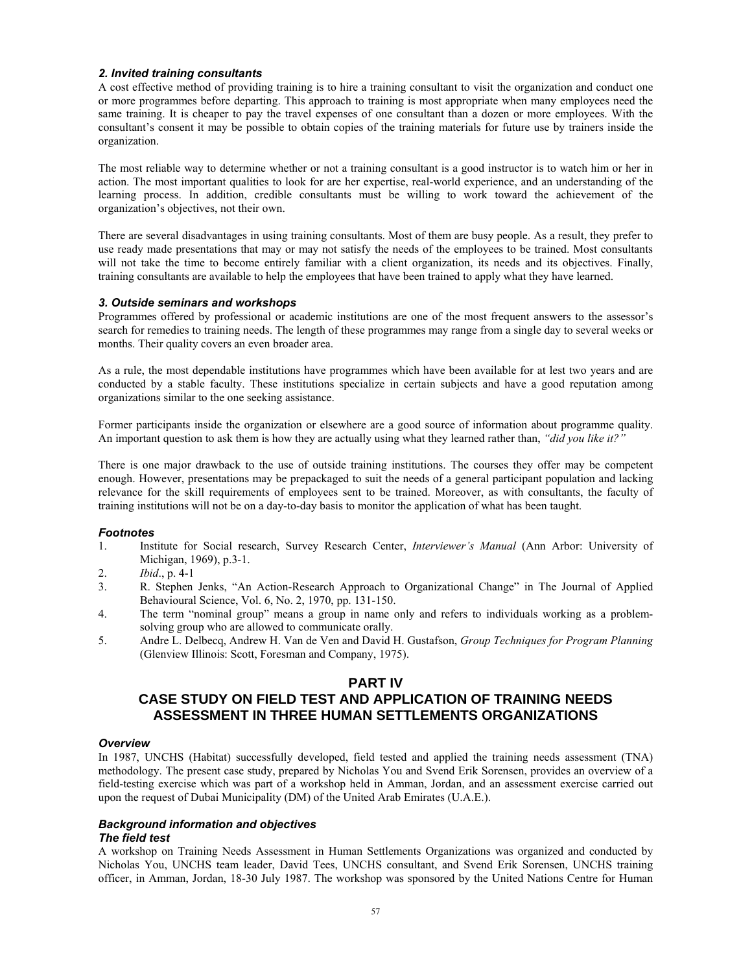## *2. Invited training consultants*

A cost effective method of providing training is to hire a training consultant to visit the organization and conduct one or more programmes before departing. This approach to training is most appropriate when many employees need the same training. It is cheaper to pay the travel expenses of one consultant than a dozen or more employees. With the consultant's consent it may be possible to obtain copies of the training materials for future use by trainers inside the organization.

The most reliable way to determine whether or not a training consultant is a good instructor is to watch him or her in action. The most important qualities to look for are her expertise, real-world experience, and an understanding of the learning process. In addition, credible consultants must be willing to work toward the achievement of the organization's objectives, not their own.

There are several disadvantages in using training consultants. Most of them are busy people. As a result, they prefer to use ready made presentations that may or may not satisfy the needs of the employees to be trained. Most consultants will not take the time to become entirely familiar with a client organization, its needs and its objectives. Finally, training consultants are available to help the employees that have been trained to apply what they have learned.

## *3. Outside seminars and workshops*

Programmes offered by professional or academic institutions are one of the most frequent answers to the assessor's search for remedies to training needs. The length of these programmes may range from a single day to several weeks or months. Their quality covers an even broader area.

As a rule, the most dependable institutions have programmes which have been available for at lest two years and are conducted by a stable faculty. These institutions specialize in certain subjects and have a good reputation among organizations similar to the one seeking assistance.

Former participants inside the organization or elsewhere are a good source of information about programme quality. An important question to ask them is how they are actually using what they learned rather than, *"did you like it?"*

There is one major drawback to the use of outside training institutions. The courses they offer may be competent enough. However, presentations may be prepackaged to suit the needs of a general participant population and lacking relevance for the skill requirements of employees sent to be trained. Moreover, as with consultants, the faculty of training institutions will not be on a day-to-day basis to monitor the application of what has been taught.

## *Footnotes*

- 1. Institute for Social research, Survey Research Center, *Interviewer's Manual* (Ann Arbor: University of Michigan, 1969), p.3-1.
- 2. *Ibid*., p. 4-1
- 3. R. Stephen Jenks, "An Action-Research Approach to Organizational Change" in The Journal of Applied Behavioural Science, Vol. 6, No. 2, 1970, pp. 131-150.
- 4. The term "nominal group" means a group in name only and refers to individuals working as a problemsolving group who are allowed to communicate orally.
- 5. Andre L. Delbecq, Andrew H. Van de Ven and David H. Gustafson, *Group Techniques for Program Planning* (Glenview Illinois: Scott, Foresman and Company, 1975).

# **PART IV**

# **CASE STUDY ON FIELD TEST AND APPLICATION OF TRAINING NEEDS ASSESSMENT IN THREE HUMAN SETTLEMENTS ORGANIZATIONS**

## *Overview*

In 1987, UNCHS (Habitat) successfully developed, field tested and applied the training needs assessment (TNA) methodology. The present case study, prepared by Nicholas You and Svend Erik Sorensen, provides an overview of a field-testing exercise which was part of a workshop held in Amman, Jordan, and an assessment exercise carried out upon the request of Dubai Municipality (DM) of the United Arab Emirates (U.A.E.).

# *Background information and objectives*

# *The field test*

A workshop on Training Needs Assessment in Human Settlements Organizations was organized and conducted by Nicholas You, UNCHS team leader, David Tees, UNCHS consultant, and Svend Erik Sorensen, UNCHS training officer, in Amman, Jordan, 18-30 July 1987. The workshop was sponsored by the United Nations Centre for Human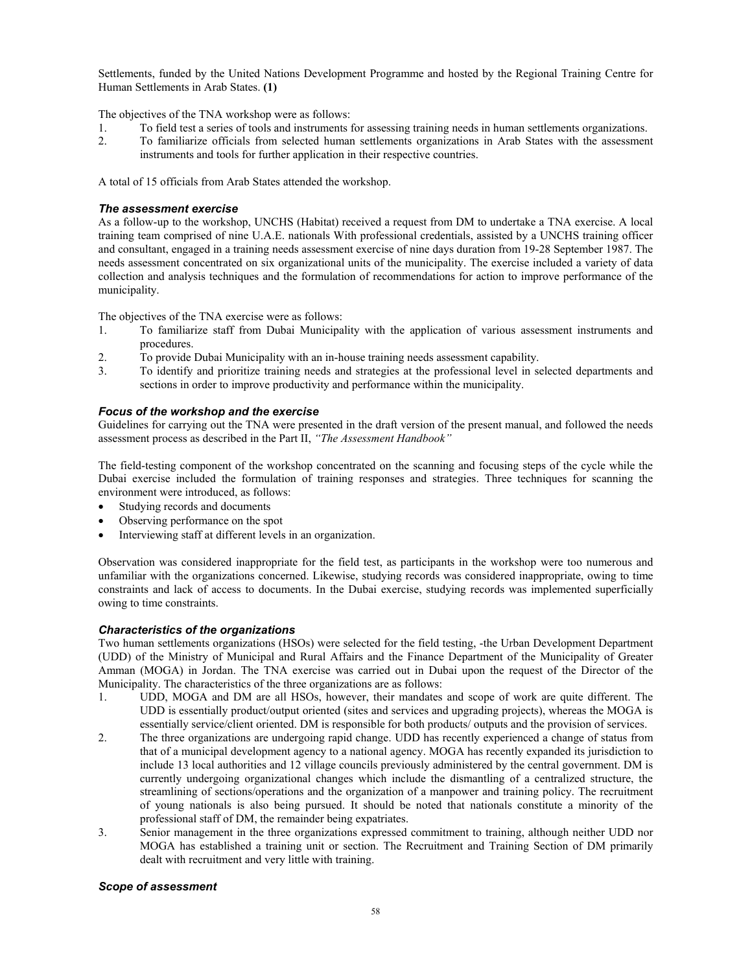Settlements, funded by the United Nations Development Programme and hosted by the Regional Training Centre for Human Settlements in Arab States. **(1)**

The objectives of the TNA workshop were as follows:

- 1. To field test a series of tools and instruments for assessing training needs in human settlements organizations.
- 2. To familiarize officials from selected human settlements organizations in Arab States with the assessment instruments and tools for further application in their respective countries.

A total of 15 officials from Arab States attended the workshop.

### *The assessment exercise*

As a follow-up to the workshop, UNCHS (Habitat) received a request from DM to undertake a TNA exercise. A local training team comprised of nine U.A.E. nationals With professional credentials, assisted by a UNCHS training officer and consultant, engaged in a training needs assessment exercise of nine days duration from 19-28 September 1987. The needs assessment concentrated on six organizational units of the municipality. The exercise included a variety of data collection and analysis techniques and the formulation of recommendations for action to improve performance of the municipality.

The objectives of the TNA exercise were as follows:

- 1. To familiarize staff from Dubai Municipality with the application of various assessment instruments and procedures.
- 2. To provide Dubai Municipality with an in-house training needs assessment capability.
- 3. To identify and prioritize training needs and strategies at the professional level in selected departments and sections in order to improve productivity and performance within the municipality.

## *Focus of the workshop and the exercise*

Guidelines for carrying out the TNA were presented in the draft version of the present manual, and followed the needs assessment process as described in the Part II, *"The Assessment Handbook"*

The field-testing component of the workshop concentrated on the scanning and focusing steps of the cycle while the Dubai exercise included the formulation of training responses and strategies. Three techniques for scanning the environment were introduced, as follows:

- Studying records and documents
- Observing performance on the spot
- Interviewing staff at different levels in an organization.

Observation was considered inappropriate for the field test, as participants in the workshop were too numerous and unfamiliar with the organizations concerned. Likewise, studying records was considered inappropriate, owing to time constraints and lack of access to documents. In the Dubai exercise, studying records was implemented superficially owing to time constraints.

## *Characteristics of the organizations*

Two human settlements organizations (HSOs) were selected for the field testing, -the Urban Development Department (UDD) of the Ministry of Municipal and Rural Affairs and the Finance Department of the Municipality of Greater Amman (MOGA) in Jordan. The TNA exercise was carried out in Dubai upon the request of the Director of the Municipality. The characteristics of the three organizations are as follows:

- 1. UDD, MOGA and DM are all HSOs, however, their mandates and scope of work are quite different. The UDD is essentially product/output oriented (sites and services and upgrading projects), whereas the MOGA is essentially service/client oriented. DM is responsible for both products/ outputs and the provision of services.
- 2. The three organizations are undergoing rapid change. UDD has recently experienced a change of status from that of a municipal development agency to a national agency. MOGA has recently expanded its jurisdiction to include 13 local authorities and 12 village councils previously administered by the central government. DM is currently undergoing organizational changes which include the dismantling of a centralized structure, the streamlining of sections/operations and the organization of a manpower and training policy. The recruitment of young nationals is also being pursued. It should be noted that nationals constitute a minority of the professional staff of DM, the remainder being expatriates.
- 3. Senior management in the three organizations expressed commitment to training, although neither UDD nor MOGA has established a training unit or section. The Recruitment and Training Section of DM primarily dealt with recruitment and very little with training.

#### *Scope of assessment*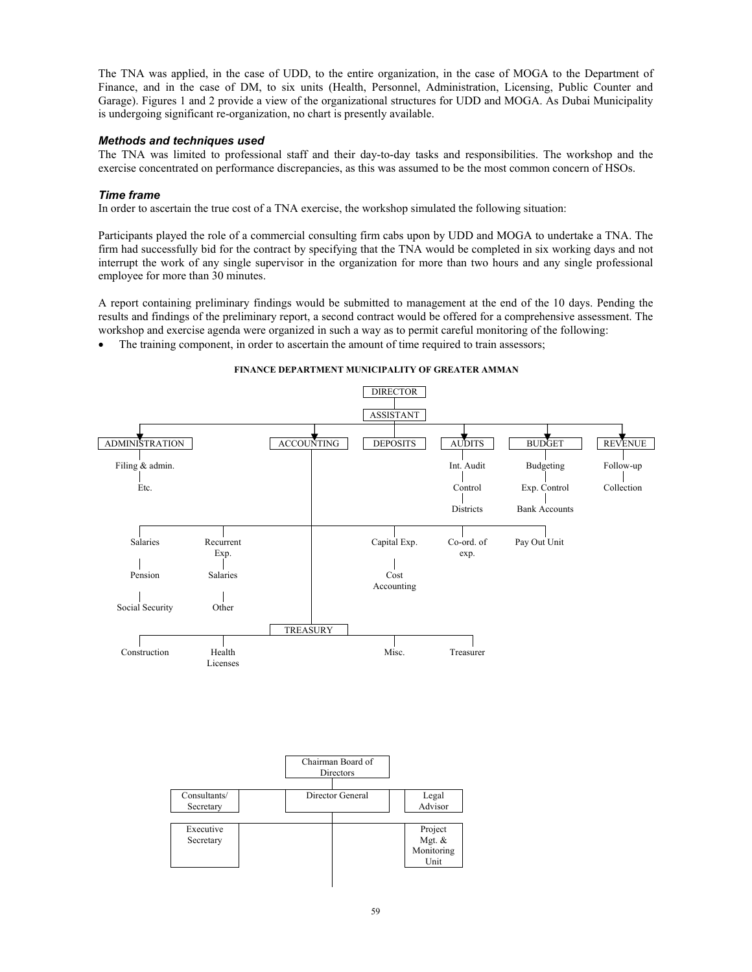The TNA was applied, in the case of UDD, to the entire organization, in the case of MOGA to the Department of Finance, and in the case of DM, to six units (Health, Personnel, Administration, Licensing, Public Counter and Garage). Figures 1 and 2 provide a view of the organizational structures for UDD and MOGA. As Dubai Municipality is undergoing significant re-organization, no chart is presently available.

## *Methods and techniques used*

The TNA was limited to professional staff and their day-to-day tasks and responsibilities. The workshop and the exercise concentrated on performance discrepancies, as this was assumed to be the most common concern of HSOs.

# *Time frame*

In order to ascertain the true cost of a TNA exercise, the workshop simulated the following situation:

Participants played the role of a commercial consulting firm cabs upon by UDD and MOGA to undertake a TNA. The firm had successfully bid for the contract by specifying that the TNA would be completed in six working days and not interrupt the work of any single supervisor in the organization for more than two hours and any single professional employee for more than 30 minutes.

A report containing preliminary findings would be submitted to management at the end of the 10 days. Pending the results and findings of the preliminary report, a second contract would be offered for a comprehensive assessment. The workshop and exercise agenda were organized in such a way as to permit careful monitoring of the following:

• The training component, in order to ascertain the amount of time required to train assessors;



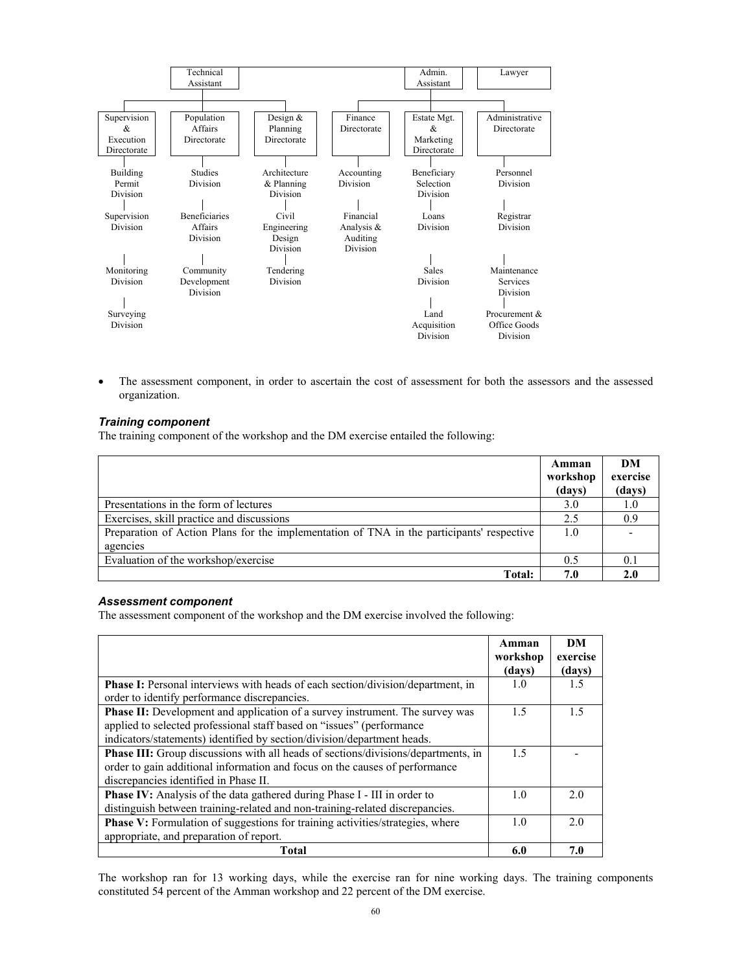

The assessment component, in order to ascertain the cost of assessment for both the assessors and the assessed organization.

# *Training component*

The training component of the workshop and the DM exercise entailed the following:

|                                                                                                       | Amman<br>workshop<br>(days) | DM<br>exercise<br>(days) |
|-------------------------------------------------------------------------------------------------------|-----------------------------|--------------------------|
| Presentations in the form of lectures                                                                 | 3.0                         | 1.0                      |
| Exercises, skill practice and discussions                                                             | 2.5                         | 0.9                      |
| Preparation of Action Plans for the implementation of TNA in the participants' respective<br>agencies | 1.0                         |                          |
| Evaluation of the workshop/exercise                                                                   | 0.5                         | 0.1                      |
| Total:                                                                                                | 7.0                         | 2.0                      |

## *Assessment component*

The assessment component of the workshop and the DM exercise involved the following:

|                                                                                          | Amman<br>workshop | DM<br>exercise |
|------------------------------------------------------------------------------------------|-------------------|----------------|
|                                                                                          | (days)            | (days)         |
| <b>Phase I:</b> Personal interviews with heads of each section/division/department, in   | 1.0               | 15             |
| order to identify performance discrepancies.                                             |                   |                |
| Phase II: Development and application of a survey instrument. The survey was             | 1.5               | 1.5            |
| applied to selected professional staff based on "issues" (performance                    |                   |                |
| indicators/statements) identified by section/division/department heads.                  |                   |                |
| <b>Phase III:</b> Group discussions with all heads of sections/divisions/departments, in | 1.5               |                |
| order to gain additional information and focus on the causes of performance              |                   |                |
| discrepancies identified in Phase II.                                                    |                   |                |
| <b>Phase IV:</b> Analysis of the data gathered during Phase I - III in order to          | 1 <sub>0</sub>    | 2.0            |
| distinguish between training-related and non-training-related discrepancies.             |                   |                |
| Phase V: Formulation of suggestions for training activities/strategies, where            | 1.0               | 2.0            |
| appropriate, and preparation of report.                                                  |                   |                |
| <b>Total</b>                                                                             | 6.0               | 7.0            |

The workshop ran for 13 working days, while the exercise ran for nine working days. The training components constituted 54 percent of the Amman workshop and 22 percent of the DM exercise.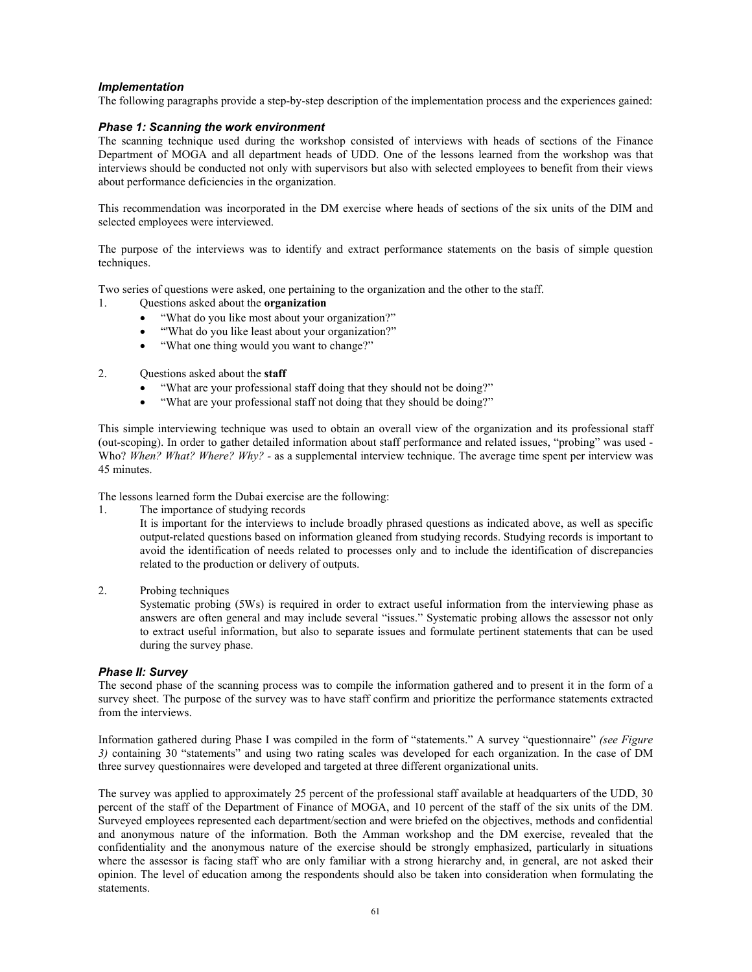## *Implementation*

The following paragraphs provide a step-by-step description of the implementation process and the experiences gained:

## *Phase 1: Scanning the work environment*

The scanning technique used during the workshop consisted of interviews with heads of sections of the Finance Department of MOGA and all department heads of UDD. One of the lessons learned from the workshop was that interviews should be conducted not only with supervisors but also with selected employees to benefit from their views about performance deficiencies in the organization.

This recommendation was incorporated in the DM exercise where heads of sections of the six units of the DIM and selected employees were interviewed.

The purpose of the interviews was to identify and extract performance statements on the basis of simple question techniques.

Two series of questions were asked, one pertaining to the organization and the other to the staff.

- 1. Questions asked about the **organization**
	- "What do you like most about your organization?"
	- "'What do you like least about your organization?"
	- "What one thing would you want to change?"
- 2. Questions asked about the **staff**
	- "What are your professional staff doing that they should not be doing?"
	- "What are your professional staff not doing that they should be doing?"

This simple interviewing technique was used to obtain an overall view of the organization and its professional staff (out-scoping). In order to gather detailed information about staff performance and related issues, "probing" was used - Who? *When? What? Where? Why? -* as a supplemental interview technique. The average time spent per interview was 45 minutes.

The lessons learned form the Dubai exercise are the following:

1. The importance of studying records

It is important for the interviews to include broadly phrased questions as indicated above, as well as specific output-related questions based on information gleaned from studying records. Studying records is important to avoid the identification of needs related to processes only and to include the identification of discrepancies related to the production or delivery of outputs.

2. Probing techniques

Systematic probing (5Ws) is required in order to extract useful information from the interviewing phase as answers are often general and may include several "issues." Systematic probing allows the assessor not only to extract useful information, but also to separate issues and formulate pertinent statements that can be used during the survey phase.

## *Phase II: Survey*

The second phase of the scanning process was to compile the information gathered and to present it in the form of a survey sheet. The purpose of the survey was to have staff confirm and prioritize the performance statements extracted from the interviews.

Information gathered during Phase I was compiled in the form of "statements." A survey "questionnaire" *(see Figure 3)* containing 30 "statements" and using two rating scales was developed for each organization. In the case of DM three survey questionnaires were developed and targeted at three different organizational units.

The survey was applied to approximately 25 percent of the professional staff available at headquarters of the UDD, 30 percent of the staff of the Department of Finance of MOGA, and 10 percent of the staff of the six units of the DM. Surveyed employees represented each department/section and were briefed on the objectives, methods and confidential and anonymous nature of the information. Both the Amman workshop and the DM exercise, revealed that the confidentiality and the anonymous nature of the exercise should be strongly emphasized, particularly in situations where the assessor is facing staff who are only familiar with a strong hierarchy and, in general, are not asked their opinion. The level of education among the respondents should also be taken into consideration when formulating the statements.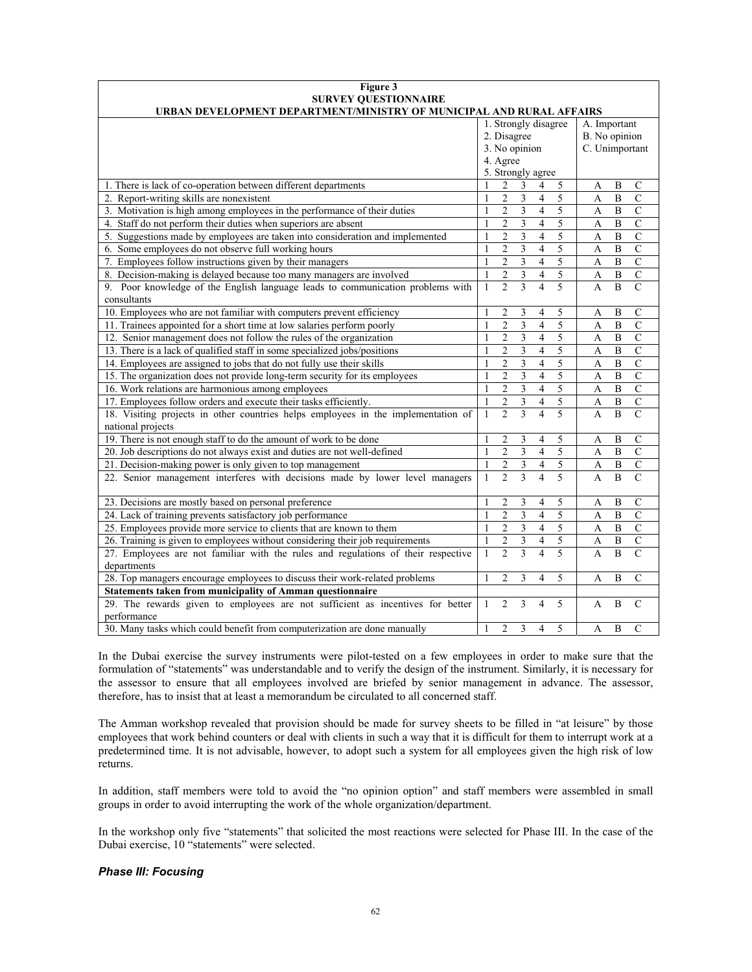| Figure 3<br><b>SURVEY QUESTIONNAIRE</b>                                           |               |                |                         |                          |                          |                |                |                |
|-----------------------------------------------------------------------------------|---------------|----------------|-------------------------|--------------------------|--------------------------|----------------|----------------|----------------|
| URBAN DEVELOPMENT DEPARTMENT/MINISTRY OF MUNICIPAL AND RURAL AFFAIRS              |               |                |                         |                          |                          |                |                |                |
|                                                                                   |               |                |                         |                          | 1. Strongly disagree     | A. Important   |                |                |
|                                                                                   |               |                | 2. Disagree             |                          |                          | B. No opinion  |                |                |
|                                                                                   | 3. No opinion |                |                         |                          |                          | C. Unimportant |                |                |
|                                                                                   |               | 4. Agree       |                         |                          |                          |                |                |                |
|                                                                                   |               |                | 5. Strongly agree       |                          |                          |                |                |                |
| 1. There is lack of co-operation between different departments                    | 1             | $\overline{c}$ | 3                       | 4                        | 5                        | A              | B              | C              |
| 2. Report-writing skills are nonexistent                                          | $\mathbf{1}$  | $\overline{c}$ | 3                       | $\overline{4}$           | 5                        | A              | $\bf{B}$       | $\mathcal{C}$  |
| 3. Motivation is high among employees in the performance of their duties          | $\mathbf{1}$  | $\overline{2}$ | 3                       | $\overline{4}$           | 5                        | A              | $\, {\bf B}$   | $\overline{C}$ |
| 4. Staff do not perform their duties when superiors are absent                    | $\mathbf{1}$  | $\overline{2}$ | $\overline{\mathbf{3}}$ | $\overline{4}$           | 5                        | A              | $\mathbf{B}$   | $\overline{C}$ |
| 5. Suggestions made by employees are taken into consideration and implemented     | $\mathbf{1}$  | $\overline{c}$ | 3                       | $\overline{4}$           | 5                        | A              | B              | $\overline{C}$ |
| 6. Some employees do not observe full working hours                               | $\mathbf{1}$  | $\overline{2}$ | $\overline{\mathbf{3}}$ | $\overline{\mathbf{4}}$  | 5                        | A              | $\overline{B}$ | $\overline{C}$ |
| 7. Employees follow instructions given by their managers                          | $\mathbf{1}$  | $\overline{2}$ | 3                       | $\overline{\mathbf{4}}$  | 5                        | $\mathbf{A}$   | $\mathbf B$    | $\overline{C}$ |
| 8. Decision-making is delayed because too many managers are involved              | $\mathbf{1}$  | $\overline{2}$ | 3                       | $\overline{4}$           | 5                        | $\mathbf{A}$   | $\overline{B}$ | $\overline{C}$ |
| 9. Poor knowledge of the English language leads to communication problems with    | $\mathbf{1}$  | $\overline{2}$ | $\overline{\mathbf{3}}$ | $\overline{4}$           | 5                        | $\overline{A}$ | $\overline{B}$ | $\overline{C}$ |
| consultants                                                                       |               |                |                         |                          |                          |                |                |                |
| 10. Employees who are not familiar with computers prevent efficiency              |               | $\overline{c}$ | 3                       | 4                        | 5                        | A              | B              | $\mathcal{C}$  |
| 11. Trainees appointed for a short time at low salaries perform poorly            | $\mathbf{1}$  | $\overline{c}$ | 3                       | $\overline{4}$           | 5                        | A              | $\bf{B}$       | $\mathbf C$    |
| 12. Senior management does not follow the rules of the organization               | $\mathbf{1}$  | $\overline{2}$ | 3                       | $\overline{4}$           | 5                        | A              | $\overline{B}$ | $\overline{C}$ |
| 13. There is a lack of qualified staff in some specialized jobs/positions         | $\mathbf{1}$  | $\overline{c}$ | 3                       | $\overline{4}$           | 5                        | A              | $\, {\bf B}$   | $\overline{C}$ |
| 14. Employees are assigned to jobs that do not fully use their skills             | 1             | $\overline{c}$ | 3                       | $\overline{4}$           | 5                        | A              | $\, {\bf B}$   | $\overline{C}$ |
| 15. The organization does not provide long-term security for its employees        | 1             | $\overline{2}$ | $\overline{3}$          | $\overline{4}$           | 5                        | A              | $\overline{B}$ | $\overline{C}$ |
| 16. Work relations are harmonious among employees                                 | $\mathbf{1}$  | $\overline{2}$ | 3                       | $\overline{4}$           | 5                        | A              | $\bf{B}$       | $\overline{C}$ |
| 17. Employees follow orders and execute their tasks efficiently.                  | $\mathbf{1}$  | $\overline{2}$ | 3                       | 4                        | 5                        | A              | $\bf{B}$       | $\overline{C}$ |
| 18. Visiting projects in other countries helps employees in the implementation of | $\mathbf{1}$  | $\mathfrak{D}$ | $\mathbf{3}$            | $\overline{\mathbf{4}}$  | $\overline{\phantom{0}}$ | A              | $\overline{B}$ | $\mathsf{C}$   |
| national projects                                                                 |               |                |                         |                          |                          |                |                |                |
| 19. There is not enough staff to do the amount of work to be done                 | 1             | $\overline{2}$ | 3                       | 4                        | 5                        | A              | B              | $\mathcal{C}$  |
| 20. Job descriptions do not always exist and duties are not well-defined          | $\mathbf{1}$  | $\overline{c}$ | 3                       | $\overline{4}$           | 5                        | A              | $\mathbf{B}$   | $\mathcal{C}$  |
| 21. Decision-making power is only given to top management                         | $\mathbf{1}$  | $\overline{2}$ | $\overline{\mathbf{3}}$ | $\overline{\mathcal{L}}$ | 5                        | $\mathbf{A}$   | $\overline{B}$ | $\overline{C}$ |
| 22. Senior management interferes with decisions made by lower level managers      | $\mathbf{1}$  | $\overline{2}$ | $\overline{\mathbf{3}}$ | $\overline{4}$           | $\varsigma$              | A              | $\overline{B}$ | $\overline{C}$ |
|                                                                                   |               |                |                         |                          |                          |                |                |                |
| 23. Decisions are mostly based on personal preference                             | 1             | $\overline{2}$ | 3                       | $\overline{4}$           | 5                        | A              | B              | $\mathcal{C}$  |
| 24. Lack of training prevents satisfactory job performance                        | $\mathbf{1}$  | $\overline{2}$ | $\overline{3}$          | $\overline{4}$           | 5                        | A              | $\, {\bf B}$   | $\overline{C}$ |
| 25. Employees provide more service to clients that are known to them              | $\mathbf{1}$  | $\overline{2}$ | $\overline{\mathbf{3}}$ | $\overline{4}$           | 5                        | $\overline{A}$ | $\overline{B}$ | $\overline{C}$ |
| 26. Training is given to employees without considering their job requirements     | $\mathbf{1}$  | $\overline{c}$ | $\overline{\mathbf{3}}$ | $\overline{4}$           | 5                        | A              | $\overline{B}$ | $\overline{C}$ |
| 27. Employees are not familiar with the rules and regulations of their respective | $\mathbf{1}$  | $\overline{2}$ | $\overline{3}$          | $\overline{4}$           | $\overline{\mathcal{L}}$ | $\overline{A}$ | $\overline{B}$ | $\overline{C}$ |
| departments                                                                       |               |                |                         |                          |                          |                |                |                |
| 28. Top managers encourage employees to discuss their work-related problems       | $\mathbf{1}$  | $\overline{2}$ | 3                       | $\overline{4}$           | 5                        | A              | B              | $\mathcal{C}$  |
| Statements taken from municipality of Amman questionnaire                         |               |                |                         |                          |                          |                |                |                |
| 29. The rewards given to employees are not sufficient as incentives for better    | $\mathbf{1}$  | $\overline{2}$ | 3                       | 4                        | 5                        | A              | B              | $\mathcal{C}$  |
| performance                                                                       |               |                |                         |                          |                          |                |                |                |
| 30. Many tasks which could benefit from computerization are done manually         | $\mathbf{1}$  | $\overline{2}$ | 3                       | $\overline{4}$           | 5                        | A              | B              | $\mathcal{C}$  |

In the Dubai exercise the survey instruments were pilot-tested on a few employees in order to make sure that the formulation of "statements" was understandable and to verify the design of the instrument. Similarly, it is necessary for the assessor to ensure that all employees involved are briefed by senior management in advance. The assessor, therefore, has to insist that at least a memorandum be circulated to all concerned staff.

The Amman workshop revealed that provision should be made for survey sheets to be filled in "at leisure" by those employees that work behind counters or deal with clients in such a way that it is difficult for them to interrupt work at a predetermined time. It is not advisable, however, to adopt such a system for all employees given the high risk of low returns.

In addition, staff members were told to avoid the "no opinion option" and staff members were assembled in small groups in order to avoid interrupting the work of the whole organization/department.

In the workshop only five "statements" that solicited the most reactions were selected for Phase III. In the case of the Dubai exercise, 10 "statements" were selected.

# *Phase III: Focusing*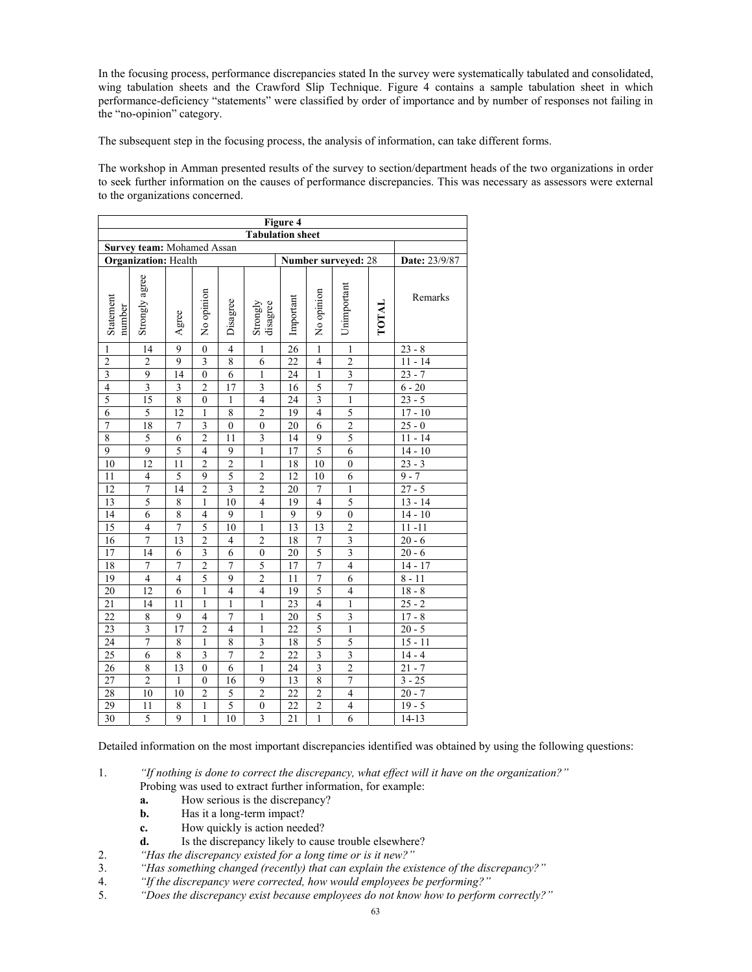In the focusing process, performance discrepancies stated In the survey were systematically tabulated and consolidated, wing tabulation sheets and the Crawford Slip Technique. Figure 4 contains a sample tabulation sheet in which performance-deficiency "statements" were classified by order of importance and by number of responses not failing in the "no-opinion" category.

The subsequent step in the focusing process, the analysis of information, can take different forms.

The workshop in Amman presented results of the survey to section/department heads of the two organizations in order to seek further information on the causes of performance discrepancies. This was necessary as assessors were external to the organizations concerned.

| Figure 4                                           |                          |                         |                         |                         |                           |                 |                         |                         |              |                   |
|----------------------------------------------------|--------------------------|-------------------------|-------------------------|-------------------------|---------------------------|-----------------|-------------------------|-------------------------|--------------|-------------------|
|                                                    |                          |                         |                         |                         | <b>Tabulation sheet</b>   |                 |                         |                         |              |                   |
| Survey team: Mohamed Assan                         |                          |                         |                         |                         |                           |                 |                         |                         |              |                   |
| <b>Organization: Health</b><br>Number surveyed: 28 |                          |                         |                         |                         |                           |                 | Date: 23/9/87           |                         |              |                   |
| Statement<br>number                                | Strongly agree           | Agree                   | No opinion              | Disagree                | Strongly<br>disagree      | Important       | No opinion              | Unimportant             | <b>TOTAL</b> | Remarks           |
| $\mathbf{1}$                                       | 14                       | 9                       | $\boldsymbol{0}$        | $\overline{4}$          | 1                         | 26              | $\,1$                   | $\mathbf{1}$            |              | $23 - 8$          |
| $\overline{c}$                                     | $\sqrt{2}$               | 9                       | $\overline{\mathbf{3}}$ | $\,8\,$                 | 6                         | 22              | $\overline{4}$          | $\overline{c}$          |              | $11 - 14$         |
| $\overline{\mathbf{3}}$                            | $\overline{9}$           | 14                      | $\boldsymbol{0}$        | 6                       | 1                         | 24              | $\mathbf{1}$            | 3                       |              | $23 - 7$          |
| $\overline{4}$                                     |                          | $\overline{\mathbf{3}}$ | $\overline{2}$          | 17                      | $\overline{\mathbf{3}}$   | 16              | 5                       | $\overline{7}$          |              | $6 - 20$          |
| $\overline{5}$                                     | $\overline{15}$          | $\,8$                   | $\boldsymbol{0}$        | $\mathbf{1}$            | $\overline{4}$            | 24              | $\overline{\mathbf{3}}$ | $\overline{1}$          |              | $23 - 5$          |
| $\overline{6}$                                     | $\overline{5}$           | 12                      | $\mathbf{1}$            | $\overline{8}$          | $\overline{c}$            | 19              | $\overline{4}$          | 5                       |              | $17 - 10$         |
| $\sqrt{ }$                                         | 18                       | $\overline{7}$          | $\overline{\mathbf{3}}$ | $\overline{0}$          | $\overline{0}$            | 20              | 6                       | $\overline{2}$          |              | $25 - 0$          |
| $\overline{8}$                                     | 5                        | $\overline{6}$          | $\overline{2}$          | 11                      | $\overline{\overline{3}}$ | 14              | $\overline{9}$          | 5                       |              | $11 - 14$         |
| $\overline{9}$                                     | $\overline{9}$           | 5                       | $\overline{\mathbf{4}}$ | 9                       | $\mathbf{1}$              | 17              | $\overline{5}$          | 6                       |              | $14 - 10$         |
| 10                                                 | 12                       | 11                      | $\overline{c}$          | $\overline{2}$          | 1                         | 18              | 10                      | $\boldsymbol{0}$        |              | $23 - 3$          |
| 11                                                 | $\overline{\mathcal{A}}$ | 5                       | 9                       | 5                       | $\overline{2}$            | 12              | 10                      | 6                       |              | $9 - 7$           |
| 12                                                 | $\overline{7}$           | $\overline{14}$         | $\overline{2}$          | $\overline{\mathbf{3}}$ | $\overline{2}$            | 20              | $\tau$                  | $\mathbf{1}$            |              | $27 - 5$          |
| 13                                                 | $\overline{5}$           | $\,$ $\,$               | $\mathbf{1}$            | 10                      | $\overline{4}$            | 19              | $\overline{4}$          | 5                       |              | $13 - 14$         |
| 14                                                 | $\overline{6}$           | 8                       | $\overline{4}$          | 9                       | $\mathbf{1}$              | 9               | 9                       | $\overline{0}$          |              | $14 - 10$         |
| $\overline{15}$                                    | $\overline{4}$           | $\overline{7}$          | 5                       | 10                      | $\mathbf{1}$              | $\overline{13}$ | $\overline{13}$         | $\overline{2}$          |              | $11 - 11$         |
| 16                                                 | $\overline{7}$           | $\overline{13}$         | $\overline{2}$          | $\overline{4}$          | $\overline{2}$            | 18              | $\overline{7}$          | $\overline{\mathbf{3}}$ |              | $20 - 6$          |
| 17                                                 | 14                       | 6                       | $\overline{\mathbf{3}}$ | 6                       | $\boldsymbol{0}$          | $\overline{20}$ | 5                       | $\overline{\mathbf{3}}$ |              | $20 - 6$          |
| 18                                                 | $\boldsymbol{7}$         | 7                       | $\overline{c}$          | $\tau$                  | 5                         | 17              | $\sqrt{ }$              | 4                       |              | $14 - 17$         |
| $\overline{19}$                                    | $\overline{4}$           | $\overline{4}$          | 5                       | 9                       | $\overline{2}$            | 11              | $\overline{7}$          | $\overline{6}$          |              | $\sqrt{8} - 11$   |
| 20                                                 | 12                       | $\overline{6}$          | $\mathbf{1}$            | $\overline{4}$          | $\overline{4}$            | 19              | 5                       | $\overline{4}$          |              | $18 - 8$          |
| 21                                                 | 14                       | 11                      | $\mathbf{1}$            | $\mathbf{1}$            | $\mathbf{1}$              | 23              | $\overline{4}$          | $\mathbf{1}$            |              | $\overline{25-2}$ |
| 22                                                 | $\sqrt{8}$               | 9                       | $\overline{4}$          | $\overline{7}$          | $\mathbf{1}$              | 20              | 5                       | $\overline{\mathbf{3}}$ |              | $17 - 8$          |
| $\overline{23}$                                    | $\overline{\mathbf{3}}$  | $\overline{17}$         | $\overline{2}$          | $\overline{4}$          | $\overline{1}$            | 22              | 5                       | $\overline{1}$          |              | $20 - 5$          |
| 24                                                 | 7                        | $\sqrt{8}$              | $\overline{1}$          | $\overline{8}$          | $\overline{\mathbf{3}}$   | 18              | 5                       | 5                       |              | $15 - 11$         |
| 25                                                 | 6                        | $\,$ $\,$               | 3                       | $\overline{7}$          | $\overline{2}$            | 22              | $\overline{\mathbf{3}}$ | $\overline{\mathbf{3}}$ |              | $14 - 4$          |
| 26                                                 | $\,$ $\,$                | 13                      | $\boldsymbol{0}$        | 6                       | 1                         | 24              | $\overline{\mathbf{3}}$ | $\overline{c}$          |              | $21 - 7$          |
| $\overline{27}$                                    | $\overline{2}$           | $\,1\,$                 | $\boldsymbol{0}$        | 16                      | $\overline{9}$            | 13              | $\boldsymbol{8}$        | $\overline{7}$          |              | $3 - 25$          |
| 28                                                 | 10                       | 10                      | $\overline{c}$          | 5                       | $\overline{2}$            | 22              | $\overline{2}$          | $\overline{4}$          |              | $20 - 7$          |
| 29                                                 | 11                       | 8                       | $\mathbf{1}$            | 5                       | $\boldsymbol{0}$          | 22              | $\overline{2}$          | $\overline{4}$          |              | $19 - 5$          |
| 30                                                 | 5                        | 9                       | $\mathbf{1}$            | 10                      | $\overline{\mathbf{3}}$   | 21              | $\mathbf{1}$            | $\overline{6}$          |              | $14 - 13$         |

Detailed information on the most important discrepancies identified was obtained by using the following questions:

- 1. *"If nothing is done to correct the discrepancy, what effect will it have on the organization?"*
	- Probing was used to extract further information, for example:
		- **a.** How serious is the discrepancy?
		- **b.** Has it a long-term impact?
		- **c.** How quickly is action needed?
		- **d.** Is the discrepancy likely to cause trouble elsewhere?
- 2. *"Has the discrepancy existed for a long time or is it new?"*
- 3. *"Has something changed (recently) that can explain the existence of the discrepancy?"*
- 4. *"If the discrepancy were corrected, how would employees be performing?"*
- 5. *"Does the discrepancy exist because employees do not know how to perform correctly?"*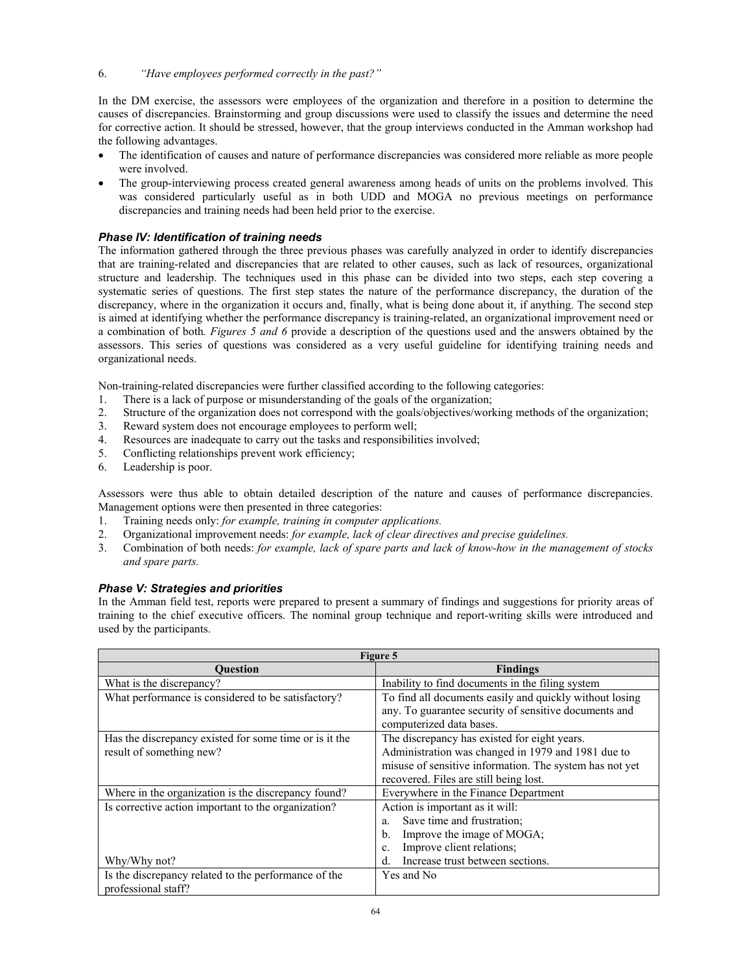# 6. *"Have employees performed correctly in the past?"*

In the DM exercise, the assessors were employees of the organization and therefore in a position to determine the causes of discrepancies. Brainstorming and group discussions were used to classify the issues and determine the need for corrective action. It should be stressed, however, that the group interviews conducted in the Amman workshop had the following advantages.

- The identification of causes and nature of performance discrepancies was considered more reliable as more people were involved.
- The group-interviewing process created general awareness among heads of units on the problems involved. This was considered particularly useful as in both UDD and MOGA no previous meetings on performance discrepancies and training needs had been held prior to the exercise.

# *Phase IV: Identification of training needs*

The information gathered through the three previous phases was carefully analyzed in order to identify discrepancies that are training-related and discrepancies that are related to other causes, such as lack of resources, organizational structure and leadership. The techniques used in this phase can be divided into two steps, each step covering a systematic series of questions. The first step states the nature of the performance discrepancy, the duration of the discrepancy, where in the organization it occurs and, finally, what is being done about it, if anything. The second step is aimed at identifying whether the performance discrepancy is training-related, an organizational improvement need or a combination of both*. Figures 5 and 6* provide a description of the questions used and the answers obtained by the assessors. This series of questions was considered as a very useful guideline for identifying training needs and organizational needs.

Non-training-related discrepancies were further classified according to the following categories:

- 1. There is a lack of purpose or misunderstanding of the goals of the organization;
- 2. Structure of the organization does not correspond with the goals/objectives/working methods of the organization;<br>3. Reward system does not encourage employees to perform well;
- Reward system does not encourage employees to perform well;
- 4. Resources are inadequate to carry out the tasks and responsibilities involved;
- 5. Conflicting relationships prevent work efficiency;
- 6. Leadership is poor.

Assessors were thus able to obtain detailed description of the nature and causes of performance discrepancies. Management options were then presented in three categories:

- 1. Training needs only: *for example, training in computer applications.*
- 2. Organizational improvement needs: *for example, lack of clear directives and precise guidelines.*
- 3. Combination of both needs: *for example, lack of spare parts and lack of know-how in the management of stocks and spare parts.*

## *Phase V: Strategies and priorities*

In the Amman field test, reports were prepared to present a summary of findings and suggestions for priority areas of training to the chief executive officers. The nominal group technique and report-writing skills were introduced and used by the participants.

| Figure 5                                                                           |                                                                                                                                                                                                         |  |  |  |
|------------------------------------------------------------------------------------|---------------------------------------------------------------------------------------------------------------------------------------------------------------------------------------------------------|--|--|--|
| Ouestion                                                                           | <b>Findings</b>                                                                                                                                                                                         |  |  |  |
| What is the discrepancy?                                                           | Inability to find documents in the filing system                                                                                                                                                        |  |  |  |
| What performance is considered to be satisfactory?                                 | To find all documents easily and quickly without losing<br>any. To guarantee security of sensitive documents and<br>computerized data bases.                                                            |  |  |  |
| Has the discrepancy existed for some time or is it the<br>result of something new? | The discrepancy has existed for eight years.<br>Administration was changed in 1979 and 1981 due to<br>misuse of sensitive information. The system has not yet<br>recovered. Files are still being lost. |  |  |  |
| Where in the organization is the discrepancy found?                                | Everywhere in the Finance Department                                                                                                                                                                    |  |  |  |
| Is corrective action important to the organization?                                | Action is important as it will:<br>Save time and frustration;<br>a.<br>b.<br>Improve the image of MOGA;<br>Improve client relations;<br>c.                                                              |  |  |  |
| Why/Why not?                                                                       | Increase trust between sections.<br>d.                                                                                                                                                                  |  |  |  |
| Is the discrepancy related to the performance of the<br>professional staff?        | Yes and No                                                                                                                                                                                              |  |  |  |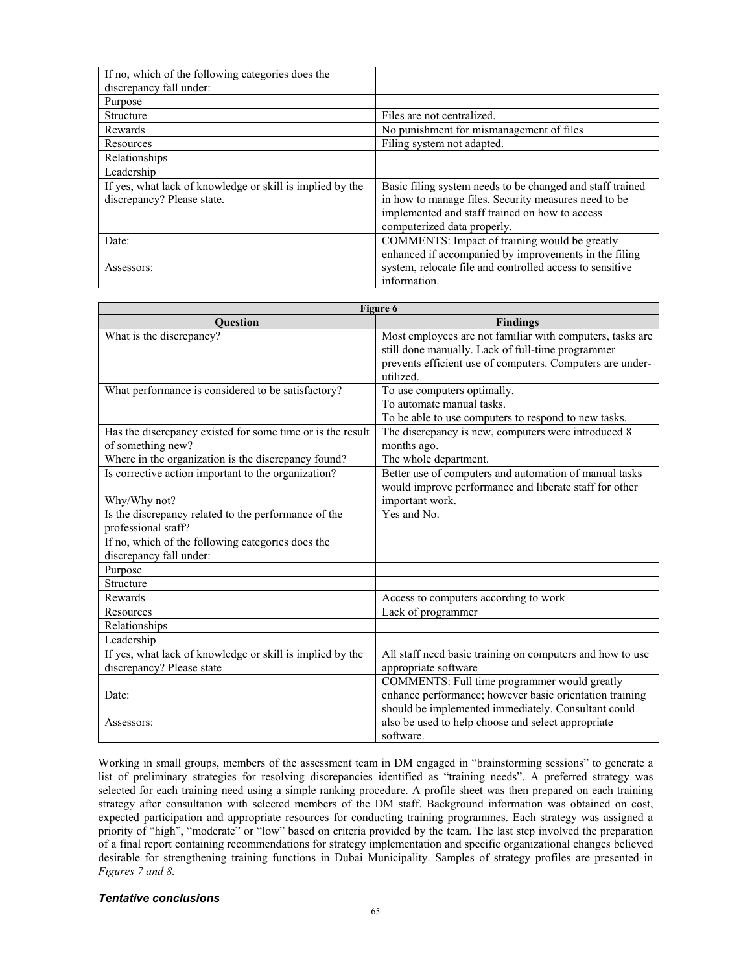| If no, which of the following categories does the         |                                                           |
|-----------------------------------------------------------|-----------------------------------------------------------|
| discrepancy fall under:                                   |                                                           |
| Purpose                                                   |                                                           |
| Structure                                                 | Files are not centralized.                                |
| Rewards                                                   | No punishment for mismanagement of files                  |
| Resources                                                 | Filing system not adapted.                                |
| Relationships                                             |                                                           |
| Leadership                                                |                                                           |
| If yes, what lack of knowledge or skill is implied by the | Basic filing system needs to be changed and staff trained |
| discrepancy? Please state.                                | in how to manage files. Security measures need to be      |
|                                                           | implemented and staff trained on how to access            |
|                                                           | computerized data properly.                               |
| Date:                                                     | COMMENTS: Impact of training would be greatly             |
|                                                           | enhanced if accompanied by improvements in the filing     |
| Assessors:                                                | system, relocate file and controlled access to sensitive  |
|                                                           | information.                                              |

| Figure 6                                                   |                                                           |  |  |  |  |
|------------------------------------------------------------|-----------------------------------------------------------|--|--|--|--|
| <b>Ouestion</b>                                            | <b>Findings</b>                                           |  |  |  |  |
| What is the discrepancy?                                   | Most employees are not familiar with computers, tasks are |  |  |  |  |
|                                                            | still done manually. Lack of full-time programmer         |  |  |  |  |
|                                                            | prevents efficient use of computers. Computers are under- |  |  |  |  |
|                                                            | utilized.                                                 |  |  |  |  |
| What performance is considered to be satisfactory?         | To use computers optimally.                               |  |  |  |  |
|                                                            | To automate manual tasks.                                 |  |  |  |  |
|                                                            | To be able to use computers to respond to new tasks.      |  |  |  |  |
| Has the discrepancy existed for some time or is the result | The discrepancy is new, computers were introduced 8       |  |  |  |  |
| of something new?                                          | months ago.                                               |  |  |  |  |
| Where in the organization is the discrepancy found?        | The whole department.                                     |  |  |  |  |
| Is corrective action important to the organization?        | Better use of computers and automation of manual tasks    |  |  |  |  |
|                                                            | would improve performance and liberate staff for other    |  |  |  |  |
| Why/Why not?                                               | important work.                                           |  |  |  |  |
| Is the discrepancy related to the performance of the       | Yes and No.                                               |  |  |  |  |
| professional staff?                                        |                                                           |  |  |  |  |
| If no, which of the following categories does the          |                                                           |  |  |  |  |
| discrepancy fall under:                                    |                                                           |  |  |  |  |
| Purpose                                                    |                                                           |  |  |  |  |
| Structure                                                  |                                                           |  |  |  |  |
| Rewards                                                    | Access to computers according to work                     |  |  |  |  |
| Resources                                                  | Lack of programmer                                        |  |  |  |  |
| Relationships                                              |                                                           |  |  |  |  |
| Leadership                                                 |                                                           |  |  |  |  |
| If yes, what lack of knowledge or skill is implied by the  | All staff need basic training on computers and how to use |  |  |  |  |
| discrepancy? Please state                                  | appropriate software                                      |  |  |  |  |
|                                                            | COMMENTS: Full time programmer would greatly              |  |  |  |  |
| Date:                                                      | enhance performance; however basic orientation training   |  |  |  |  |
|                                                            | should be implemented immediately. Consultant could       |  |  |  |  |
| Assessors:                                                 | also be used to help choose and select appropriate        |  |  |  |  |
|                                                            | software.                                                 |  |  |  |  |

Working in small groups, members of the assessment team in DM engaged in "brainstorming sessions" to generate a list of preliminary strategies for resolving discrepancies identified as "training needs". A preferred strategy was selected for each training need using a simple ranking procedure. A profile sheet was then prepared on each training strategy after consultation with selected members of the DM staff. Background information was obtained on cost, expected participation and appropriate resources for conducting training programmes. Each strategy was assigned a priority of "high", "moderate" or "low" based on criteria provided by the team. The last step involved the preparation of a final report containing recommendations for strategy implementation and specific organizational changes believed desirable for strengthening training functions in Dubai Municipality. Samples of strategy profiles are presented in *Figures 7 and 8.*

## *Tentative conclusions*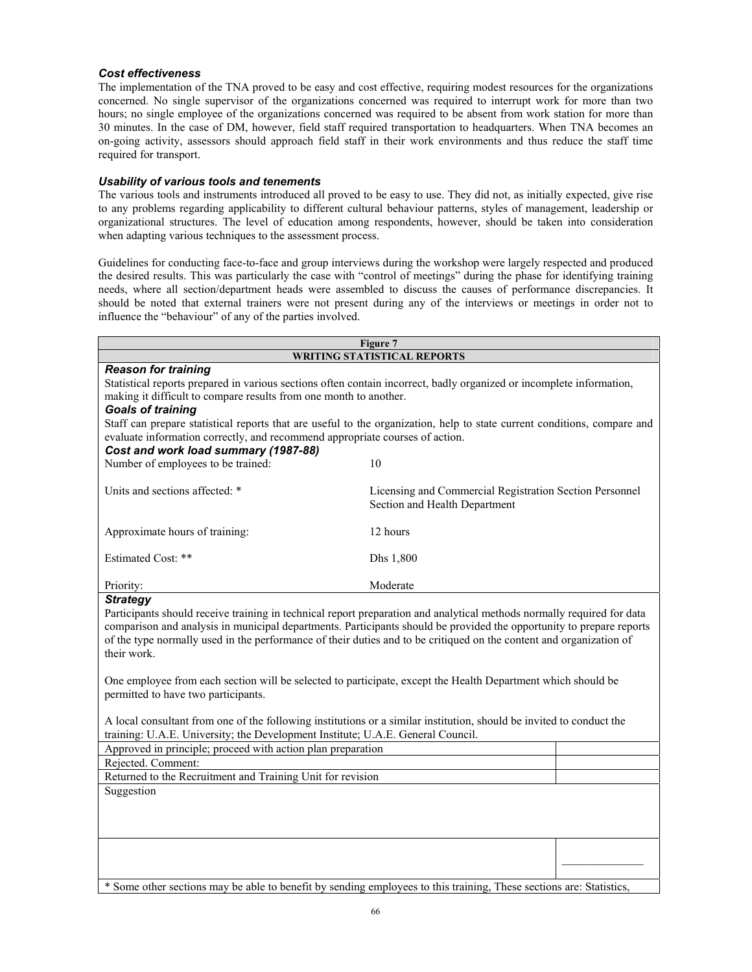## *Cost effectiveness*

The implementation of the TNA proved to be easy and cost effective, requiring modest resources for the organizations concerned. No single supervisor of the organizations concerned was required to interrupt work for more than two hours; no single employee of the organizations concerned was required to be absent from work station for more than 30 minutes. In the case of DM, however, field staff required transportation to headquarters. When TNA becomes an on-going activity, assessors should approach field staff in their work environments and thus reduce the staff time required for transport.

# *Usability of various tools and tenements*

The various tools and instruments introduced all proved to be easy to use. They did not, as initially expected, give rise to any problems regarding applicability to different cultural behaviour patterns, styles of management, leadership or organizational structures. The level of education among respondents, however, should be taken into consideration when adapting various techniques to the assessment process.

Guidelines for conducting face-to-face and group interviews during the workshop were largely respected and produced the desired results. This was particularly the case with "control of meetings" during the phase for identifying training needs, where all section/department heads were assembled to discuss the causes of performance discrepancies. It should be noted that external trainers were not present during any of the interviews or meetings in order not to influence the "behaviour" of any of the parties involved.

| Figure 7                                                                                                                                                                                                                                            |                                                                                                                                                                                                                                                                                                                                                                       |  |  |  |
|-----------------------------------------------------------------------------------------------------------------------------------------------------------------------------------------------------------------------------------------------------|-----------------------------------------------------------------------------------------------------------------------------------------------------------------------------------------------------------------------------------------------------------------------------------------------------------------------------------------------------------------------|--|--|--|
|                                                                                                                                                                                                                                                     | <b>WRITING STATISTICAL REPORTS</b>                                                                                                                                                                                                                                                                                                                                    |  |  |  |
| <b>Reason for training</b><br>Statistical reports prepared in various sections often contain incorrect, badly organized or incomplete information,<br>making it difficult to compare results from one month to another.<br><b>Goals of training</b> |                                                                                                                                                                                                                                                                                                                                                                       |  |  |  |
| evaluate information correctly, and recommend appropriate courses of action.<br>Cost and work load summary (1987-88)                                                                                                                                | Staff can prepare statistical reports that are useful to the organization, help to state current conditions, compare and                                                                                                                                                                                                                                              |  |  |  |
| Number of employees to be trained:                                                                                                                                                                                                                  | 10                                                                                                                                                                                                                                                                                                                                                                    |  |  |  |
| Units and sections affected: *                                                                                                                                                                                                                      | Licensing and Commercial Registration Section Personnel<br>Section and Health Department                                                                                                                                                                                                                                                                              |  |  |  |
| Approximate hours of training:                                                                                                                                                                                                                      | 12 hours                                                                                                                                                                                                                                                                                                                                                              |  |  |  |
| Estimated Cost: **                                                                                                                                                                                                                                  | Dhs 1,800                                                                                                                                                                                                                                                                                                                                                             |  |  |  |
| Priority:                                                                                                                                                                                                                                           | Moderate                                                                                                                                                                                                                                                                                                                                                              |  |  |  |
| <b>Strategy</b><br>their work.                                                                                                                                                                                                                      | Participants should receive training in technical report preparation and analytical methods normally required for data<br>comparison and analysis in municipal departments. Participants should be provided the opportunity to prepare reports<br>of the type normally used in the performance of their duties and to be critiqued on the content and organization of |  |  |  |
| One employee from each section will be selected to participate, except the Health Department which should be<br>permitted to have two participants.                                                                                                 |                                                                                                                                                                                                                                                                                                                                                                       |  |  |  |
| training: U.A.E. University; the Development Institute; U.A.E. General Council.                                                                                                                                                                     | A local consultant from one of the following institutions or a similar institution, should be invited to conduct the                                                                                                                                                                                                                                                  |  |  |  |
| Approved in principle; proceed with action plan preparation                                                                                                                                                                                         |                                                                                                                                                                                                                                                                                                                                                                       |  |  |  |
| Rejected. Comment:                                                                                                                                                                                                                                  |                                                                                                                                                                                                                                                                                                                                                                       |  |  |  |
| Returned to the Recruitment and Training Unit for revision                                                                                                                                                                                          |                                                                                                                                                                                                                                                                                                                                                                       |  |  |  |
| Suggestion                                                                                                                                                                                                                                          |                                                                                                                                                                                                                                                                                                                                                                       |  |  |  |
|                                                                                                                                                                                                                                                     |                                                                                                                                                                                                                                                                                                                                                                       |  |  |  |
|                                                                                                                                                                                                                                                     | * Some other sections may be able to benefit by sending employees to this training, These sections are: Statistics,                                                                                                                                                                                                                                                   |  |  |  |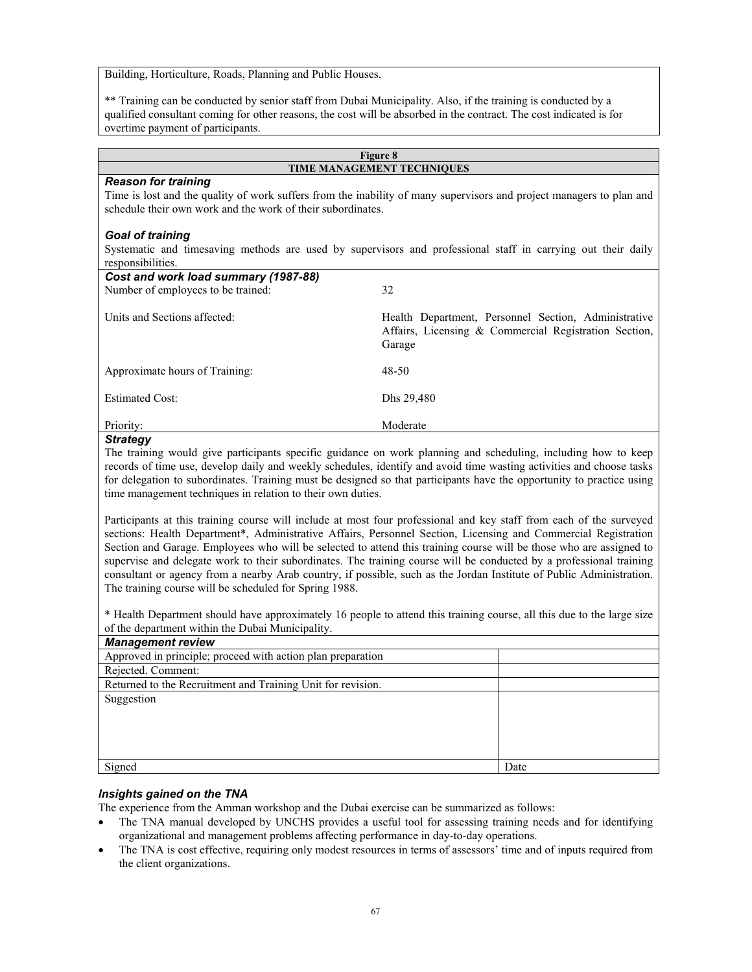Building, Horticulture, Roads, Planning and Public Houses.

\*\* Training can be conducted by senior staff from Dubai Municipality. Also, if the training is conducted by a qualified consultant coming for other reasons, the cost will be absorbed in the contract. The cost indicated is for overtime payment of participants.

#### **Figure 8 TIME MANAGEMENT TECHNIQUES**

## *Reason for training*

Time is lost and the quality of work suffers from the inability of many supervisors and project managers to plan and schedule their own work and the work of their subordinates.

### *Goal of training*

Systematic and timesaving methods are used by supervisors and professional staff in carrying out their daily responsibilities.

| Cost and work load summary (1987-88)<br>Number of employees to be trained: | 32                                                                                                                      |
|----------------------------------------------------------------------------|-------------------------------------------------------------------------------------------------------------------------|
| Units and Sections affected:                                               | Health Department, Personnel Section, Administrative<br>Affairs, Licensing & Commercial Registration Section,<br>Garage |
| Approximate hours of Training:                                             | 48-50                                                                                                                   |
| Estimated Cost:                                                            | Dhs 29,480                                                                                                              |
| Priority:                                                                  | Moderate                                                                                                                |

## *Strategy*

The training would give participants specific guidance on work planning and scheduling, including how to keep records of time use, develop daily and weekly schedules, identify and avoid time wasting activities and choose tasks for delegation to subordinates. Training must be designed so that participants have the opportunity to practice using time management techniques in relation to their own duties.

Participants at this training course will include at most four professional and key staff from each of the surveyed sections: Health Department\*, Administrative Affairs, Personnel Section, Licensing and Commercial Registration Section and Garage. Employees who will be selected to attend this training course will be those who are assigned to supervise and delegate work to their subordinates. The training course will be conducted by a professional training consultant or agency from a nearby Arab country, if possible, such as the Jordan Institute of Public Administration. The training course will be scheduled for Spring 1988.

\* Health Department should have approximately 16 people to attend this training course, all this due to the large size of the department within the Dubai Municipality.

| <b>Management review</b>                                    |      |
|-------------------------------------------------------------|------|
| Approved in principle; proceed with action plan preparation |      |
| Rejected. Comment:                                          |      |
| Returned to the Recruitment and Training Unit for revision. |      |
| Suggestion                                                  |      |
|                                                             |      |
|                                                             |      |
|                                                             |      |
|                                                             |      |
| Signed                                                      | Date |

## *lnsights gained on the TNA*

The experience from the Amman workshop and the Dubai exercise can be summarized as follows:

- The TNA manual developed by UNCHS provides a useful tool for assessing training needs and for identifying organizational and management problems affecting performance in day-to-day operations.
- The TNA is cost effective, requiring only modest resources in terms of assessors' time and of inputs required from the client organizations.